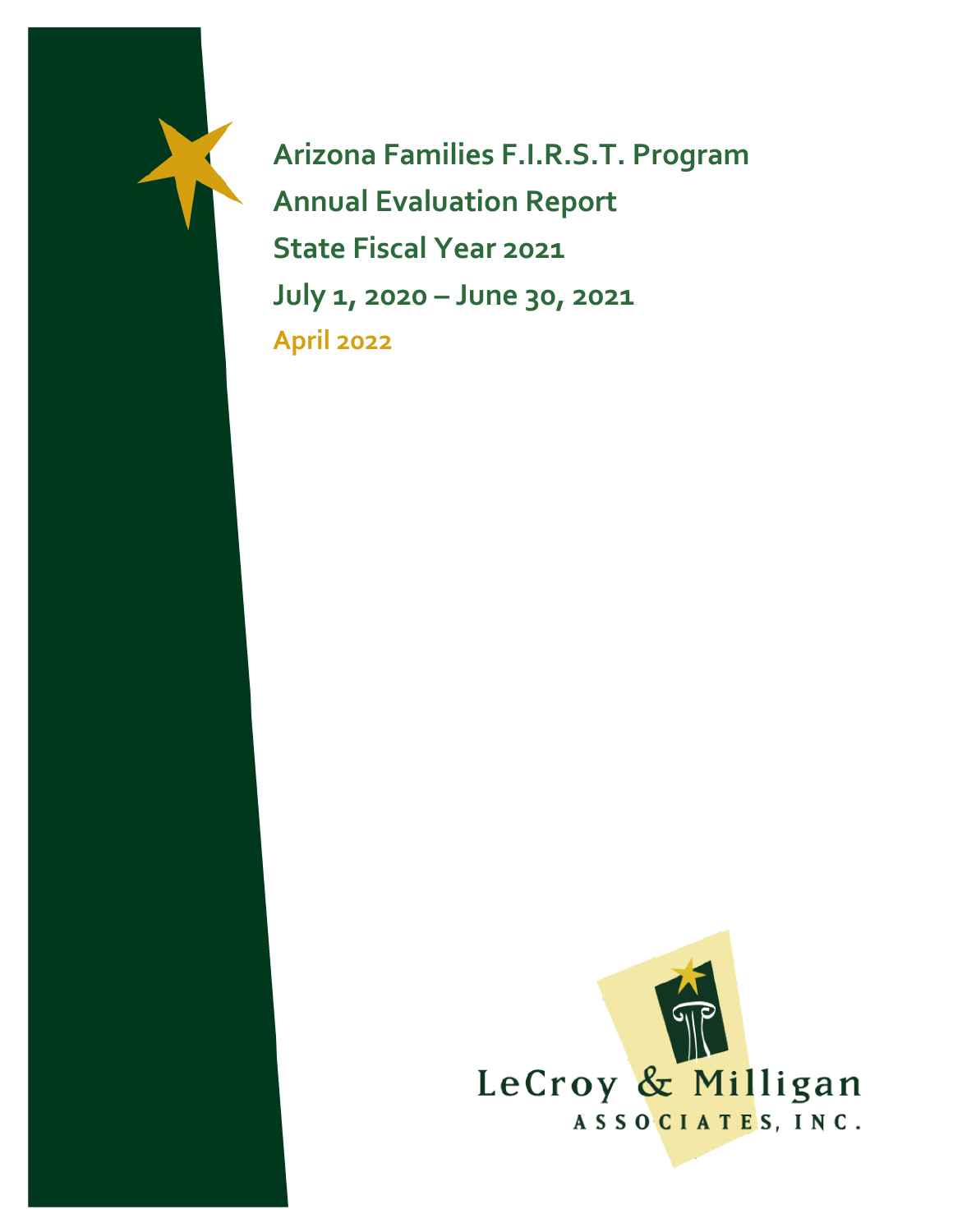**Arizona Families F.I.R.S.T. Program Annual Evaluation Report State Fiscal Year 2021 July 1, 2020 – June 30, 2021 April 2022**

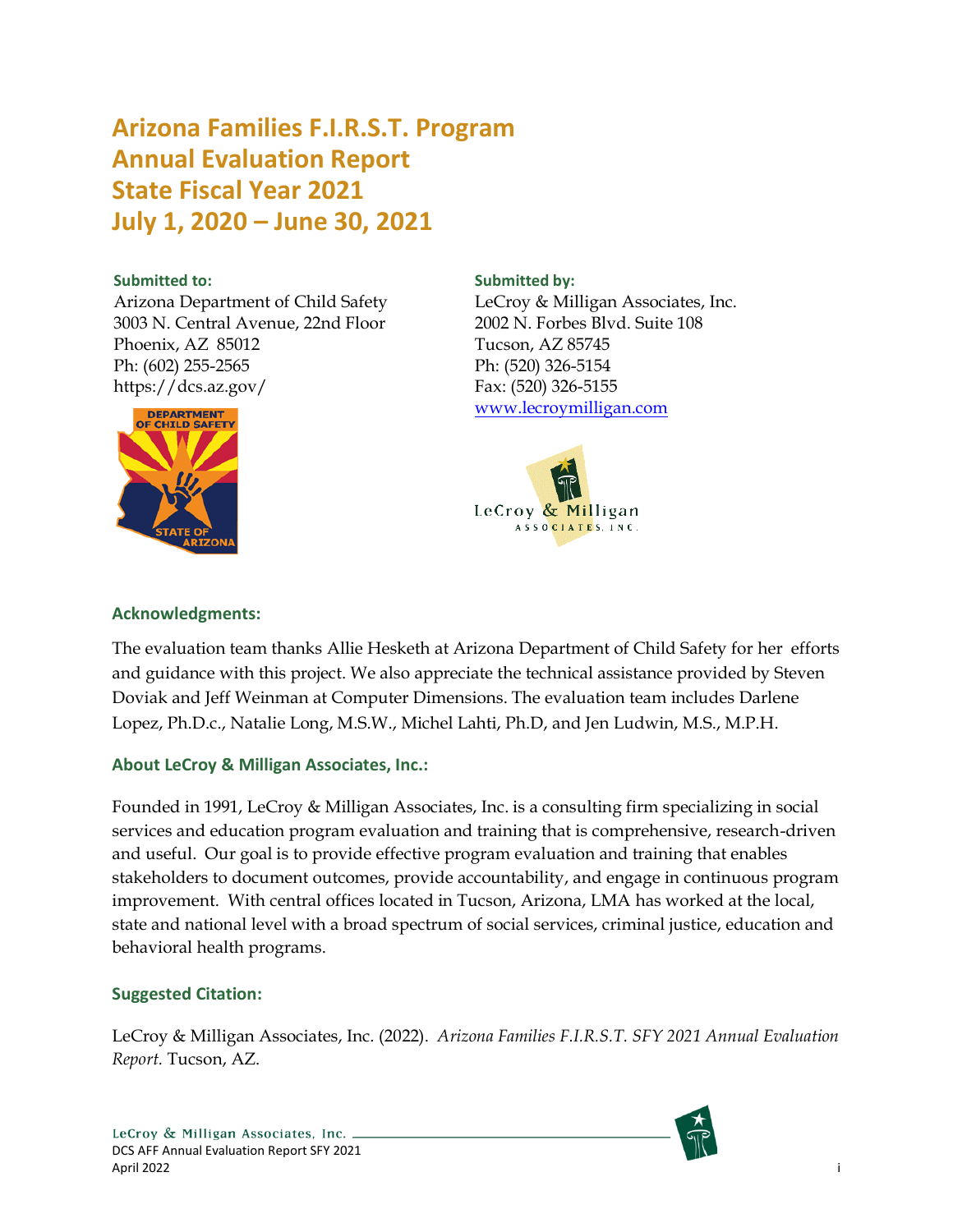# **Arizona Families F.I.R.S.T. Program Annual Evaluation Report State Fiscal Year 2021 July 1, 2020 – June 30, 2021**

#### **Submitted to:**

Arizona Department of Child Safety 3003 N. Central Avenue, 22nd Floor Phoenix, AZ 85012 Ph: (602) 255-2565 https://dcs.az.gov/



#### **Submitted by:**

LeCroy & Milligan Associates, Inc. 2002 N. Forbes Blvd. Suite 108 Tucson, AZ 85745 Ph: (520) 326-5154 Fax: (520) 326-5155 [www.lecroymilligan.com](http://www.lecroymilligan.com/)



#### **Acknowledgments:**

The evaluation team thanks Allie Hesketh at Arizona Department of Child Safety for her efforts and guidance with this project. We also appreciate the technical assistance provided by Steven Doviak and Jeff Weinman at Computer Dimensions. The evaluation team includes Darlene Lopez, Ph.D.c., Natalie Long, M.S.W., Michel Lahti, Ph.D, and Jen Ludwin, M.S., M.P.H.

#### **About LeCroy & Milligan Associates, Inc.:**

Founded in 1991, LeCroy & Milligan Associates, Inc. is a consulting firm specializing in social services and education program evaluation and training that is comprehensive, research-driven and useful. Our goal is to provide effective program evaluation and training that enables stakeholders to document outcomes, provide accountability, and engage in continuous program improvement. With central offices located in Tucson, Arizona, LMA has worked at the local, state and national level with a broad spectrum of social services, criminal justice, education and behavioral health programs.

#### **Suggested Citation:**

LeCroy & Milligan Associates, Inc. (2022). *Arizona Families F.I.R.S.T. SFY 2021 Annual Evaluation Report.* Tucson, AZ.

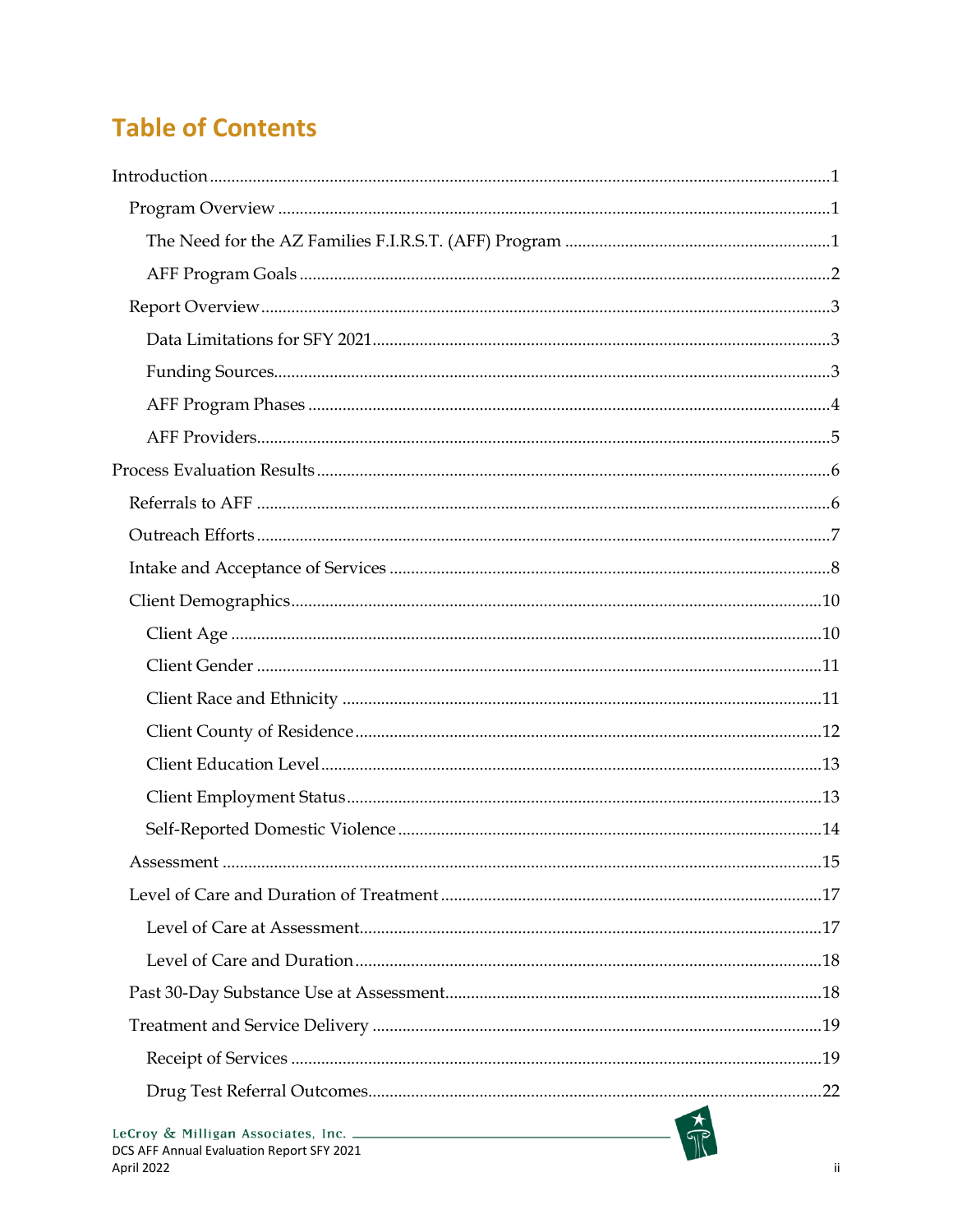# **Table of Contents**

| DCS AFF Annual Evaluation Report SFY 2021 |  |
|-------------------------------------------|--|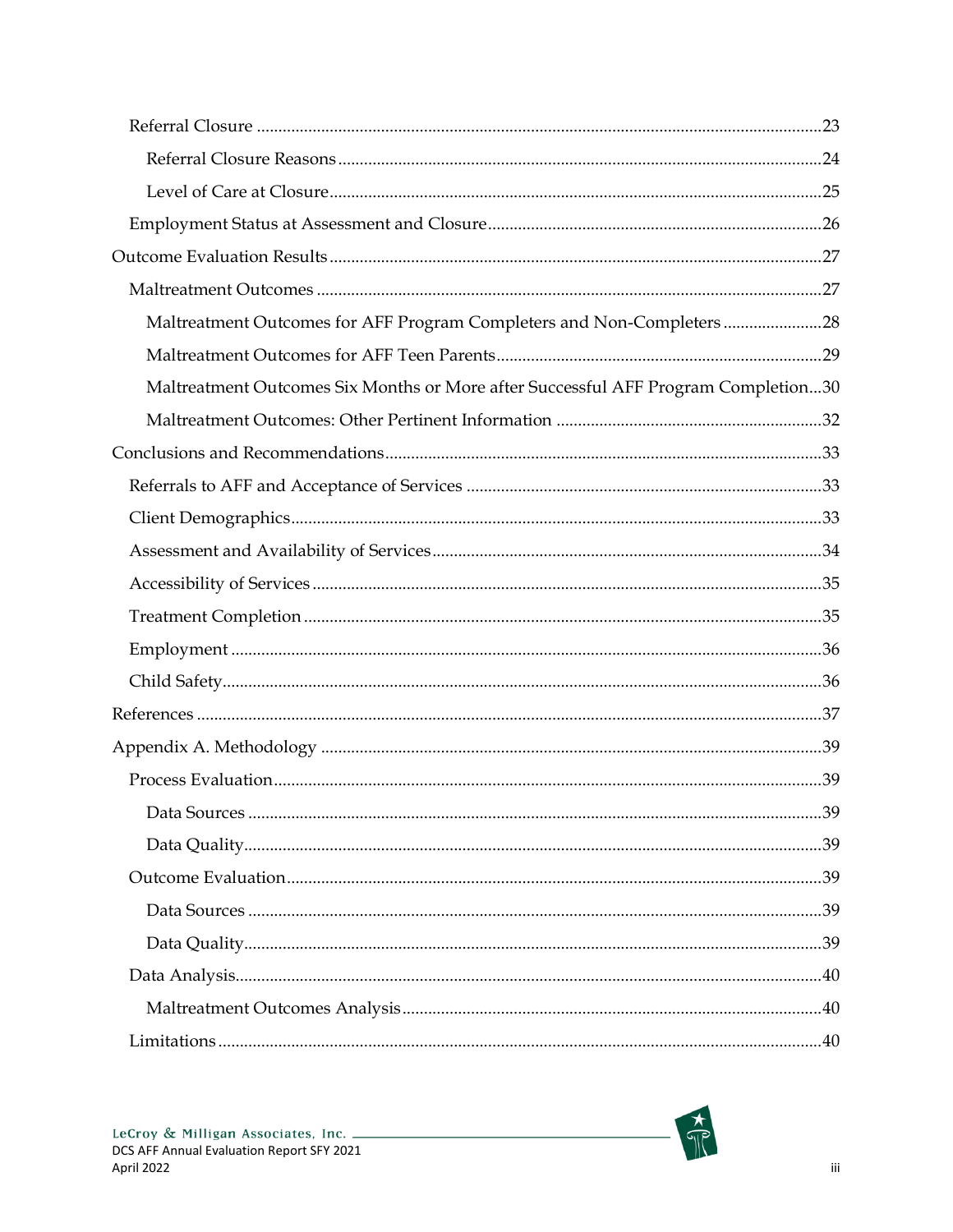| Maltreatment Outcomes for AFF Program Completers and Non-Completers 28             |  |
|------------------------------------------------------------------------------------|--|
|                                                                                    |  |
| Maltreatment Outcomes Six Months or More after Successful AFF Program Completion30 |  |
|                                                                                    |  |
|                                                                                    |  |
|                                                                                    |  |
|                                                                                    |  |
|                                                                                    |  |
|                                                                                    |  |
|                                                                                    |  |
|                                                                                    |  |
|                                                                                    |  |
|                                                                                    |  |
|                                                                                    |  |
|                                                                                    |  |
|                                                                                    |  |
|                                                                                    |  |
|                                                                                    |  |
|                                                                                    |  |
|                                                                                    |  |
|                                                                                    |  |
|                                                                                    |  |
|                                                                                    |  |

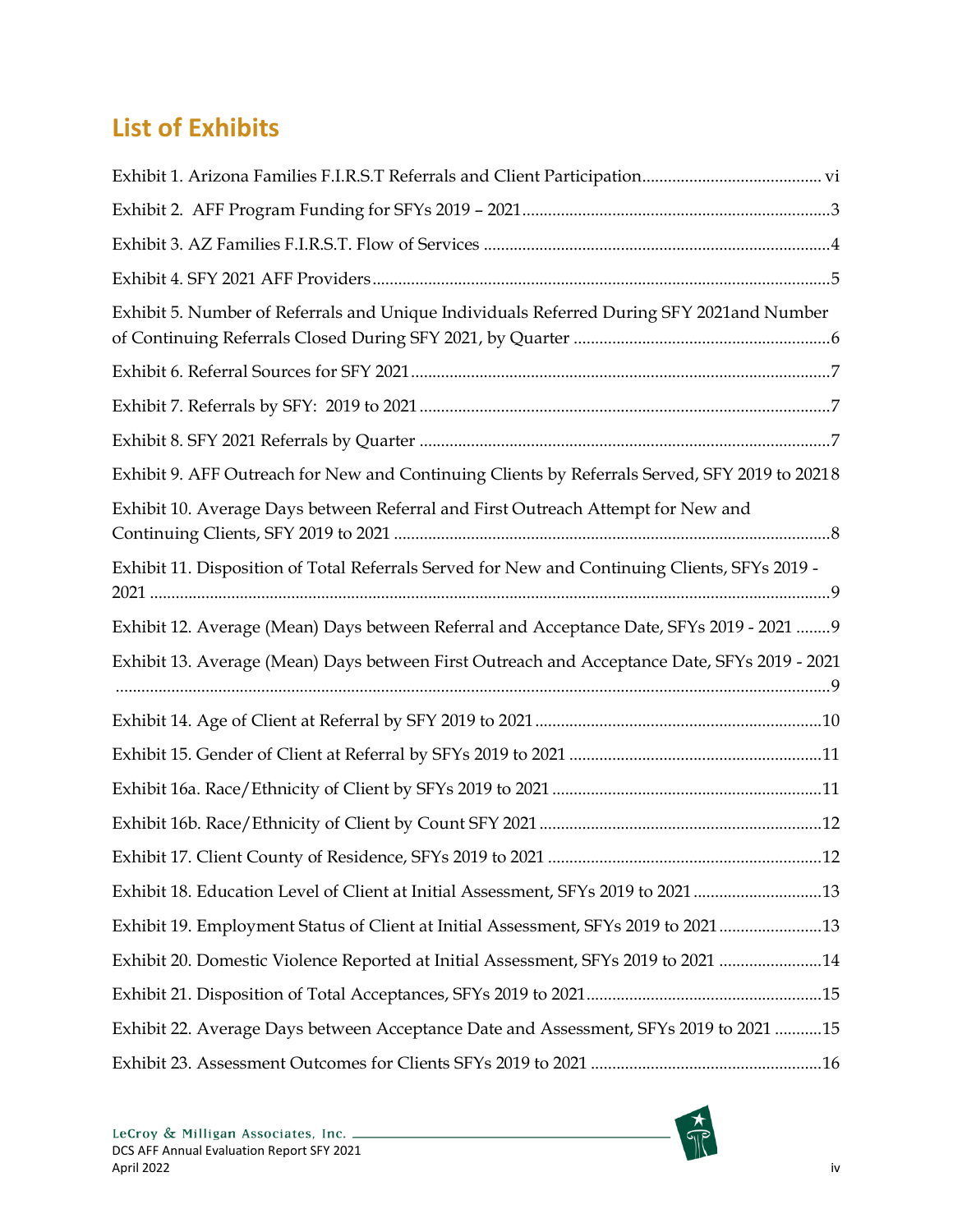# **List of Exhibits**

| Exhibit 5. Number of Referrals and Unique Individuals Referred During SFY 2021and Number      |
|-----------------------------------------------------------------------------------------------|
|                                                                                               |
|                                                                                               |
|                                                                                               |
| Exhibit 9. AFF Outreach for New and Continuing Clients by Referrals Served, SFY 2019 to 20218 |
| Exhibit 10. Average Days between Referral and First Outreach Attempt for New and              |
| Exhibit 11. Disposition of Total Referrals Served for New and Continuing Clients, SFYs 2019 - |
| Exhibit 12. Average (Mean) Days between Referral and Acceptance Date, SFYs 2019 - 2021  9     |
| Exhibit 13. Average (Mean) Days between First Outreach and Acceptance Date, SFYs 2019 - 2021  |
|                                                                                               |
|                                                                                               |
|                                                                                               |
|                                                                                               |
|                                                                                               |
| Exhibit 18. Education Level of Client at Initial Assessment, SFYs 2019 to 202113              |
| Exhibit 19. Employment Status of Client at Initial Assessment, SFYs 2019 to 202113            |
| Exhibit 20. Domestic Violence Reported at Initial Assessment, SFYs 2019 to 2021 14            |
|                                                                                               |
| Exhibit 22. Average Days between Acceptance Date and Assessment, SFYs 2019 to 2021 15         |
|                                                                                               |

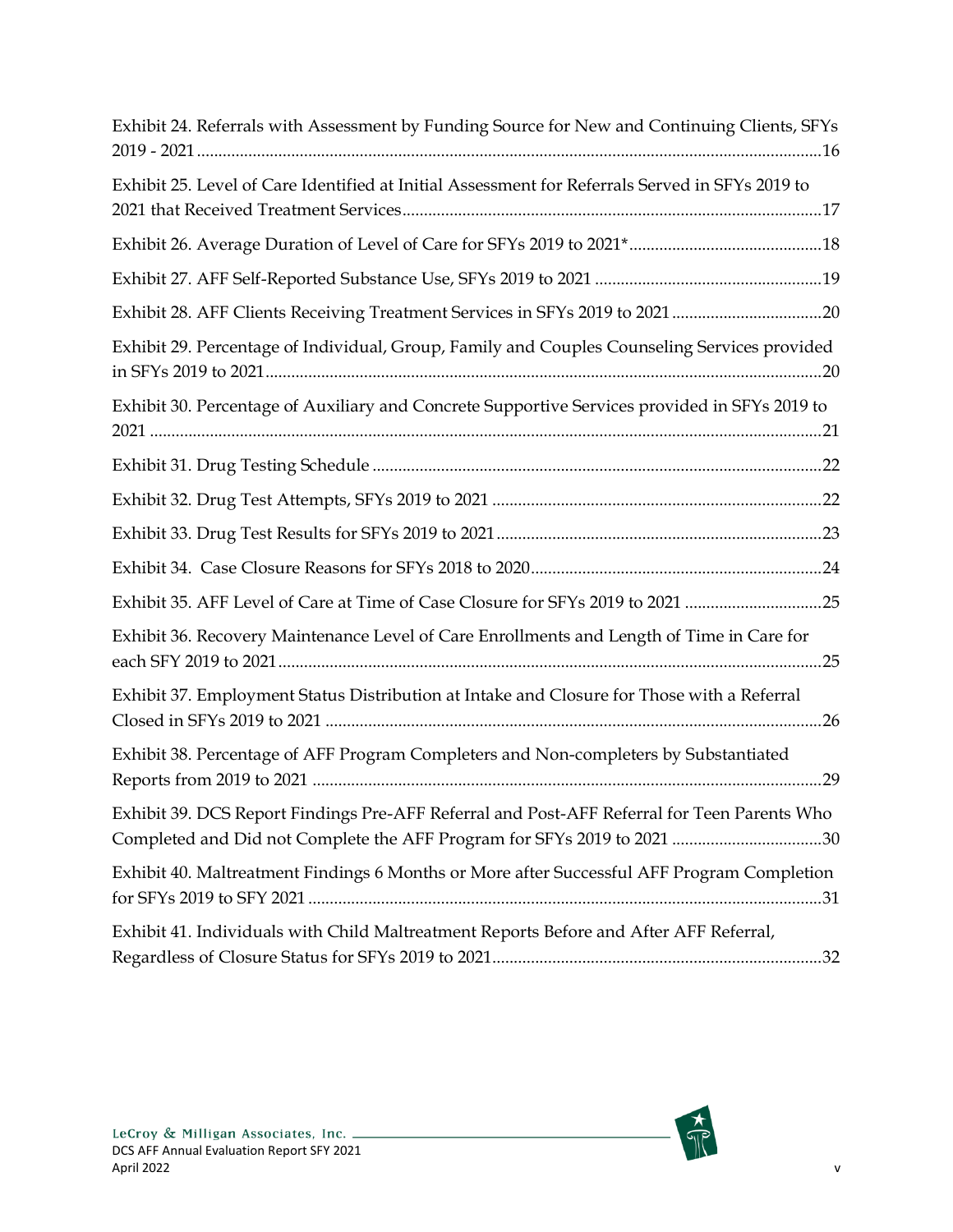| Exhibit 24. Referrals with Assessment by Funding Source for New and Continuing Clients, SFYs                                                                           |
|------------------------------------------------------------------------------------------------------------------------------------------------------------------------|
| Exhibit 25. Level of Care Identified at Initial Assessment for Referrals Served in SFYs 2019 to                                                                        |
|                                                                                                                                                                        |
|                                                                                                                                                                        |
| Exhibit 28. AFF Clients Receiving Treatment Services in SFYs 2019 to 2021 20                                                                                           |
| Exhibit 29. Percentage of Individual, Group, Family and Couples Counseling Services provided                                                                           |
| Exhibit 30. Percentage of Auxiliary and Concrete Supportive Services provided in SFYs 2019 to                                                                          |
|                                                                                                                                                                        |
|                                                                                                                                                                        |
|                                                                                                                                                                        |
|                                                                                                                                                                        |
| Exhibit 35. AFF Level of Care at Time of Case Closure for SFYs 2019 to 2021 25                                                                                         |
| Exhibit 36. Recovery Maintenance Level of Care Enrollments and Length of Time in Care for                                                                              |
| Exhibit 37. Employment Status Distribution at Intake and Closure for Those with a Referral                                                                             |
| Exhibit 38. Percentage of AFF Program Completers and Non-completers by Substantiated                                                                                   |
| Exhibit 39. DCS Report Findings Pre-AFF Referral and Post-AFF Referral for Teen Parents Who<br>Completed and Did not Complete the AFF Program for SFYs 2019 to 2021 30 |
| Exhibit 40. Maltreatment Findings 6 Months or More after Successful AFF Program Completion                                                                             |
| Exhibit 41. Individuals with Child Maltreatment Reports Before and After AFF Referral,                                                                                 |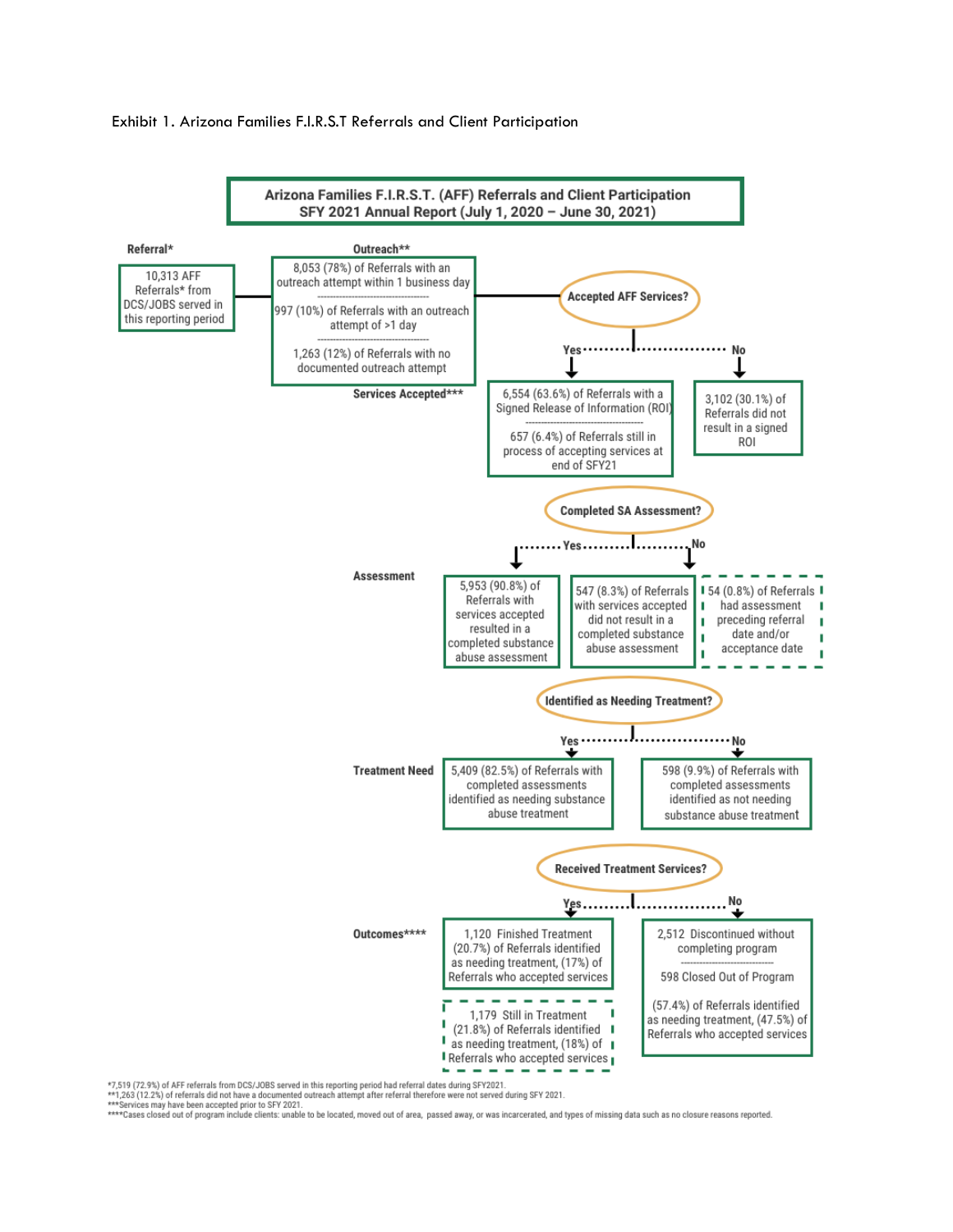#### <span id="page-6-0"></span>Exhibit 1. Arizona Families F.I.R.S.T Referrals and Client Participation



\*\*\*\*Cases closed out of program include a documented outreach attempt after referral therefore were not served during SFY 2021.<br>\*\*\*Services may have been accepted prior to SFY 2021.<br>\*\*\*\*Cases closed out of program include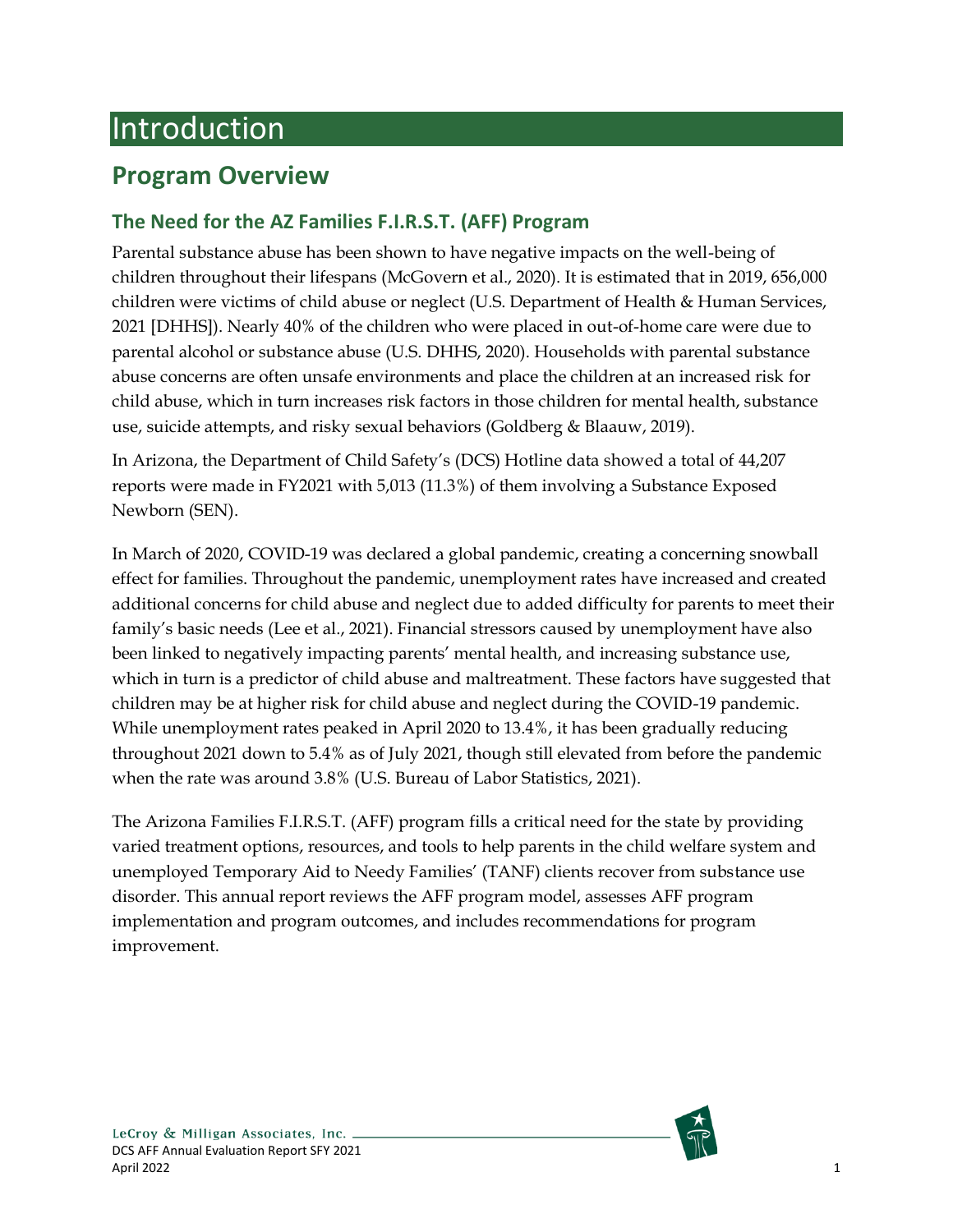# <span id="page-7-0"></span>Introduction

# <span id="page-7-1"></span>**Program Overview**

## <span id="page-7-2"></span>**The Need for the AZ Families F.I.R.S.T. (AFF) Program**

Parental substance abuse has been shown to have negative impacts on the well-being of children throughout their lifespans (McGovern et al., 2020). It is estimated that in 2019, 656,000 children were victims of child abuse or neglect (U.S. Department of Health & Human Services, 2021 [DHHS]). Nearly 40% of the children who were placed in out-of-home care were due to parental alcohol or substance abuse (U.S. DHHS, 2020). Households with parental substance abuse concerns are often unsafe environments and place the children at an increased risk for child abuse, which in turn increases risk factors in those children for mental health, substance use, suicide attempts, and risky sexual behaviors (Goldberg & Blaauw, 2019).

In Arizona, the Department of Child Safety's (DCS) Hotline data showed a total of 44,207 reports were made in FY2021 with 5,013 (11.3%) of them involving a Substance Exposed Newborn (SEN).

In March of 2020, COVID-19 was declared a global pandemic, creating a concerning snowball effect for families. Throughout the pandemic, unemployment rates have increased and created additional concerns for child abuse and neglect due to added difficulty for parents to meet their family's basic needs (Lee et al., 2021). Financial stressors caused by unemployment have also been linked to negatively impacting parents' mental health, and increasing substance use, which in turn is a predictor of child abuse and maltreatment. These factors have suggested that children may be at higher risk for child abuse and neglect during the COVID-19 pandemic. While unemployment rates peaked in April 2020 to 13.4%, it has been gradually reducing throughout 2021 down to 5.4% as of July 2021, though still elevated from before the pandemic when the rate was around 3.8% (U.S. Bureau of Labor Statistics, 2021).

The Arizona Families F.I.R.S.T. (AFF) program fills a critical need for the state by providing varied treatment options, resources, and tools to help parents in the child welfare system and unemployed Temporary Aid to Needy Families' (TANF) clients recover from substance use disorder. This annual report reviews the AFF program model, assesses AFF program implementation and program outcomes, and includes recommendations for program improvement.

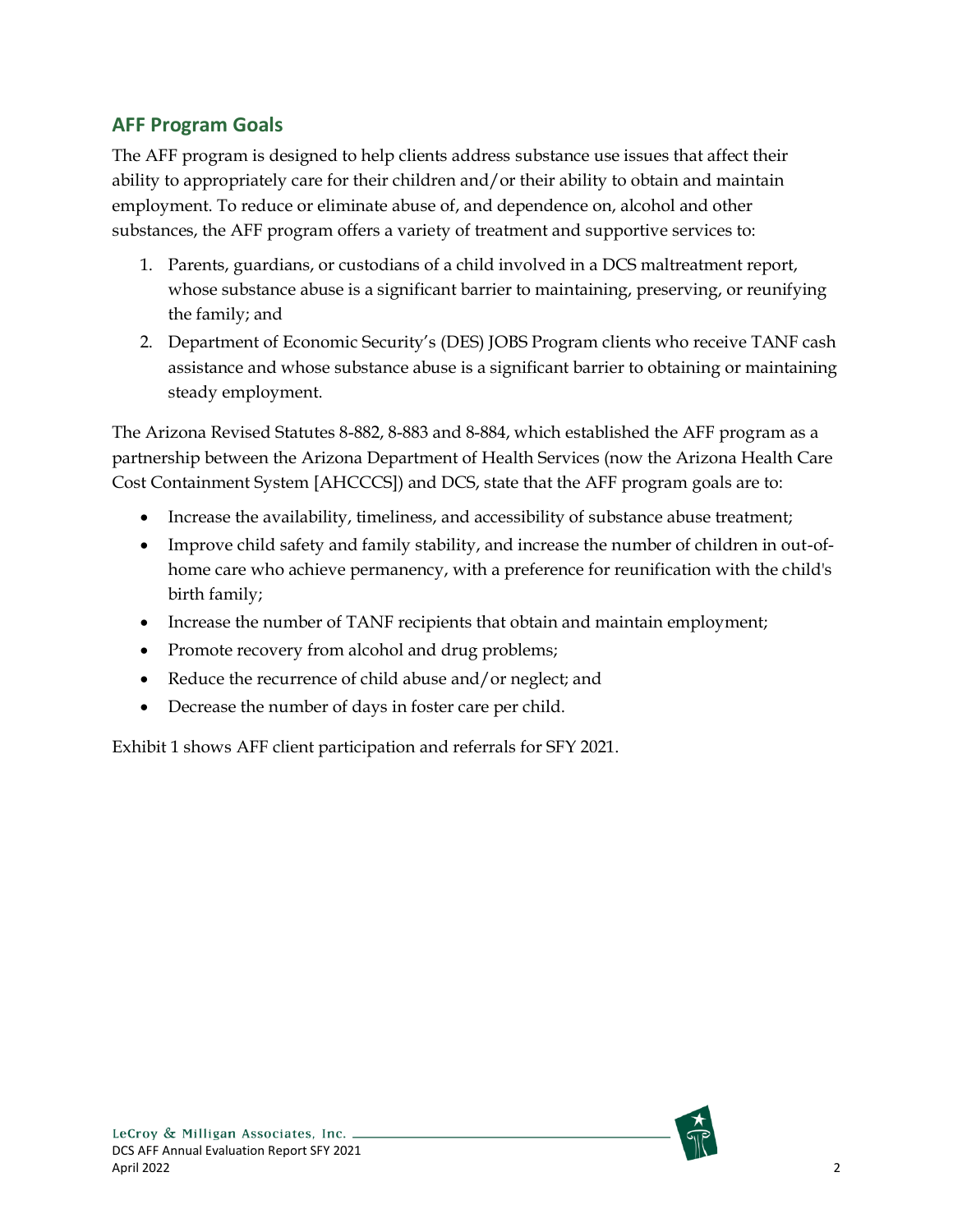## <span id="page-8-0"></span>**AFF Program Goals**

The AFF program is designed to help clients address substance use issues that affect their ability to appropriately care for their children and/or their ability to obtain and maintain employment. To reduce or eliminate abuse of, and dependence on, alcohol and other substances, the AFF program offers a variety of treatment and supportive services to:

- 1. Parents, guardians, or custodians of a child involved in a DCS maltreatment report, whose substance abuse is a significant barrier to maintaining, preserving, or reunifying the family; and
- 2. Department of Economic Security's (DES) JOBS Program clients who receive TANF cash assistance and whose substance abuse is a significant barrier to obtaining or maintaining steady employment.

The Arizona Revised Statutes 8-882, 8-883 and 8-884, which established the AFF program as a partnership between the Arizona Department of Health Services (now the Arizona Health Care Cost Containment System [AHCCCS]) and DCS, state that the AFF program goals are to:

- Increase the availability, timeliness, and accessibility of substance abuse treatment;
- Improve child safety and family stability, and increase the number of children in out-ofhome care who achieve permanency, with a preference for reunification with the child's birth family;
- Increase the number of TANF recipients that obtain and maintain employment;
- Promote recovery from alcohol and drug problems;
- Reduce the recurrence of child abuse and/or neglect; and
- Decrease the number of days in foster care per child.

Exhibit 1 shows AFF client participation and referrals for SFY 2021.

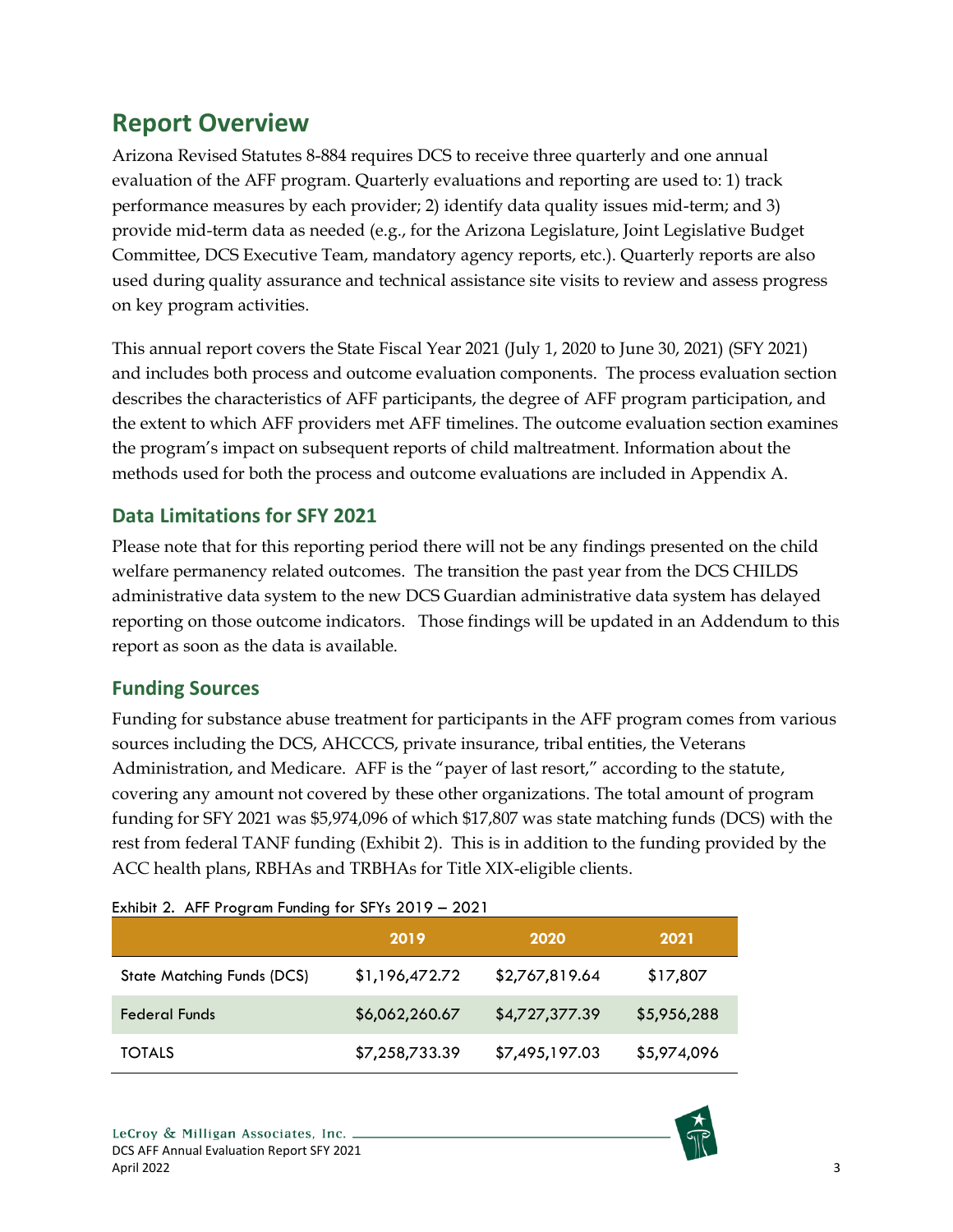## <span id="page-9-0"></span>**Report Overview**

Arizona Revised Statutes 8-884 requires DCS to receive three quarterly and one annual evaluation of the AFF program. Quarterly evaluations and reporting are used to: 1) track performance measures by each provider; 2) identify data quality issues mid-term; and 3) provide mid-term data as needed (e.g., for the Arizona Legislature, Joint Legislative Budget Committee, DCS Executive Team, mandatory agency reports, etc.). Quarterly reports are also used during quality assurance and technical assistance site visits to review and assess progress on key program activities.

This annual report covers the State Fiscal Year 2021 (July 1, 2020 to June 30, 2021) (SFY 2021) and includes both process and outcome evaluation components. The process evaluation section describes the characteristics of AFF participants, the degree of AFF program participation, and the extent to which AFF providers met AFF timelines. The outcome evaluation section examines the program's impact on subsequent reports of child maltreatment. Information about the methods used for both the process and outcome evaluations are included in Appendix A.

## <span id="page-9-1"></span>**Data Limitations for SFY 2021**

Please note that for this reporting period there will not be any findings presented on the child welfare permanency related outcomes. The transition the past year from the DCS CHILDS administrative data system to the new DCS Guardian administrative data system has delayed reporting on those outcome indicators. Those findings will be updated in an Addendum to this report as soon as the data is available.

### <span id="page-9-2"></span>**Funding Sources**

Funding for substance abuse treatment for participants in the AFF program comes from various sources including the DCS, AHCCCS, private insurance, tribal entities, the Veterans Administration, and Medicare. AFF is the "payer of last resort," according to the statute, covering any amount not covered by these other organizations. The total amount of program funding for SFY 2021 was \$5,974,096 of which \$17,807 was state matching funds (DCS) with the rest from federal TANF funding (Exhibit 2). This is in addition to the funding provided by the ACC health plans, RBHAs and TRBHAs for Title XIX-eligible clients.

| LAINDII 2. ATT TIOGRAIN FUNDING TOF JETS ZV F7 = ZVZ F |                |                |             |  |  |
|--------------------------------------------------------|----------------|----------------|-------------|--|--|
|                                                        | 2019           | 2020           | 2021        |  |  |
| <b>State Matching Funds (DCS)</b>                      | \$1,196,472.72 | \$2,767,819.64 | \$17,807    |  |  |
| <b>Federal Funds</b>                                   | \$6,062,260.67 | \$4,727,377.39 | \$5,956,288 |  |  |
| <b>TOTALS</b>                                          | \$7,258,733.39 | \$7,495,197.03 | \$5,974,096 |  |  |

#### <span id="page-9-3"></span>Exhibit 2. AFF Program Funding for SFYs 2019 – 2021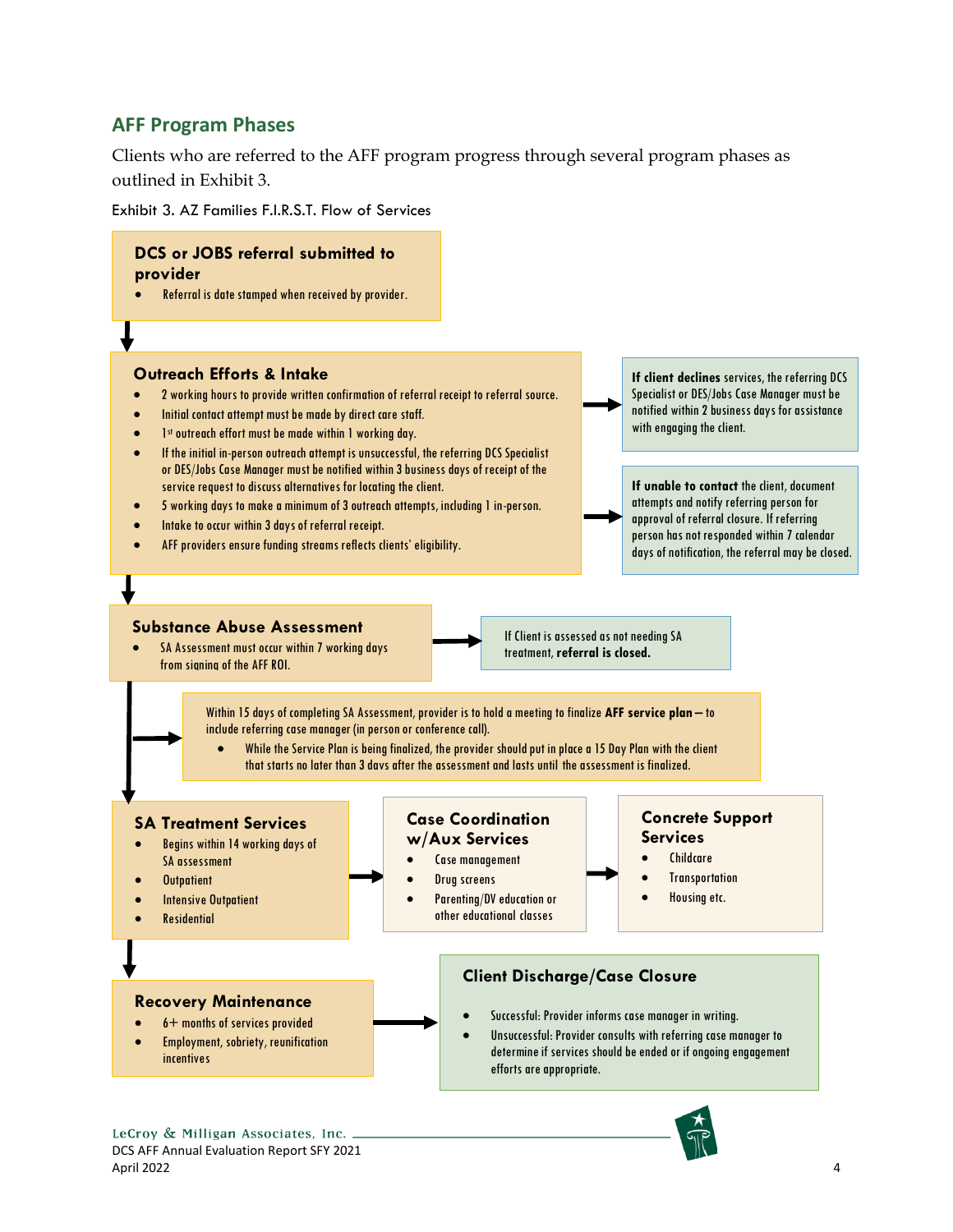#### <span id="page-10-0"></span>**AFF Program Phases**

Clients who are referred to the AFF program progress through several program phases as outlined in Exhibit 3.

<span id="page-10-1"></span>Exhibit 3. AZ Families F.I.R.S.T. Flow of Services

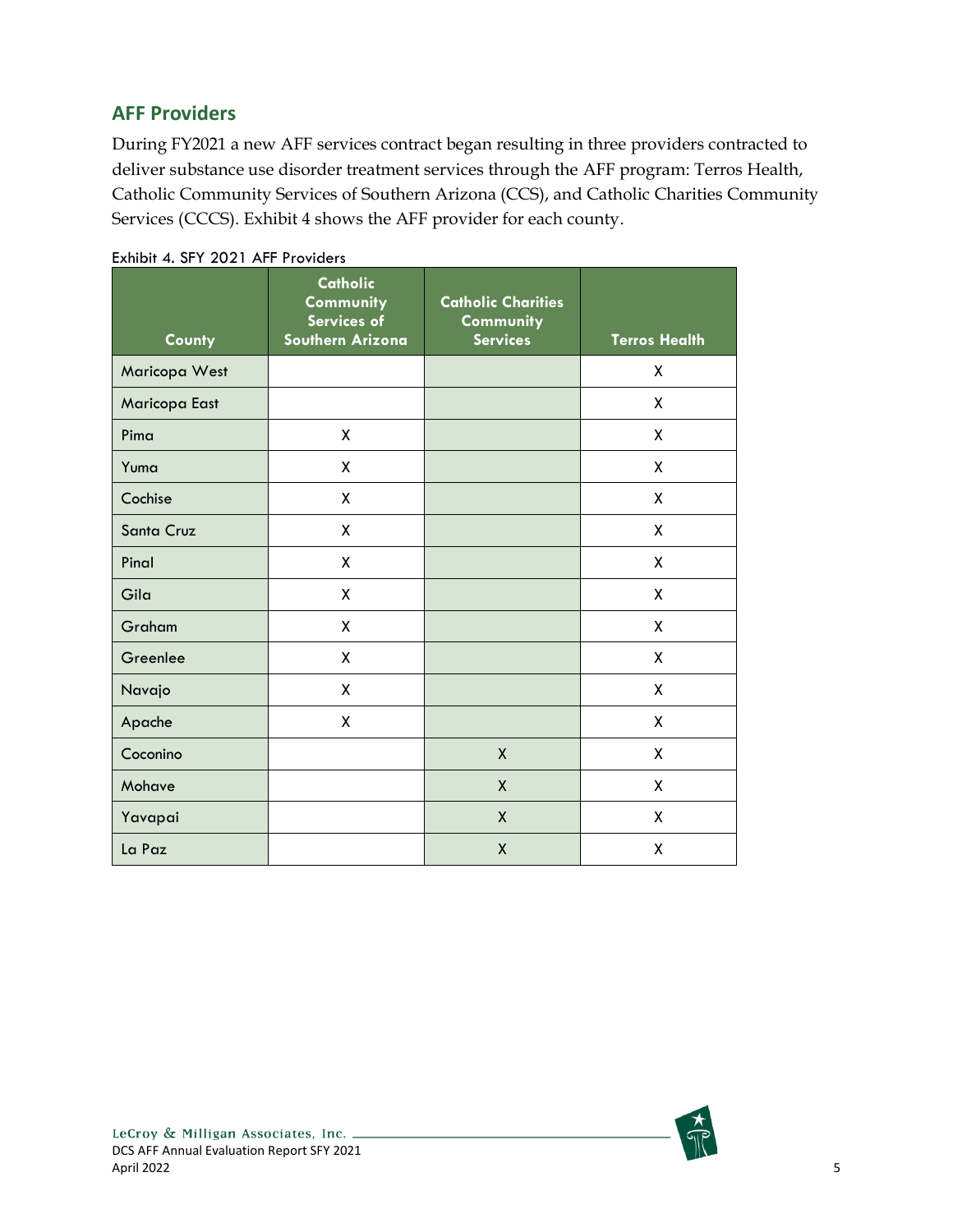### <span id="page-11-0"></span>**AFF Providers**

During FY2021 a new AFF services contract began resulting in three providers contracted to deliver substance use disorder treatment services through the AFF program: Terros Health, Catholic Community Services of Southern Arizona (CCS), and Catholic Charities Community Services (CCCS). Exhibit 4 shows the AFF provider for each county.

| County        | <b>Catholic</b><br>Community<br>Services of<br>Southern Arizona | <b>Catholic Charities</b><br>Community<br><b>Services</b> | <b>Terros Health</b> |
|---------------|-----------------------------------------------------------------|-----------------------------------------------------------|----------------------|
| Maricopa West |                                                                 |                                                           | X                    |
| Maricopa East |                                                                 |                                                           | X                    |
| Pima          | χ                                                               |                                                           | X                    |
| Yuma          | χ                                                               |                                                           | X                    |
| Cochise       | Χ                                                               |                                                           | X                    |
| Santa Cruz    | Χ                                                               |                                                           | X                    |
| Pinal         | Χ                                                               |                                                           | X                    |
| Gila          | X                                                               |                                                           | χ                    |
| Graham        | X                                                               |                                                           | X                    |
| Greenlee      | χ                                                               |                                                           | X                    |
| Navajo        | χ                                                               |                                                           | X                    |
| Apache        | Χ                                                               |                                                           | X                    |
| Coconino      |                                                                 | $\mathsf{X}$                                              | X                    |
| Mohave        |                                                                 | X                                                         | X                    |
| Yavapai       |                                                                 | $\mathsf{x}$                                              | X                    |
| La Paz        |                                                                 | $\mathsf{X}$                                              | χ                    |

<span id="page-11-1"></span>Exhibit 4. SFY 2021 AFF Providers

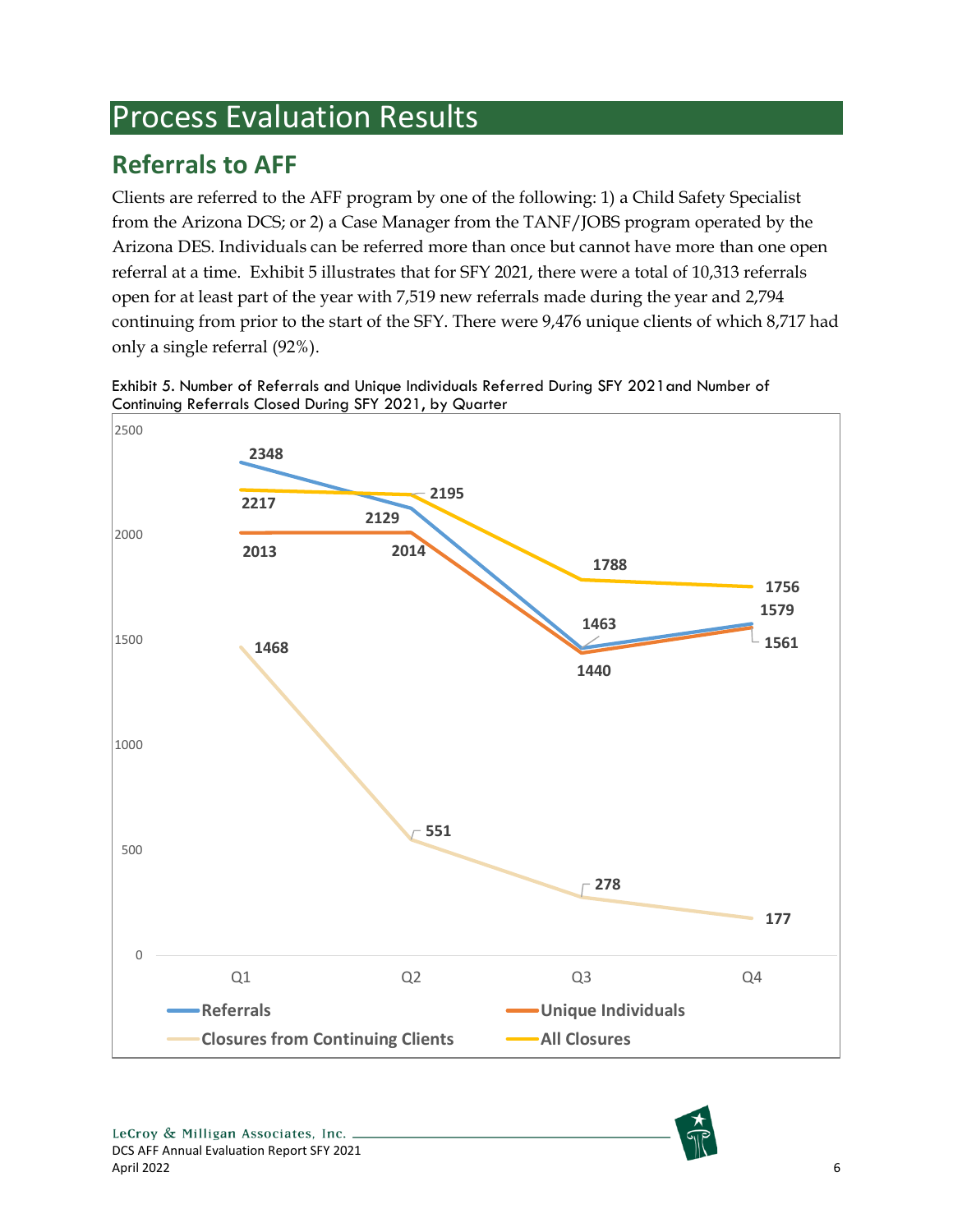# <span id="page-12-0"></span>Process Evaluation Results

# <span id="page-12-1"></span>**Referrals to AFF**

Clients are referred to the AFF program by one of the following: 1) a Child Safety Specialist from the Arizona DCS; or 2) a Case Manager from the TANF/JOBS program operated by the Arizona DES. Individuals can be referred more than once but cannot have more than one open referral at a time. Exhibit 5 illustrates that for SFY 2021, there were a total of 10,313 referrals open for at least part of the year with 7,519 new referrals made during the year and 2,794 continuing from prior to the start of the SFY. There were 9,476 unique clients of which 8,717 had only a single referral (92%).



<span id="page-12-2"></span>Exhibit 5. Number of Referrals and Unique Individuals Referred During SFY 2021and Number of Continuing Referrals Closed During SFY 2021, by Quarter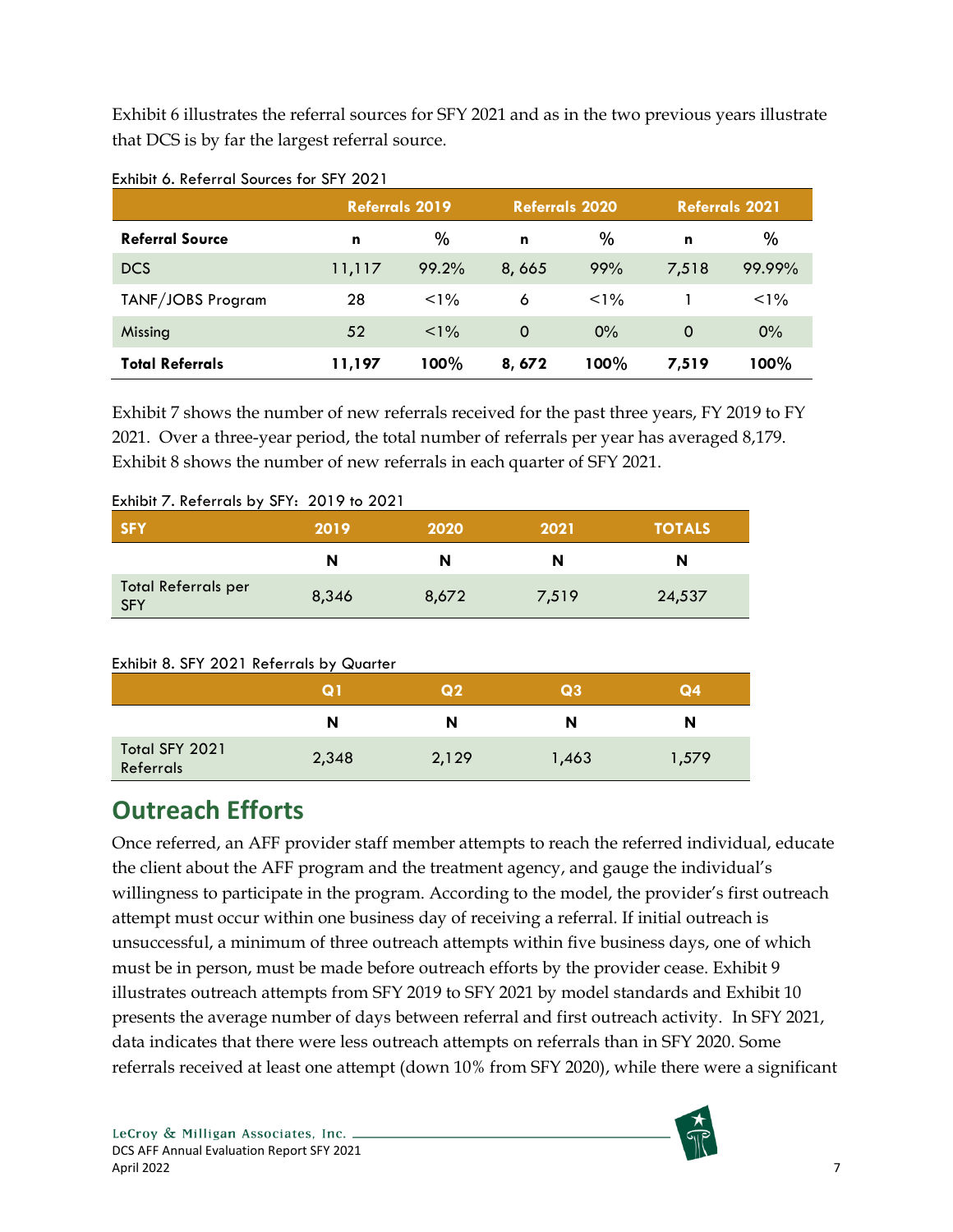Exhibit 6 illustrates the referral sources for SFY 2021 and as in the two previous years illustrate that DCS is by far the largest referral source.

|                        | <b>Referrals 2019</b> |         |          | <b>Referrals 2020</b> |       | <b>Referrals 2021</b> |
|------------------------|-----------------------|---------|----------|-----------------------|-------|-----------------------|
| <b>Referral Source</b> | n                     | %       | n        | $\%$                  | n     | $\%$                  |
| <b>DCS</b>             | 11,117                | 99.2%   | 8,665    | 99%                   | 7,518 | 99.99%                |
| TANF/JOBS Program      | 28                    | $< 1\%$ | 6        | $< 1\%$               |       | $1\%$                 |
| Missing                | 52                    | $< 1\%$ | $\Omega$ | $0\%$                 | 0     | $0\%$                 |
| Total Referrals        | 11,197                | $100\%$ | 8,672    | 100%                  | 7,519 | 100%                  |

#### <span id="page-13-1"></span>Exhibit 6. Referral Sources for SFY 2021

Exhibit 7 shows the number of new referrals received for the past three years, FY 2019 to FY 2021. Over a three-year period, the total number of referrals per year has averaged 8,179. Exhibit 8 shows the number of new referrals in each quarter of SFY 2021.

| <b>SFY</b>                               | 2019  | 2020  | 2021  | <b>TOTALS</b> |
|------------------------------------------|-------|-------|-------|---------------|
|                                          | N     | N     | N     | N             |
| <b>Total Referrals per</b><br><b>SFY</b> | 8,346 | 8,672 | 7,519 | 24,537        |

#### <span id="page-13-2"></span>Exhibit 7. Referrals by SFY: 2019 to 2021

#### <span id="page-13-3"></span>Exhibit 8. SFY 2021 Referrals by Quarter

|                             | Q 1   | Q <sub>2</sub> | Q3    | Q4    |
|-----------------------------|-------|----------------|-------|-------|
|                             | N     | N              | N     | N     |
| Total SFY 2021<br>Referrals | 2,348 | 2,129          | 1,463 | 1,579 |

## <span id="page-13-0"></span>**Outreach Efforts**

Once referred, an AFF provider staff member attempts to reach the referred individual, educate the client about the AFF program and the treatment agency, and gauge the individual's willingness to participate in the program. According to the model, the provider's first outreach attempt must occur within one business day of receiving a referral. If initial outreach is unsuccessful, a minimum of three outreach attempts within five business days, one of which must be in person, must be made before outreach efforts by the provider cease. Exhibit 9 illustrates outreach attempts from SFY 2019 to SFY 2021 by model standards and Exhibit 10 presents the average number of days between referral and first outreach activity. In SFY 2021, data indicates that there were less outreach attempts on referrals than in SFY 2020. Some referrals received at least one attempt (down 10% from SFY 2020), while there were a significant

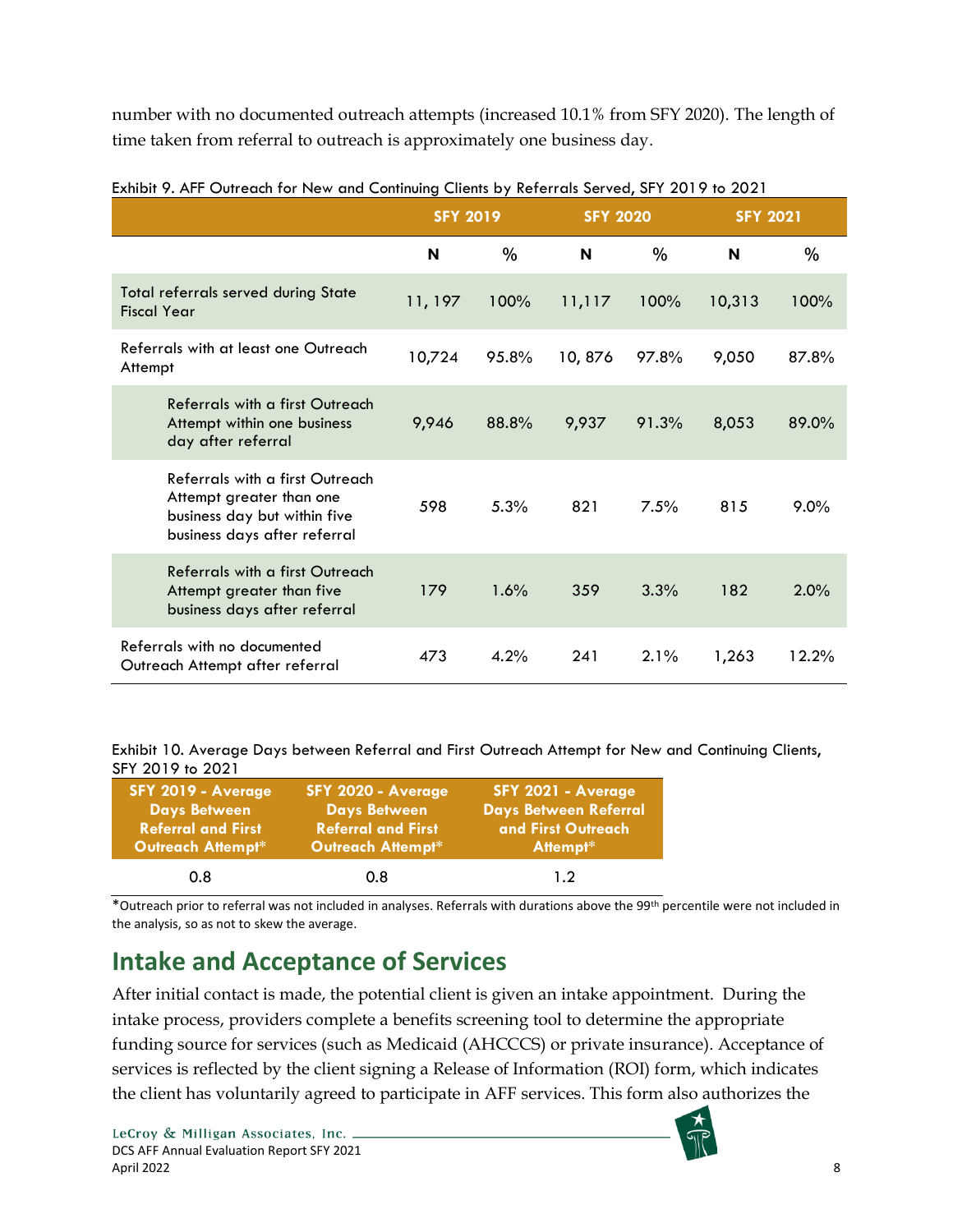number with no documented outreach attempts (increased 10.1% from SFY 2020). The length of time taken from referral to outreach is approximately one business day.

|                                                                                                                             | <b>SFY 2019</b> |       | <b>SFY 2020</b> |       | <b>SFY 2021</b> |         |
|-----------------------------------------------------------------------------------------------------------------------------|-----------------|-------|-----------------|-------|-----------------|---------|
|                                                                                                                             | N               | $\%$  | N               | $\%$  | N               | %       |
| <b>Total referrals served during State</b><br><b>Fiscal Year</b>                                                            | 11, 197         | 100%  | 11,117          | 100%  | 10,313          | 100%    |
| Referrals with at least one Outreach<br>Attempt                                                                             | 10,724          | 95.8% | 10,876          | 97.8% | 9,050           | 87.8%   |
| Referrals with a first Outreach<br>Attempt within one business<br>day after referral                                        | 9,946           | 88.8% | 9,937           | 91.3% | 8,053           | 89.0%   |
| Referrals with a first Outreach<br>Attempt greater than one<br>business day but within five<br>business days after referral | 598             | 5.3%  | 821             | 7.5%  | 815             | $9.0\%$ |
| Referrals with a first Outreach<br>Attempt greater than five<br>business days after referral                                | 179             | 1.6%  | 359             | 3.3%  | 182             | 2.0%    |
| Referrals with no documented<br>Outreach Attempt after referral                                                             | 473             | 4.2%  | 241             | 2.1%  | 1,263           | 12.2%   |

<span id="page-14-1"></span>Exhibit 9. AFF Outreach for New and Continuing Clients by Referrals Served, SFY 2019 to 2021

<span id="page-14-2"></span>Exhibit 10. Average Days between Referral and First Outreach Attempt for New and Continuing Clients, SFY 2019 to 2021

| <b>SFY 2019 - Average</b> | SFY 2020 - Average        | SFY 2021 - Average           |
|---------------------------|---------------------------|------------------------------|
| <b>Days Between</b>       | <b>Days Between</b>       | <b>Days Between Referral</b> |
| <b>Referral and First</b> | <b>Referral and First</b> | and First Outreach           |
| Outreach Attempt*         | Outreach Attempt*         | Attempt*                     |
| 0.8                       | 0.8                       | 12                           |

\*Outreach prior to referral was not included in analyses. Referrals with durations above the 99th percentile were not included in the analysis, so as not to skew the average.

# <span id="page-14-0"></span>**Intake and Acceptance of Services**

After initial contact is made, the potential client is given an intake appointment. During the intake process, providers complete a benefits screening tool to determine the appropriate funding source for services (such as Medicaid (AHCCCS) or private insurance). Acceptance of services is reflected by the client signing a Release of Information (ROI) form, which indicates the client has voluntarily agreed to participate in AFF services. This form also authorizes the

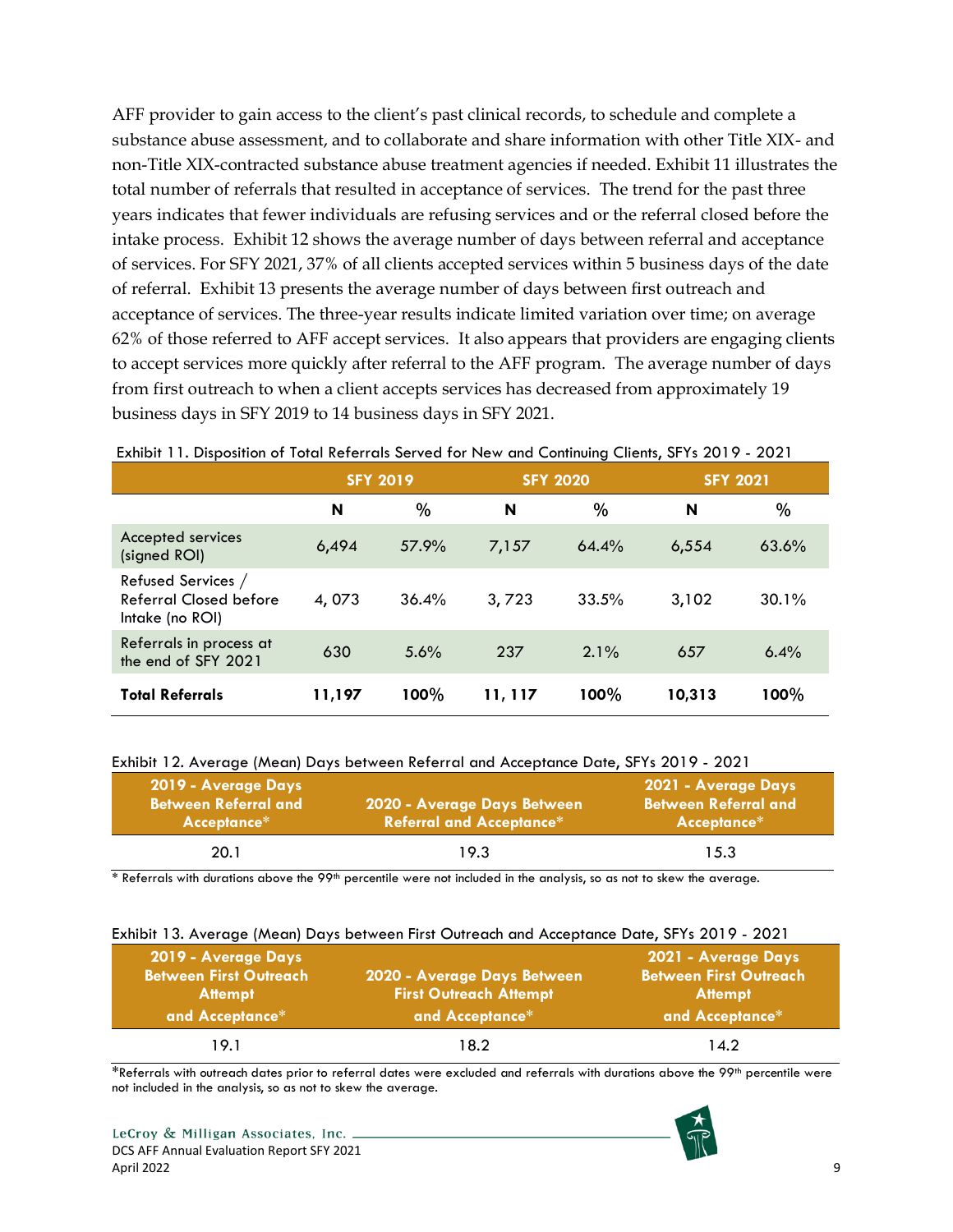AFF provider to gain access to the client's past clinical records, to schedule and complete a substance abuse assessment, and to collaborate and share information with other Title XIX- and non-Title XIX-contracted substance abuse treatment agencies if needed. Exhibit 11 illustrates the total number of referrals that resulted in acceptance of services. The trend for the past three years indicates that fewer individuals are refusing services and or the referral closed before the intake process. Exhibit 12 shows the average number of days between referral and acceptance of services. For SFY 2021, 37% of all clients accepted services within 5 business days of the date of referral. Exhibit 13 presents the average number of days between first outreach and acceptance of services. The three-year results indicate limited variation over time; on average 62% of those referred to AFF accept services. It also appears that providers are engaging clients to accept services more quickly after referral to the AFF program. The average number of days from first outreach to when a client accepts services has decreased from approximately 19 business days in SFY 2019 to 14 business days in SFY 2021.

|                                                                 | <b>SFY 2019</b> |       | <b>SFY 2020</b> |         | <b>SFY 2021</b> |       |
|-----------------------------------------------------------------|-----------------|-------|-----------------|---------|-----------------|-------|
|                                                                 | N               | $\%$  | N               | %       | N               | %     |
| Accepted services<br>(signed ROI)                               | 6,494           | 57.9% | 7,157           | 64.4%   | 6,554           | 63.6% |
| Refused Services /<br>Referral Closed before<br>Intake (no ROI) | 4,073           | 36.4% | 3,723           | 33.5%   | 3,102           | 30.1% |
| Referrals in process at<br>the end of SFY 2021                  | 630             | 5.6%  | 237             | $2.1\%$ | 657             | 6.4%  |
| <b>Total Referrals</b>                                          | 11,197          | 100%  | 11, 117         | 100%    | 10,313          | 100%  |

#### <span id="page-15-0"></span>Exhibit 11. Disposition of Total Referrals Served for New and Continuing Clients, SFYs 2019 - 2021

#### <span id="page-15-1"></span>Exhibit 12. Average (Mean) Days between Referral and Acceptance Date, SFYs 2019 - 2021

| 2019 - Average Days<br><b>Between Referral and</b><br>Acceptance* | 2020 - Average Days Between<br><b>Referral and Acceptance*</b> | 「2021 - Average Days」<br><b>Between Referral and</b><br>Acceptance* |
|-------------------------------------------------------------------|----------------------------------------------------------------|---------------------------------------------------------------------|
| 20.1                                                              | 19.3                                                           | 15.3                                                                |

 $*$  Referrals with durations above the 99<sup>th</sup> percentile were not included in the analysis, so as not to skew the average.

#### <span id="page-15-2"></span>Exhibit 13. Average (Mean) Days between First Outreach and Acceptance Date, SFYs 2019 - 2021

| 2019 - Average Days<br><b>Between First Outreach</b><br><b>Attempt</b><br>and Acceptance* | 2020 - Average Days Between<br><b>First Outreach Attempt</b><br>and Acceptance* | 2021 - Average Days<br><b>Between First Outreach</b><br><b>Attempt</b><br>and Acceptance* |
|-------------------------------------------------------------------------------------------|---------------------------------------------------------------------------------|-------------------------------------------------------------------------------------------|
| 19.1                                                                                      | 18.2                                                                            | 14.2                                                                                      |

\*Referrals with outreach dates prior to referral dates were excluded and referrals with durations above the 99th percentile were not included in the analysis, so as not to skew the average.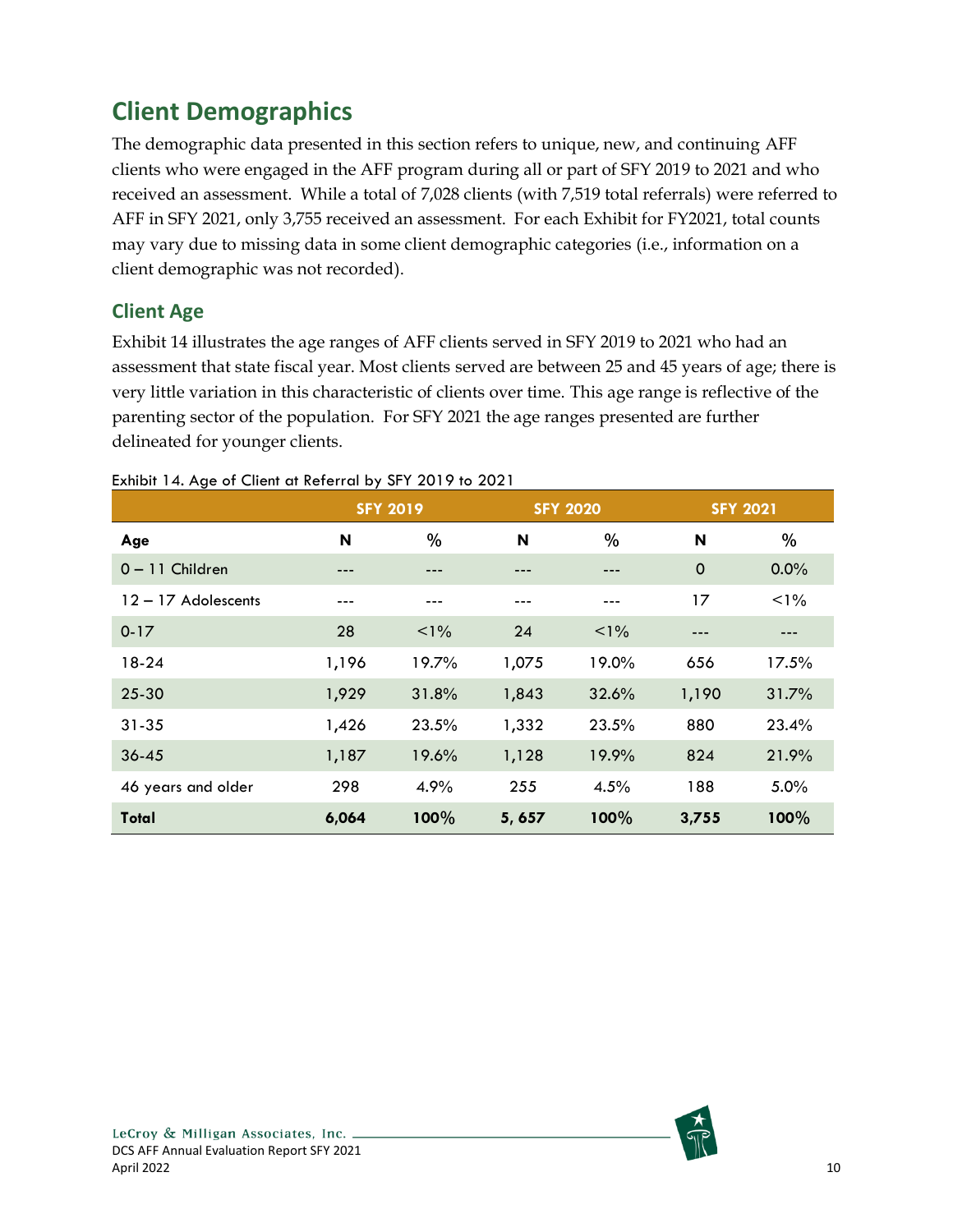# <span id="page-16-0"></span>**Client Demographics**

The demographic data presented in this section refers to unique, new, and continuing AFF clients who were engaged in the AFF program during all or part of SFY 2019 to 2021 and who received an assessment. While a total of 7,028 clients (with 7,519 total referrals) were referred to AFF in SFY 2021, only 3,755 received an assessment. For each Exhibit for FY2021, total counts may vary due to missing data in some client demographic categories (i.e., information on a client demographic was not recorded).

## <span id="page-16-1"></span>**Client Age**

Exhibit 14 illustrates the age ranges of AFF clients served in SFY 2019 to 2021 who had an assessment that state fiscal year. Most clients served are between 25 and 45 years of age; there is very little variation in this characteristic of clients over time. This age range is reflective of the parenting sector of the population. For SFY 2021 the age ranges presented are further delineated for younger clients.

|                       |       | <b>SFY 2019</b> |        | <b>SFY 2020</b> | <b>SFY 2021</b> |         |
|-----------------------|-------|-----------------|--------|-----------------|-----------------|---------|
| Age                   | N     | $\%$            | N      | $\%$            | N               | %       |
| $0 - 11$ Children     | ---   |                 |        |                 | $\mathbf 0$     | $0.0\%$ |
| $12 - 17$ Adolescents | ---   |                 |        |                 | 17              | $< 1\%$ |
| $0 - 17$              | 28    | $1\%$           | 24     | $1\%$           |                 |         |
| $18-24$               | 1,196 | 19.7%           | 1,075  | 19.0%           | 656             | 17.5%   |
| $25 - 30$             | 1,929 | 31.8%           | 1,843  | 32.6%           | 1,190           | 31.7%   |
| $31 - 35$             | 1,426 | 23.5%           | 1,332  | 23.5%           | 880             | 23.4%   |
| $36 - 45$             | 1,187 | 19.6%           | 1,128  | 19.9%           | 824             | 21.9%   |
| 46 years and older    | 298   | 4.9%            | 255    | 4.5%            | 188             | 5.0%    |
| Total                 | 6,064 | 100%            | 5, 657 | 100%            | 3,755           | 100%    |

<span id="page-16-2"></span>Exhibit 14. Age of Client at Referral by SFY 2019 to 2021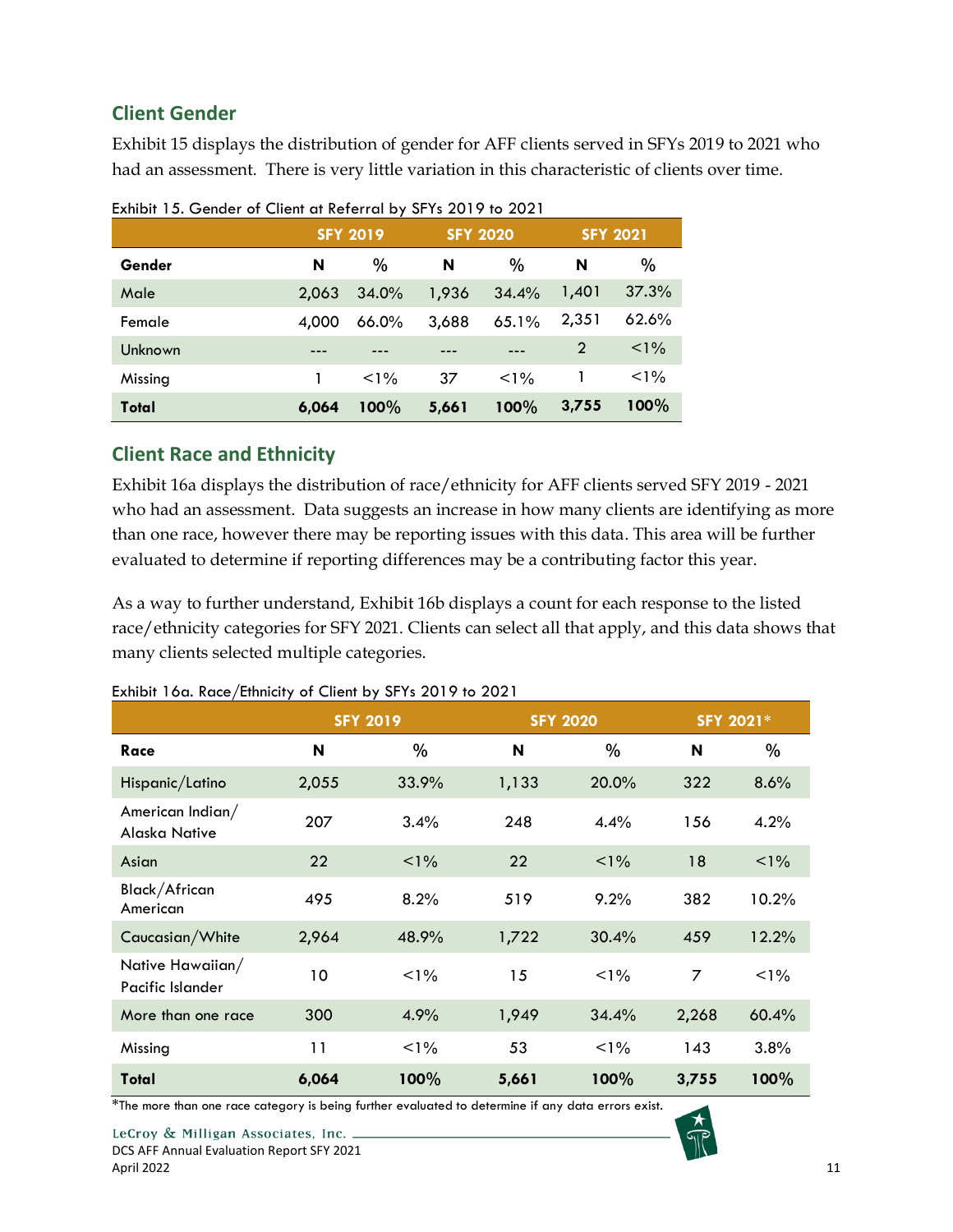## <span id="page-17-0"></span>**Client Gender**

Exhibit 15 displays the distribution of gender for AFF clients served in SFYs 2019 to 2021 who had an assessment. There is very little variation in this characteristic of clients over time.

|         | <b>SFY 2019</b> |          | <b>SFY 2020</b> |         | <b>SFY 2021</b> |         |
|---------|-----------------|----------|-----------------|---------|-----------------|---------|
| Gender  | N               | $\%$     | N               | $\%$    | N               | $\%$    |
| Male    | 2,063           | 34.0%    | 1,936           | 34.4%   | 1,401           | 37.3%   |
| Female  | 4.000           | $66.0\%$ | 3,688           | 65.1%   | 2,351           | 62.6%   |
| Unknown |                 |          |                 |         | 2               | $< 1\%$ |
| Missing |                 | $< 1\%$  | 37              | $< 1\%$ |                 | $1\%$   |
| Total   | 6.064           | 100%     | 5,661           | 100%    | 3,755           | 100%    |

<span id="page-17-2"></span>Exhibit 15. Gender of Client at Referral by SFYs 2019 to 2021

#### <span id="page-17-1"></span>**Client Race and Ethnicity**

Exhibit 16a displays the distribution of race/ethnicity for AFF clients served SFY 2019 - 2021 who had an assessment. Data suggests an increase in how many clients are identifying as more than one race, however there may be reporting issues with this data. This area will be further evaluated to determine if reporting differences may be a contributing factor this year.

As a way to further understand, Exhibit 16b displays a count for each response to the listed race/ethnicity categories for SFY 2021. Clients can select all that apply, and this data shows that many clients selected multiple categories.

|                                      |       | <b>SFY 2019</b> |       | <b>SFY 2020</b> | SFY 2021* |         |
|--------------------------------------|-------|-----------------|-------|-----------------|-----------|---------|
| Race                                 | N     | %               | N     | $\%$            | N         | $\%$    |
| Hispanic/Latino                      | 2,055 | 33.9%           | 1,133 | 20.0%           | 322       | 8.6%    |
| American Indian/<br>Alaska Native    | 207   | 3.4%            | 248   | 4.4%            | 156       | 4.2%    |
| Asian                                | 22    | $1\%$           | 22    | $1\%$           | 18        | $1\%$   |
| Black/African<br>American            | 495   | 8.2%            | 519   | 9.2%            | 382       | 10.2%   |
| Caucasian/White                      | 2,964 | 48.9%           | 1,722 | 30.4%           | 459       | 12.2%   |
| Native Hawaiian/<br>Pacific Islander | 10    | $< 1\%$         | 15    | $< 1\%$         | 7         | $< 1\%$ |
| More than one race                   | 300   | 4.9%            | 1,949 | 34.4%           | 2,268     | 60.4%   |
| Missing                              | 11    | $1\%$           | 53    | $1\%$           | 143       | 3.8%    |
| Total                                | 6,064 | 100%            | 5,661 | 100%            | 3,755     | 100%    |

<span id="page-17-3"></span>Exhibit 16a. Race/Ethnicity of Client by SFYs 2019 to 2021

\*The more than one race category is being further evaluated to determine if any data errors exist.

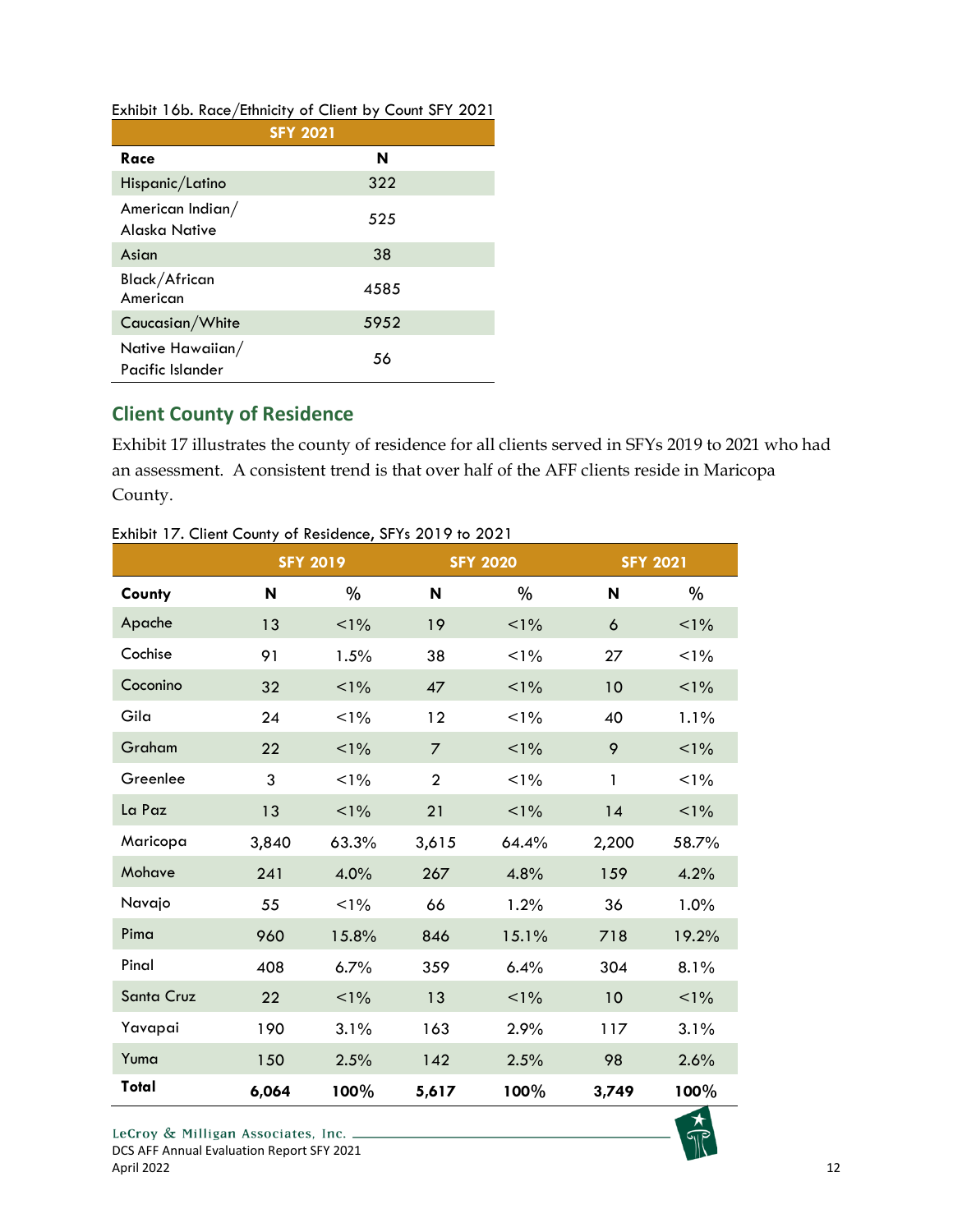<span id="page-18-1"></span>

| Exhibit 16b. Race/Ethnicity of Client by Count SFY 2021 |  |  |  |  |
|---------------------------------------------------------|--|--|--|--|
|---------------------------------------------------------|--|--|--|--|

|                                          | <b>SFY 2021</b> |
|------------------------------------------|-----------------|
| Race                                     | N               |
| Hispanic/Latino                          | 322             |
| American Indian/<br><b>Alaska Native</b> | 525             |
| Asian                                    | 38              |
| Black/African<br>American                | 4585            |
| Caucasian/White                          | 5952            |
| Native Hawaiian/<br>Pacific Islander     | 56              |

## <span id="page-18-0"></span>**Client County of Residence**

Exhibit 17 illustrates the county of residence for all clients served in SFYs 2019 to 2021 who had an assessment. A consistent trend is that over half of the AFF clients reside in Maricopa County.

|            |       | <b>SFY 2019</b> |                | <b>SFY 2020</b> |       | <b>SFY 2021</b> |  |
|------------|-------|-----------------|----------------|-----------------|-------|-----------------|--|
| County     | N     | %               | N              | %               | N     | %               |  |
| Apache     | 13    | $1\%$           | 19             | $< 1\%$         | 6     | $< 1\%$         |  |
| Cochise    | 91    | 1.5%            | 38             | $1\%$           | 27    | $1\%$           |  |
| Coconino   | 32    | $1\%$           | 47             | $1\%$           | 10    | $1\%$           |  |
| Gila       | 24    | $1\%$           | 12             | $1\%$           | 40    | 1.1%            |  |
| Graham     | 22    | $1\%$           | $\overline{7}$ | $1\%$           | 9     | $< 1\%$         |  |
| Greenlee   | 3     | $1\%$           | $\overline{2}$ | $1\%$           | 1     | $1\%$           |  |
| La Paz     | 13    | $< 1\%$         | 21             | $< 1\%$         | 14    | $1\%$           |  |
| Maricopa   | 3,840 | 63.3%           | 3,615          | 64.4%           | 2,200 | 58.7%           |  |
| Mohave     | 241   | 4.0%            | 267            | 4.8%            | 159   | 4.2%            |  |
| Navajo     | 55    | $< 1\%$         | 66             | 1.2%            | 36    | 1.0%            |  |
| Pima       | 960   | 15.8%           | 846            | 15.1%           | 718   | 19.2%           |  |
| Pinal      | 408   | 6.7%            | 359            | 6.4%            | 304   | 8.1%            |  |
| Santa Cruz | 22    | $< 1\%$         | 13             | $< 1\%$         | 10    | $1\%$           |  |
| Yavapai    | 190   | 3.1%            | 163            | 2.9%            | 117   | 3.1%            |  |
| Yuma       | 150   | 2.5%            | 142            | 2.5%            | 98    | 2.6%            |  |
| Total      | 6,064 | 100%            | 5,617          | 100%            | 3,749 | 100%            |  |

<span id="page-18-2"></span>Exhibit 17. Client County of Residence, SFYs 2019 to 2021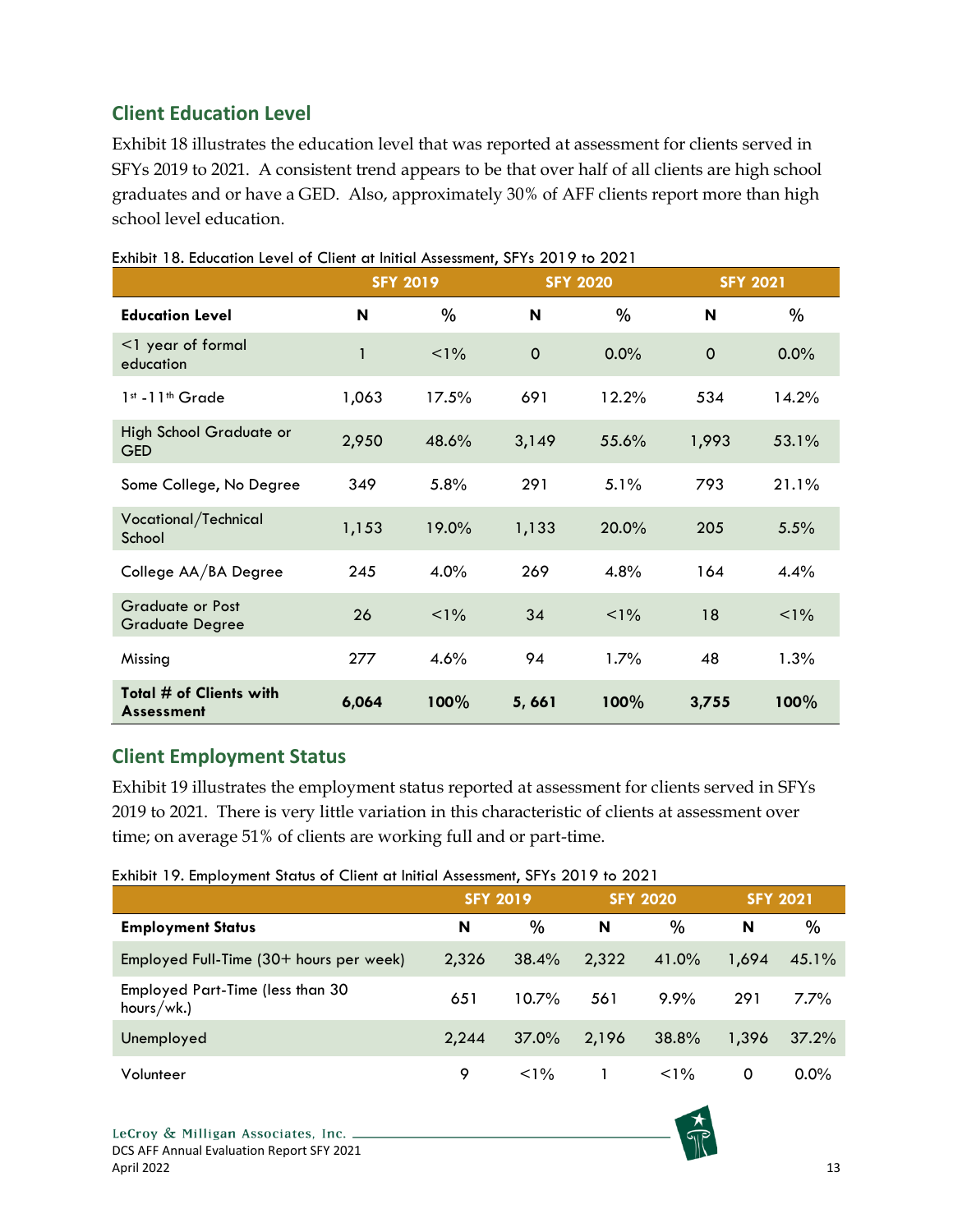## <span id="page-19-0"></span>**Client Education Level**

Exhibit 18 illustrates the education level that was reported at assessment for clients served in SFYs 2019 to 2021. A consistent trend appears to be that over half of all clients are high school graduates and or have a GED. Also, approximately 30% of AFF clients report more than high school level education.

|                                                   |              | <b>SFY 2019</b> |             | <b>SFY 2020</b> | <b>SFY 2021</b> |         |
|---------------------------------------------------|--------------|-----------------|-------------|-----------------|-----------------|---------|
| <b>Education Level</b>                            | N            | %               | N           | $\%$            | N               | %       |
| <1 year of formal<br>education                    | $\mathbf{1}$ | $1\%$           | $\mathbf 0$ | 0.0%            | $\mathbf 0$     | 0.0%    |
| 1st -11th Grade                                   | 1,063        | 17.5%           | 691         | 12.2%           | 534             | 14.2%   |
| High School Graduate or<br><b>GED</b>             | 2,950        | 48.6%           | 3,149       | 55.6%           | 1,993           | 53.1%   |
| Some College, No Degree                           | 349          | 5.8%            | 291         | 5.1%            | 793             | 21.1%   |
| Vocational/Technical<br>School                    | 1,153        | 19.0%           | 1,133       | 20.0%           | 205             | 5.5%    |
| College AA/BA Degree                              | 245          | 4.0%            | 269         | 4.8%            | 164             | 4.4%    |
| <b>Graduate or Post</b><br><b>Graduate Degree</b> | 26           | $1\%$           | 34          | $< 1\%$         | 18              | $< 1\%$ |
| Missing                                           | 277          | 4.6%            | 94          | 1.7%            | 48              | 1.3%    |
| Total # of Clients with<br><b>Assessment</b>      | 6,064        | 100%            | 5,661       | 100%            | 3,755           | 100%    |

#### <span id="page-19-2"></span>Exhibit 18. Education Level of Client at Initial Assessment, SFYs 2019 to 2021

#### <span id="page-19-1"></span>**Client Employment Status**

Exhibit 19 illustrates the employment status reported at assessment for clients served in SFYs 2019 to 2021. There is very little variation in this characteristic of clients at assessment over time; on average 51% of clients are working full and or part-time.

<span id="page-19-3"></span>

|  |  |  | Exhibit 19. Employment Status of Client at Initial Assessment, SFYs 2019 to 2021 |  |  |
|--|--|--|----------------------------------------------------------------------------------|--|--|
|--|--|--|----------------------------------------------------------------------------------|--|--|

|                                                | <b>SFY 2019</b> |          |       | <b>SFY 2020</b> |       | <b>SFY 2021</b> |
|------------------------------------------------|-----------------|----------|-------|-----------------|-------|-----------------|
| <b>Employment Status</b>                       | N               | %        | N     | $\%$            | N     | %               |
| Employed Full-Time $(30+)$ hours per week)     | 2,326           | 38.4%    | 2,322 | 41.0%           | 1.694 | 45.1%           |
| Employed Part-Time (less than 30<br>hours/wk.) | 651             | $10.7\%$ | 561   | 9.9%            | 291   | $7.7\%$         |
| Unemployed                                     | 2.244           | $37.0\%$ | 2,196 | 38.8%           | 1.396 | 37.2%           |
| Volunteer                                      | 9               | $< 1\%$  |       | $< 1\%$         | 0     | $0.0\%$         |

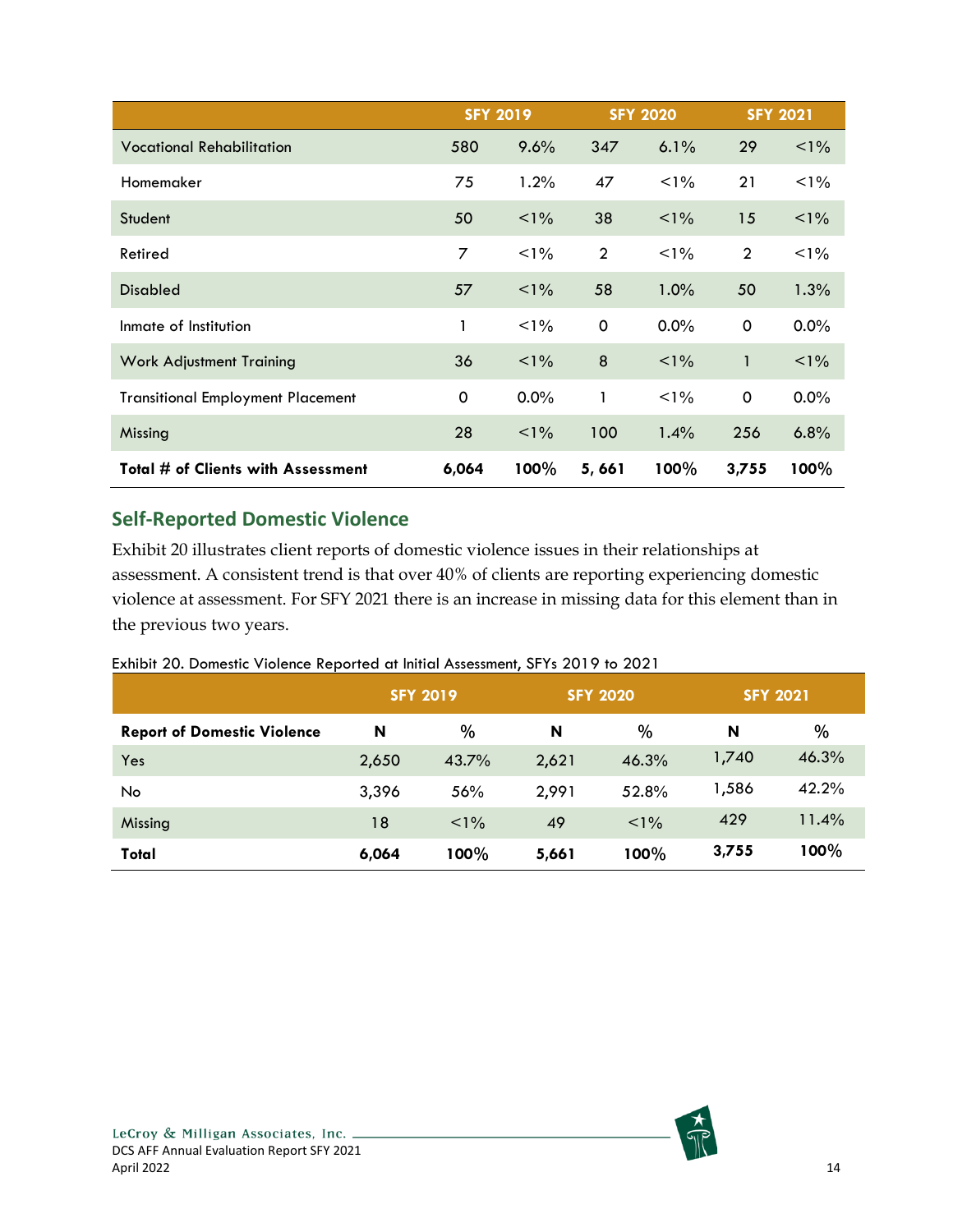|                                          | <b>SFY 2019</b> |         |                | <b>SFY 2020</b> |                | <b>SFY 2021</b> |
|------------------------------------------|-----------------|---------|----------------|-----------------|----------------|-----------------|
| <b>Vocational Rehabilitation</b>         | 580             | 9.6%    | 347            | 6.1%            | 29             | $< 1\%$         |
| Homemaker                                | 75              | 1.2%    | 47             | $1\%$           | 21             | $1\%$           |
| Student                                  | 50              | $1\%$   | 38             | $1\%$           | 15             | $1\%$           |
| Retired                                  | 7               | $1\%$   | $\overline{2}$ | $1\%$           | $\overline{2}$ | $1\%$           |
| <b>Disabled</b>                          | 57              | $< 1\%$ | 58             | $1.0\%$         | 50             | 1.3%            |
| Inmate of Institution                    | 1               | $1\%$   | 0              | $0.0\%$         | 0              | 0.0%            |
| <b>Work Adjustment Training</b>          | 36              | $1\%$   | 8              | $1\%$           | 1              | $1\%$           |
| <b>Transitional Employment Placement</b> | 0               | $0.0\%$ | 1              | $1\%$           | 0              | 0.0%            |
| Missing                                  | 28              | $1\%$   | 100            | 1.4%            | 256            | 6.8%            |
| Total # of Clients with Assessment       | 6,064           | 100%    | 5,661          | 100%            | 3,755          | 100%            |

### <span id="page-20-0"></span>**Self-Reported Domestic Violence**

Exhibit 20 illustrates client reports of domestic violence issues in their relationships at assessment. A consistent trend is that over 40% of clients are reporting experiencing domestic violence at assessment. For SFY 2021 there is an increase in missing data for this element than in the previous two years.

#### <span id="page-20-1"></span>Exhibit 20. Domestic Violence Reported at Initial Assessment, SFYs 2019 to 2021

|                                    | <b>SFY 2019</b> |         | <b>SFY 2020</b> |       | <b>SFY 2021</b> |       |
|------------------------------------|-----------------|---------|-----------------|-------|-----------------|-------|
| <b>Report of Domestic Violence</b> | N               | $\%$    | N               | %     | N               | %     |
| Yes                                | 2,650           | 43.7%   | 2,621           | 46.3% | 1,740           | 46.3% |
| No                                 | 3,396           | 56%     | 2,991           | 52.8% | 1,586           | 42.2% |
| Missing                            | 18              | $1\%$   | 49              | $1\%$ | 429             | 11.4% |
| Total                              | 6,064           | $100\%$ | 5,661           | 100%  | 3,755           | 100%  |

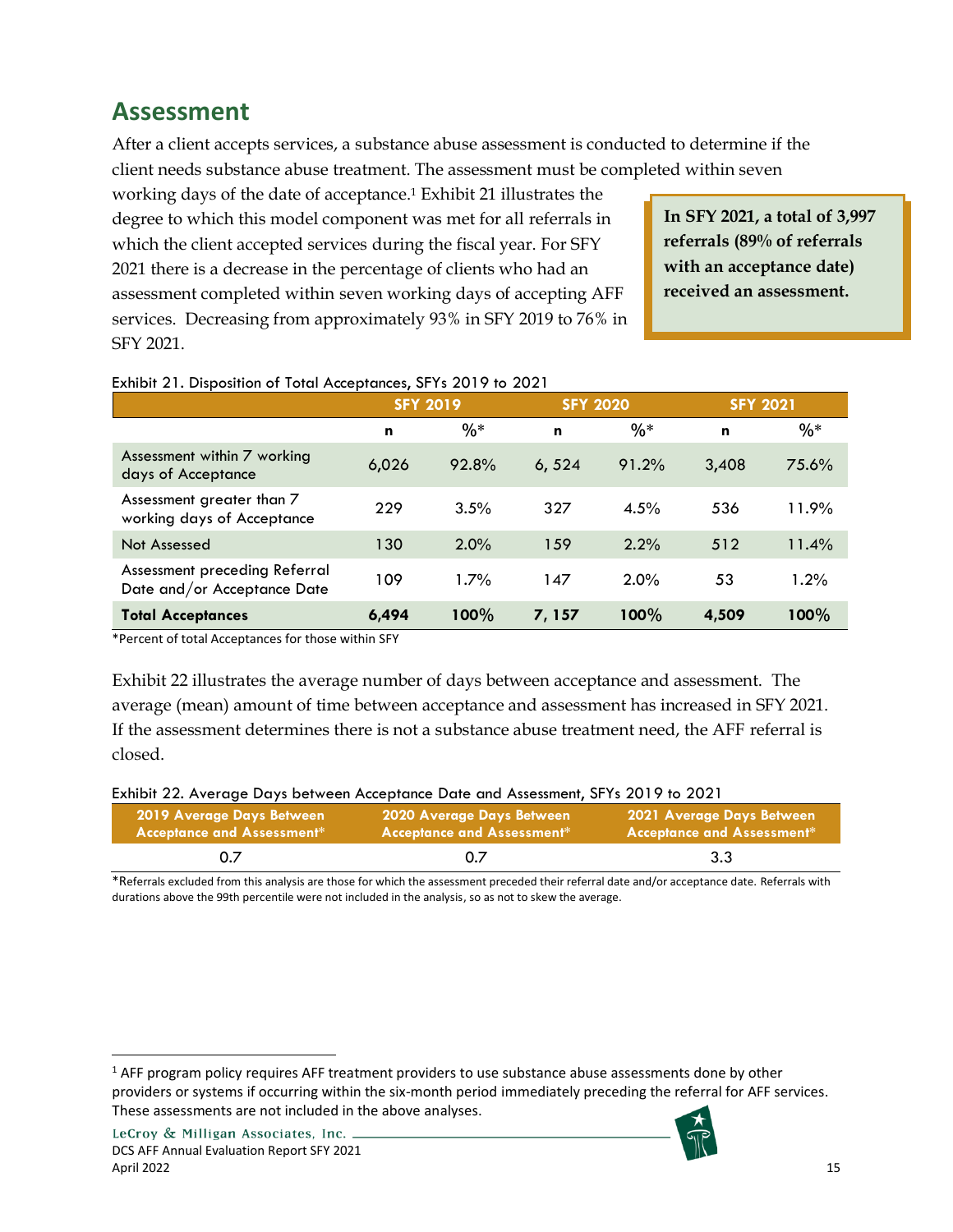# <span id="page-21-0"></span>**Assessment**

After a client accepts services, a substance abuse assessment is conducted to determine if the client needs substance abuse treatment. The assessment must be completed within seven

working days of the date of acceptance.<sup>1</sup> Exhibit 21 illustrates the degree to which this model component was met for all referrals in which the client accepted services during the fiscal year. For SFY 2021 there is a decrease in the percentage of clients who had an assessment completed within seven working days of accepting AFF services. Decreasing from approximately 93% in SFY 2019 to 76% in SFY 2021.

• **referrals (89% of referrals In SFY 2021, a total of 3,997 with an acceptance date) received an assessment.**

**A total** 

|                                                              | <b>SFY 2019</b> |         | <b>SFY 2020</b> |         | <b>SFY 2021</b> |       |
|--------------------------------------------------------------|-----------------|---------|-----------------|---------|-----------------|-------|
|                                                              | n               | $%$ *   | n               | $%$ *   | n               | $%$ * |
| Assessment within 7 working<br>days of Acceptance            | 6,026           | 92.8%   | 6,524           | 91.2%   | 3,408           | 75.6% |
| Assessment greater than 7<br>working days of Acceptance      | 229             | 3.5%    | 327             | 4.5%    | 536             | 11.9% |
| Not Assessed                                                 | 130             | $2.0\%$ | 159             | 2.2%    | 512             | 11.4% |
| Assessment preceding Referral<br>Date and/or Acceptance Date | 109             | 1.7%    | 147             | $2.0\%$ | 53              | 1.2%  |
| <b>Total Acceptances</b>                                     | 6,494           | 100%    | 7, 157          | 100%    | 4,509           | 100%  |

#### <span id="page-21-1"></span>Exhibit 21. Disposition of Total Acceptances, SFYs 2019 to 2021

\*Percent of total Acceptances for those within SFY

Exhibit 22 illustrates the average number of days between acceptance and assessment. The average (mean) amount of time between acceptance and assessment has increased in SFY 2021. If the assessment determines there is not a substance abuse treatment need, the AFF referral is closed.

#### <span id="page-21-2"></span>Exhibit 22. Average Days between Acceptance Date and Assessment, SFYs 2019 to 2021

| 2019 Average Days Between         | 2020 Average Days Between         | 2021 Average Days Between         |
|-----------------------------------|-----------------------------------|-----------------------------------|
| <b>Acceptance and Assessment*</b> | <b>Acceptance and Assessment*</b> | <b>Acceptance and Assessment*</b> |
|                                   |                                   | 3.3                               |

\*Referrals excluded from this analysis are those for which the assessment preceded their referral date and/or acceptance date. Referrals with durations above the 99th percentile were not included in the analysis, so as not to skew the average.



<sup>&</sup>lt;sup>1</sup> AFF program policy requires AFF treatment providers to use substance abuse assessments done by other providers or systems if occurring within the six-month period immediately preceding the referral for AFF services. These assessments are not included in the above analyses.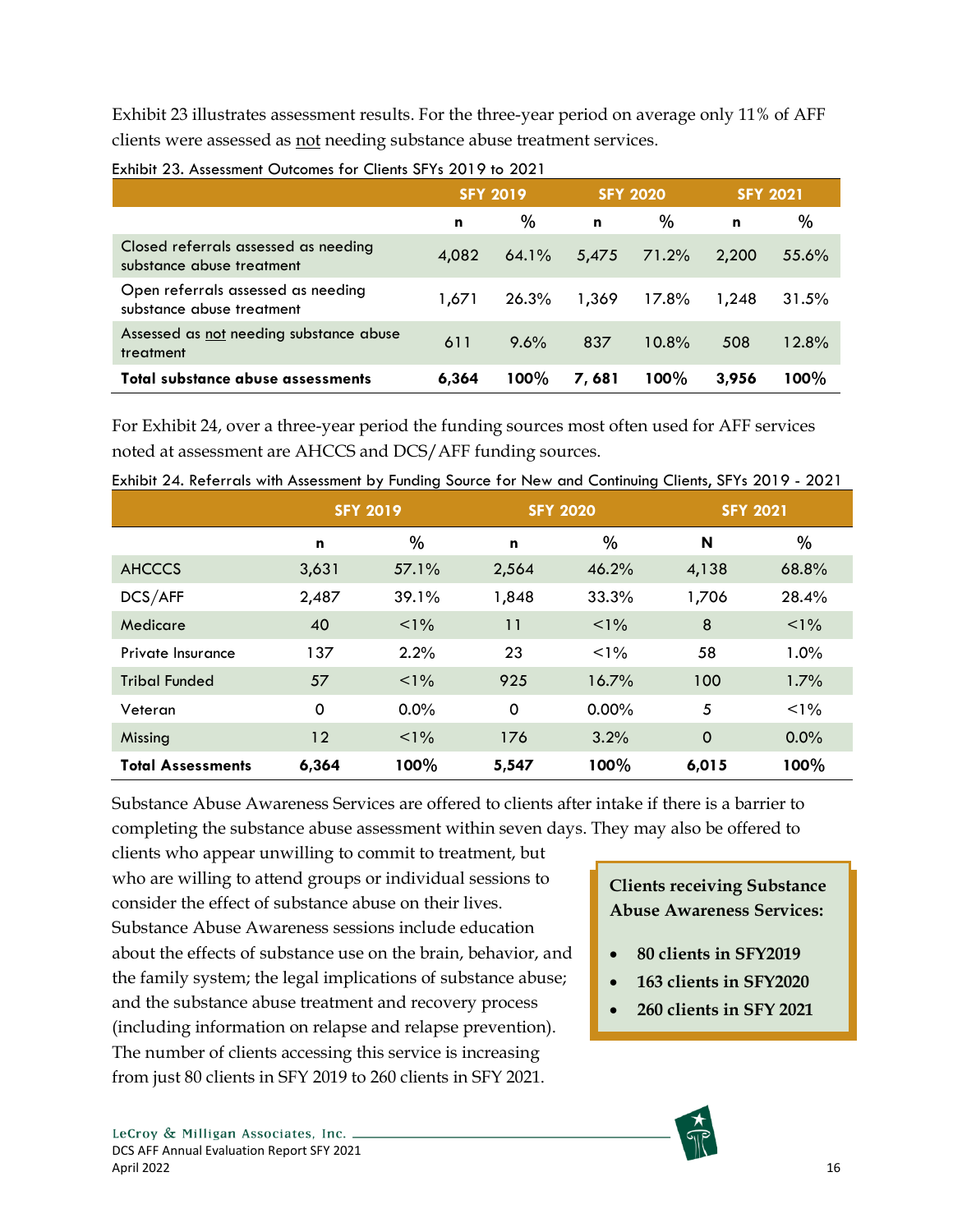Exhibit 23 illustrates assessment results. For the three-year period on average only 11% of AFF clients were assessed as not needing substance abuse treatment services.

|                                                                   | <b>SFY 2019</b> |         | <b>SFY 2020</b> |         | <b>SFY 2021</b> |         |
|-------------------------------------------------------------------|-----------------|---------|-----------------|---------|-----------------|---------|
|                                                                   | n               | $\%$    | n               | $\%$    | n               | $\%$    |
| Closed referrals assessed as needing<br>substance abuse treatment | 4,082           | 64.1%   | 5,475           | 71.2%   | 2,200           | 55.6%   |
| Open referrals assessed as needing<br>substance abuse treatment   | 1.671           | 26.3%   | 1,369           | 17.8%   | 1.248           | 31.5%   |
| Assessed as not needing substance abuse<br>treatment              | 611             | 9.6%    | 837             | 10.8%   | 508             | 12.8%   |
| Total substance abuse assessments                                 | 6,364           | $100\%$ | 7,681           | $100\%$ | 3.956           | $100\%$ |

<span id="page-22-0"></span>

| Exhibit 23. Assessment Outcomes for Clients SFYs 2019 to 2021 |  |  |  |
|---------------------------------------------------------------|--|--|--|
|---------------------------------------------------------------|--|--|--|

For Exhibit 24, over a three-year period the funding sources most often used for AFF services noted at assessment are AHCCS and DCS/AFF funding sources.

|                          | <b>SFY 2019</b> |         |          | <b>SFY 2020</b> | <b>SFY 2021</b> |         |  |
|--------------------------|-----------------|---------|----------|-----------------|-----------------|---------|--|
|                          | n               | %       | n        | %               | N               | %       |  |
| <b>AHCCCS</b>            | 3,631           | 57.1%   | 2,564    | 46.2%           | 4,138           | 68.8%   |  |
| DCS/AFF                  | 2,487           | 39.1%   | 1,848    | 33.3%           | 1,706           | 28.4%   |  |
| Medicare                 | 40              | $1\%$   | 11       | $< 1\%$         | 8               | $1\%$   |  |
| Private Insurance        | 137             | 2.2%    | 23       | $1\%$           | 58              | 1.0%    |  |
| <b>Tribal Funded</b>     | 57              | $< 1\%$ | 925      | 16.7%           | 100             | 1.7%    |  |
| Veteran                  | 0               | $0.0\%$ | $\Omega$ | $0.00\%$        | 5               | $1\%$   |  |
| Missing                  | 12              | $< 1\%$ | 176      | 3.2%            | $\mathbf 0$     | $0.0\%$ |  |
| <b>Total Assessments</b> | 6,364           | 100%    | 5,547    | 100%            | 6,015           | 100%    |  |

<span id="page-22-1"></span>Exhibit 24. Referrals with Assessment by Funding Source for New and Continuing Clients, SFYs 2019 - 2021

Substance Abuse Awareness Services are offered to clients after intake if there is a barrier to completing the substance abuse assessment within seven days. They may also be offered to

clients who appear unwilling to commit to treatment, but who are willing to attend groups or individual sessions to consider the effect of substance abuse on their lives. Substance Abuse Awareness sessions include education about the effects of substance use on the brain, behavior, and the family system; the legal implications of substance abuse; and the substance abuse treatment and recovery process (including information on relapse and relapse prevention). The number of clients accessing this service is increasing from just 80 clients in SFY 2019 to 260 clients in SFY 2021.

## • **Abuse Awareness Services: Clients receiving Substance**

- **80 clients in SFY2019**
- **163 clients in SFY2020**
- **260 clients in SFY 2021**

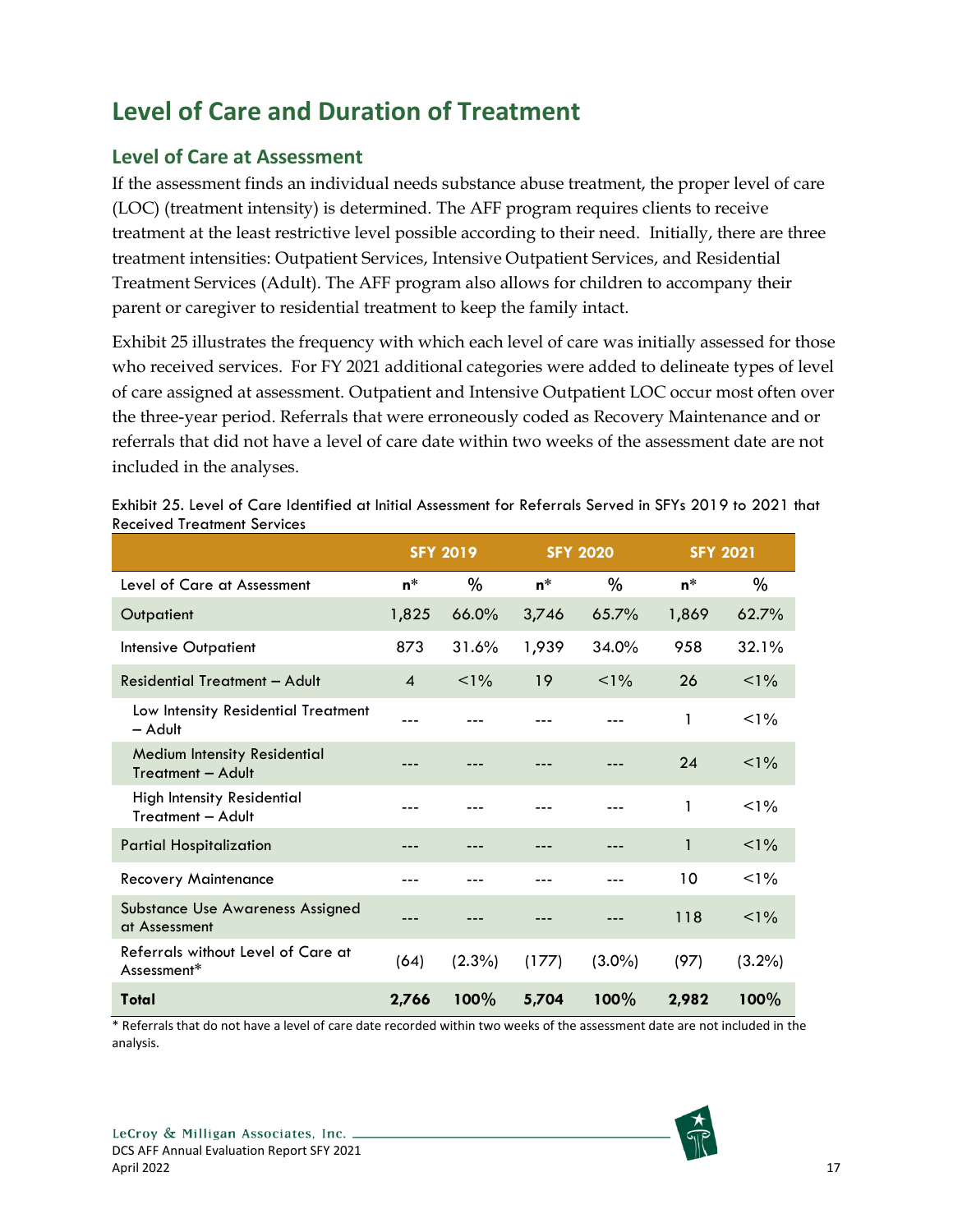# <span id="page-23-0"></span>**Level of Care and Duration of Treatment**

### <span id="page-23-1"></span>**Level of Care at Assessment**

If the assessment finds an individual needs substance abuse treatment, the proper level of care (LOC) (treatment intensity) is determined. The AFF program requires clients to receive treatment at the least restrictive level possible according to their need. Initially, there are three treatment intensities: Outpatient Services, Intensive Outpatient Services, and Residential Treatment Services (Adult). The AFF program also allows for children to accompany their parent or caregiver to residential treatment to keep the family intact.

Exhibit 25 illustrates the frequency with which each level of care was initially assessed for those who received services. For FY 2021 additional categories were added to delineate types of level of care assigned at assessment. Outpatient and Intensive Outpatient LOC occur most often over the three-year period. Referrals that were erroneously coded as Recovery Maintenance and or referrals that did not have a level of care date within two weeks of the assessment date are not included in the analyses.

|                                                   | <b>SFY 2019</b>        |           | <b>SFY 2020</b> |           | <b>SFY 2021</b> |           |
|---------------------------------------------------|------------------------|-----------|-----------------|-----------|-----------------|-----------|
| Level of Care at Assessment                       | $n^*$                  | %         | $n^*$           | $\%$      | n*              | %         |
| Outpatient                                        | 1,825                  | 66.0%     | 3,746           | 65.7%     | 1,869           | 62.7%     |
| Intensive Outpatient                              | 873                    | 31.6%     | 1,939           | 34.0%     | 958             | 32.1%     |
| Residential Treatment - Adult                     | $\boldsymbol{\Lambda}$ | $< 1\%$   | 19              | $<1\%$    | 26              | $1\%$     |
| Low Intensity Residential Treatment<br>- Adult    |                        |           |                 |           | 1               | $< 1\%$   |
| Medium Intensity Residential<br>Treatment - Adult |                        |           |                 |           | 24              | $< 1\%$   |
| High Intensity Residential<br>Treatment - Adult   |                        |           |                 |           | 1               | $< 1\%$   |
| <b>Partial Hospitalization</b>                    |                        |           |                 |           | $\mathbf{1}$    | $1\%$     |
| <b>Recovery Maintenance</b>                       |                        |           |                 |           | 10              | $< 1\%$   |
| Substance Use Awareness Assigned<br>at Assessment |                        |           |                 |           | 118             | $1\%$     |
| Referrals without Level of Care at<br>Assessment* | (64)                   | $(2.3\%)$ | (177)           | $(3.0\%)$ | (97)            | $(3.2\%)$ |
| Total                                             | 2,766                  | 100%      | 5,704           | 100%      | 2,982           | 100%      |

<span id="page-23-2"></span>Exhibit 25. Level of Care Identified at Initial Assessment for Referrals Served in SFYs 2019 to 2021 that Received Treatment Services

\* Referrals that do not have a level of care date recorded within two weeks of the assessment date are not included in the analysis.

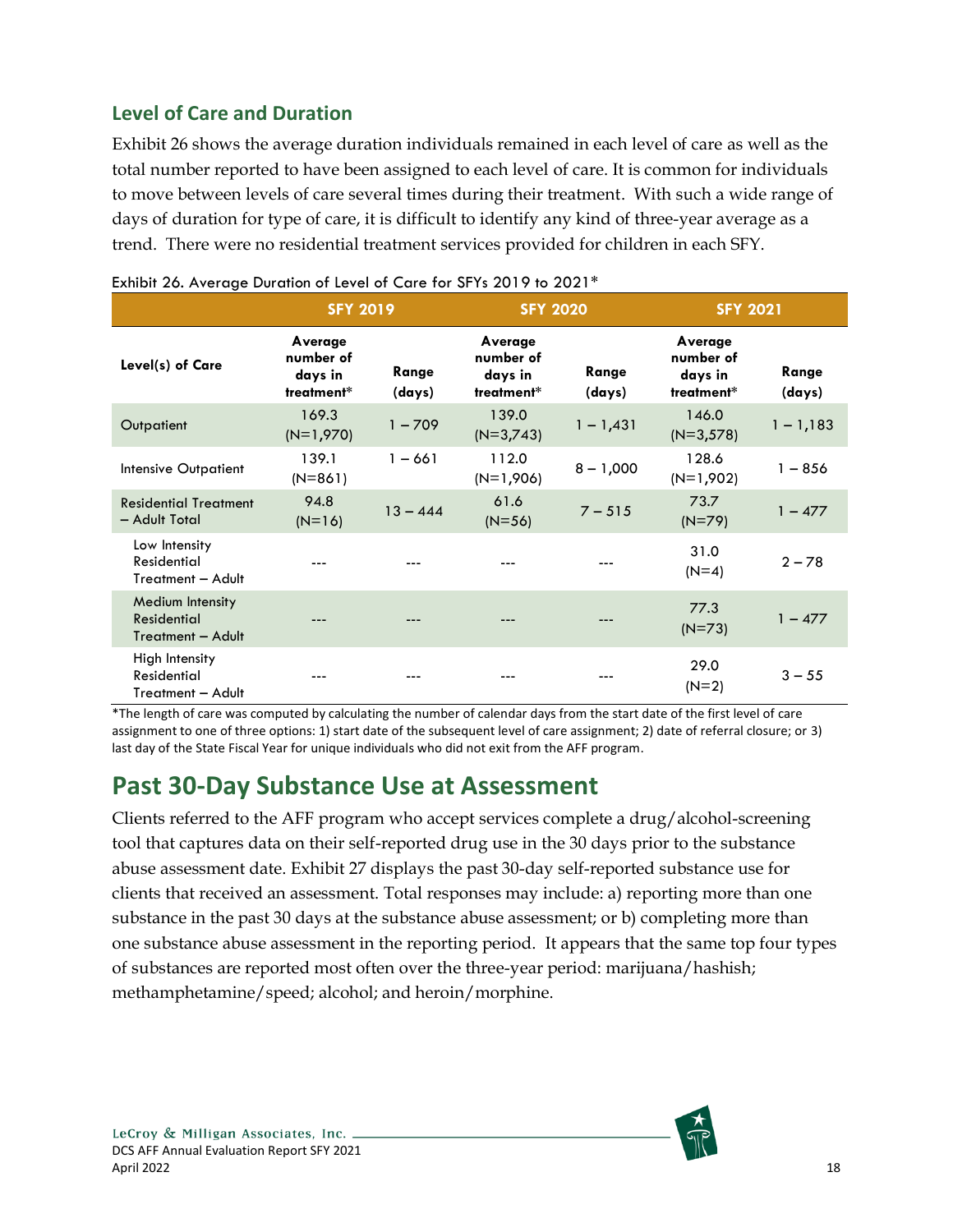## <span id="page-24-0"></span>**Level of Care and Duration**

Exhibit 26 shows the average duration individuals remained in each level of care as well as the total number reported to have been assigned to each level of care. It is common for individuals to move between levels of care several times during their treatment. With such a wide range of days of duration for type of care, it is difficult to identify any kind of three-year average as a trend. There were no residential treatment services provided for children in each SFY.

|                                                           |                                               | <b>SFY 2019</b> |                                               | <b>SFY 2020</b> |                                               | <b>SFY 2021</b> |
|-----------------------------------------------------------|-----------------------------------------------|-----------------|-----------------------------------------------|-----------------|-----------------------------------------------|-----------------|
| Level(s) of Care                                          | Average<br>number of<br>days in<br>treatment* | Range<br>(days) | Average<br>number of<br>days in<br>treatment* | Range<br>(days) | Average<br>number of<br>days in<br>treatment* | Range<br>(days) |
| Outpatient                                                | 169.3<br>$(N=1,970)$                          | $1 - 709$       | 139.0<br>$(N=3,743)$                          | $1 - 1,431$     | 146.0<br>$(N=3,578)$                          | $1 - 1,183$     |
| Intensive Outpatient                                      | 139.1<br>$(N=861)$                            | $1 - 661$       | 112.0<br>$(N=1,906)$                          | $8 - 1,000$     | 128.6<br>$(N=1,902)$                          | $1 - 856$       |
| <b>Residential Treatment</b><br>- Adult Total             | 94.8<br>$(N=16)$                              | $13 - 444$      | 61.6<br>$(N=56)$                              | $7 - 515$       | 73.7<br>$(N=79)$                              | $1 - 477$       |
| Low Intensity<br>Residential<br>Treatment - Adult         |                                               |                 |                                               |                 | 31.0<br>$(N=4)$                               | $2 - 78$        |
| Medium Intensity<br>Residential<br>Treatment - Adult      |                                               |                 |                                               |                 | 77.3<br>$(N=73)$                              | $1 - 477$       |
| High Intensity<br><b>Residential</b><br>Treatment - Adult |                                               |                 |                                               |                 | 29.0<br>$(N=2)$                               | $3 - 55$        |

<span id="page-24-2"></span>

\*The length of care was computed by calculating the number of calendar days from the start date of the first level of care assignment to one of three options: 1) start date of the subsequent level of care assignment; 2) date of referral closure; or 3) last day of the State Fiscal Year for unique individuals who did not exit from the AFF program.

## <span id="page-24-1"></span>**Past 30-Day Substance Use at Assessment**

Clients referred to the AFF program who accept services complete a drug/alcohol-screening tool that captures data on their self-reported drug use in the 30 days prior to the substance abuse assessment date. Exhibit 27 displays the past 30-day self-reported substance use for clients that received an assessment. Total responses may include: a) reporting more than one substance in the past 30 days at the substance abuse assessment; or b) completing more than one substance abuse assessment in the reporting period. It appears that the same top four types of substances are reported most often over the three-year period: marijuana/hashish; methamphetamine/speed; alcohol; and heroin/morphine.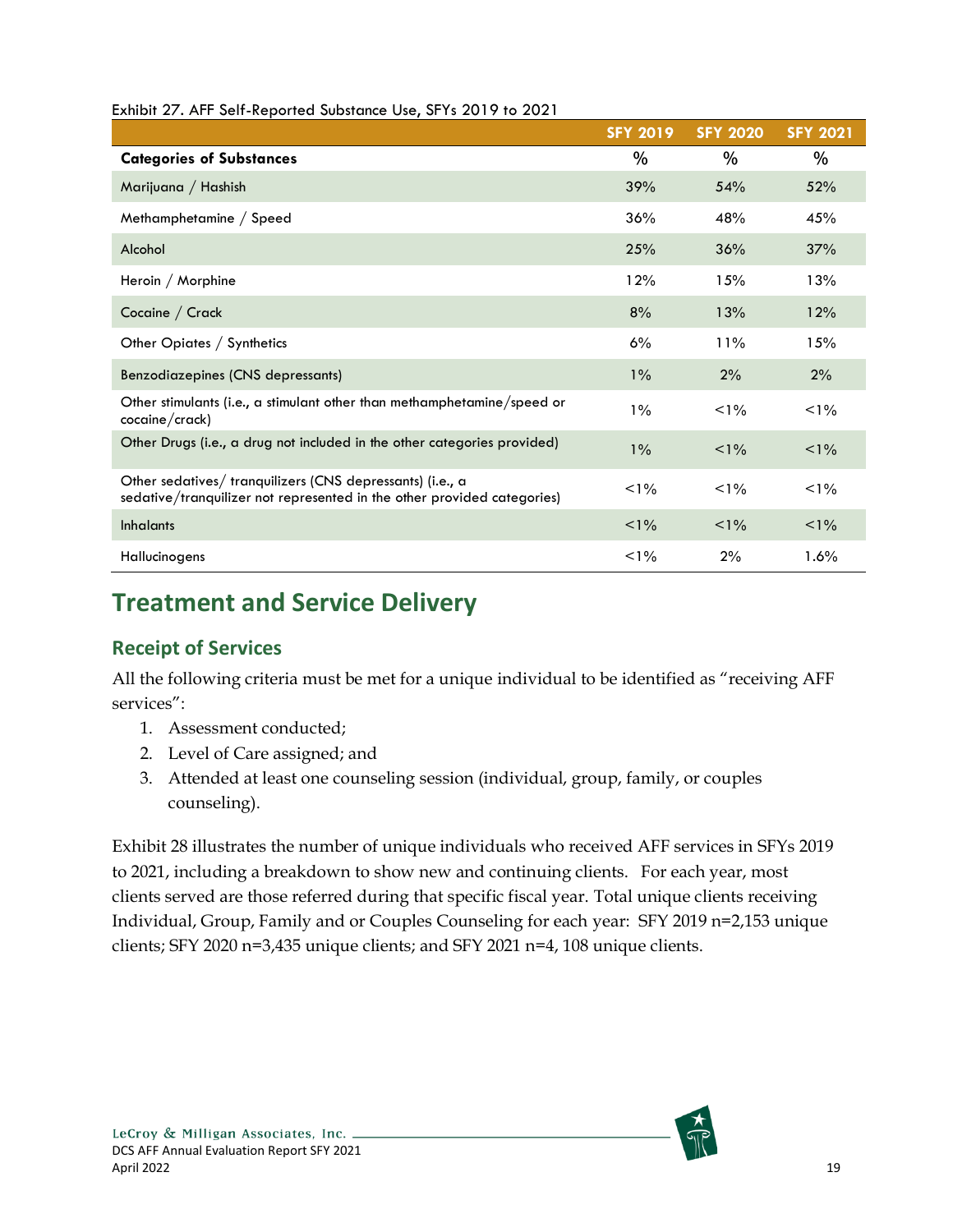| $27.11011$ $27.1111$ $38.11$ $18.10$ $18.100$ $18.100$ $18.100$ $18.100$ $18.100$ $18.100$ $18.100$ $18.100$ $18.100$ $18.100$ $18.100$ $18.100$ $18.100$ $18.100$ $18.100$ $18.100$ $18.100$ $18.100$ $18.100$ $18.100$ $18.$ | <b>SFY 2019</b> | <b>SFY 2020</b> | <b>SFY 2021</b> |
|--------------------------------------------------------------------------------------------------------------------------------------------------------------------------------------------------------------------------------|-----------------|-----------------|-----------------|
| <b>Categories of Substances</b>                                                                                                                                                                                                | %               | $\%$            | %               |
| Marijuana / Hashish                                                                                                                                                                                                            | 39%             | 54%             | 52%             |
| Methamphetamine / Speed                                                                                                                                                                                                        | 36%             | 48%             | 45%             |
| Alcohol                                                                                                                                                                                                                        | 25%             | 36%             | 37%             |
| Heroin / Morphine                                                                                                                                                                                                              | 12%             | 15%             | 13%             |
| Cocaine / Crack                                                                                                                                                                                                                | 8%              | 13%             | 12%             |
| Other Opiates / Synthetics                                                                                                                                                                                                     | 6%              | 11%             | 15%             |
| Benzodiazepines (CNS depressants)                                                                                                                                                                                              | $1\%$           | 2%              | 2%              |
| Other stimulants (i.e., a stimulant other than methamphetamine/speed or<br>cocaine/crack)                                                                                                                                      | $1\%$           | $1\%$           | $1\%$           |
| Other Drugs (i.e., a drug not included in the other categories provided)                                                                                                                                                       | $1\%$           | $1\%$           | $< 1\%$         |
| Other sedatives/ tranquilizers (CNS depressants) (i.e., a<br>sedative/tranquilizer not represented in the other provided categories)                                                                                           | $1\%$           | $1\%$           | $1\%$           |
| <b>Inhalants</b>                                                                                                                                                                                                               | $1\%$           | $1\%$           | $1\%$           |
| Hallucinogens                                                                                                                                                                                                                  | $1\%$           | 2%              | 1.6%            |

#### <span id="page-25-2"></span>Exhibit 27. AFF Self-Reported Substance Use, SFYs 2019 to 2021

## <span id="page-25-0"></span>**Treatment and Service Delivery**

### <span id="page-25-1"></span>**Receipt of Services**

All the following criteria must be met for a unique individual to be identified as "receiving AFF services":

- 1. Assessment conducted;
- 2. Level of Care assigned; and
- 3. Attended at least one counseling session (individual, group, family, or couples counseling).

Exhibit 28 illustrates the number of unique individuals who received AFF services in SFYs 2019 to 2021, including a breakdown to show new and continuing clients. For each year, most clients served are those referred during that specific fiscal year. Total unique clients receiving Individual, Group, Family and or Couples Counseling for each year: SFY 2019 n=2,153 unique clients; SFY 2020 n=3,435 unique clients; and SFY 2021 n=4, 108 unique clients.

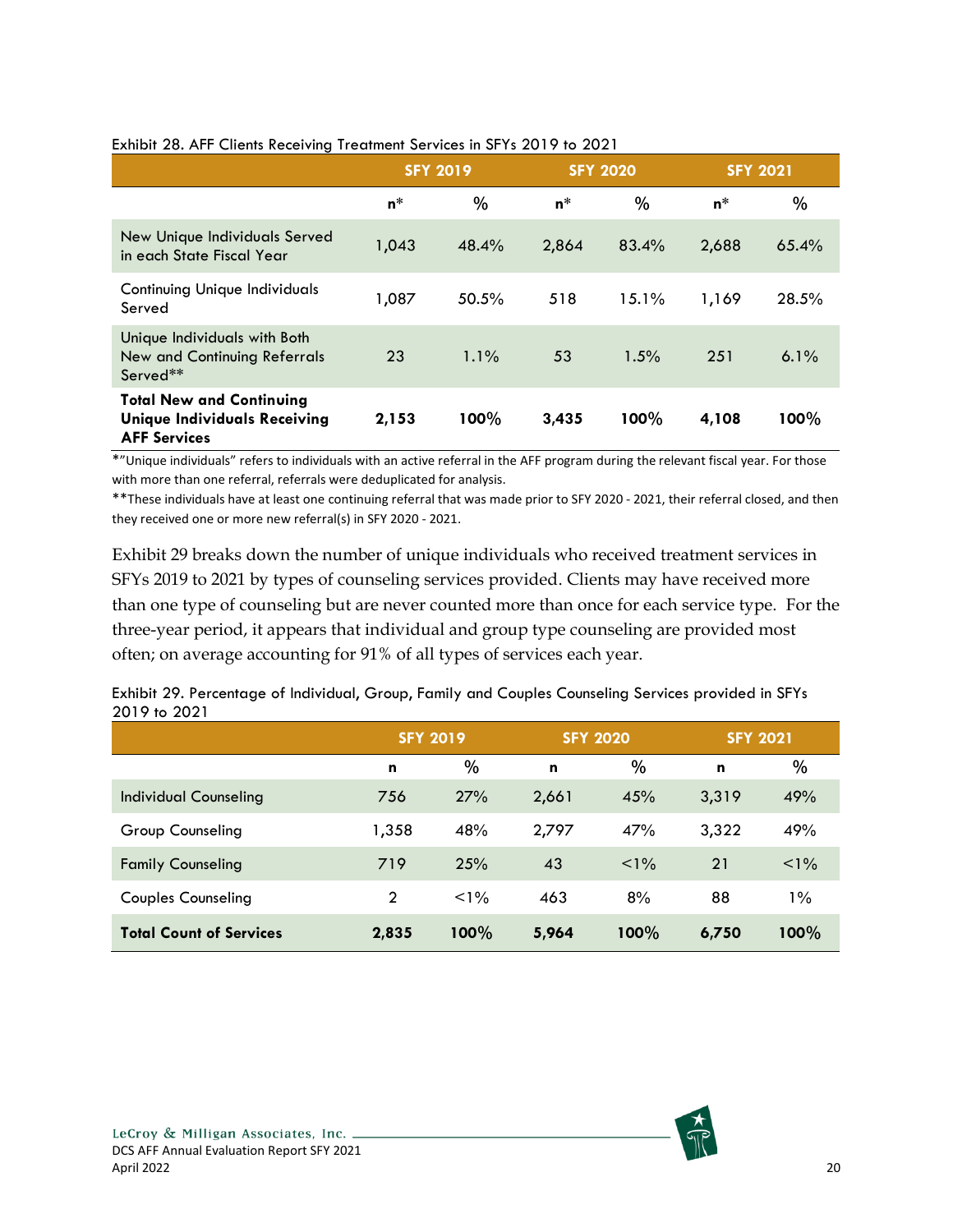|                                                                                               | <b>SFY 2019</b> |         | <b>SFY 2020</b> |       | <b>SFY 2021</b> |         |
|-----------------------------------------------------------------------------------------------|-----------------|---------|-----------------|-------|-----------------|---------|
|                                                                                               | $n^*$           | %       | $n^*$           | $\%$  | $n^*$           | %       |
| New Unique Individuals Served<br>in each State Fiscal Year                                    | 1,043           | 48.4%   | 2,864           | 83.4% | 2,688           | 65.4%   |
| <b>Continuing Unique Individuals</b><br>Served                                                | 1,087           | 50.5%   | 518             | 15.1% | 1,169           | 28.5%   |
| Unique Individuals with Both<br>New and Continuing Referrals<br>Served**                      | 23              | $1.1\%$ | 53              | 1.5%  | 251             | $6.1\%$ |
| <b>Total New and Continuing</b><br><b>Unique Individuals Receiving</b><br><b>AFF Services</b> | 2,153           | 100%    | 3,435           | 100%  | 4,108           | 100%    |

#### <span id="page-26-0"></span>Exhibit 28. AFF Clients Receiving Treatment Services in SFYs 2019 to 2021

\*"Unique individuals" refers to individuals with an active referral in the AFF program during the relevant fiscal year. For those with more than one referral, referrals were deduplicated for analysis.

\*\*These individuals have at least one continuing referral that was made prior to SFY 2020 - 2021, their referral closed, and then they received one or more new referral(s) in SFY 2020 - 2021.

Exhibit 29 breaks down the number of unique individuals who received treatment services in SFYs 2019 to 2021 by types of counseling services provided. Clients may have received more than one type of counseling but are never counted more than once for each service type. For the three-year period, it appears that individual and group type counseling are provided most often; on average accounting for 91% of all types of services each year.

|                                | <b>SFY 2019</b> |         | <b>SFY 2020</b> |         | <b>SFY 2021</b> |       |
|--------------------------------|-----------------|---------|-----------------|---------|-----------------|-------|
|                                | n               | $\%$    | n               | $\%$    | n               | %     |
| Individual Counseling          | 756             | 27%     | 2,661           | 45%     | 3,319           | 49%   |
| Group Counseling               | 1,358           | 48%     | 2,797           | 47%     | 3,322           | 49%   |
| <b>Family Counseling</b>       | 719             | 25%     | 43              | $< 1\%$ | 21              | $1\%$ |
| <b>Couples Counseling</b>      | $\overline{2}$  | $< 1\%$ | 463             | 8%      | 88              | $1\%$ |
| <b>Total Count of Services</b> | 2,835           | 100%    | 5,964           | 100%    | 6,750           | 100%  |

<span id="page-26-1"></span>Exhibit 29. Percentage of Individual, Group, Family and Couples Counseling Services provided in SFYs 2019 to 2021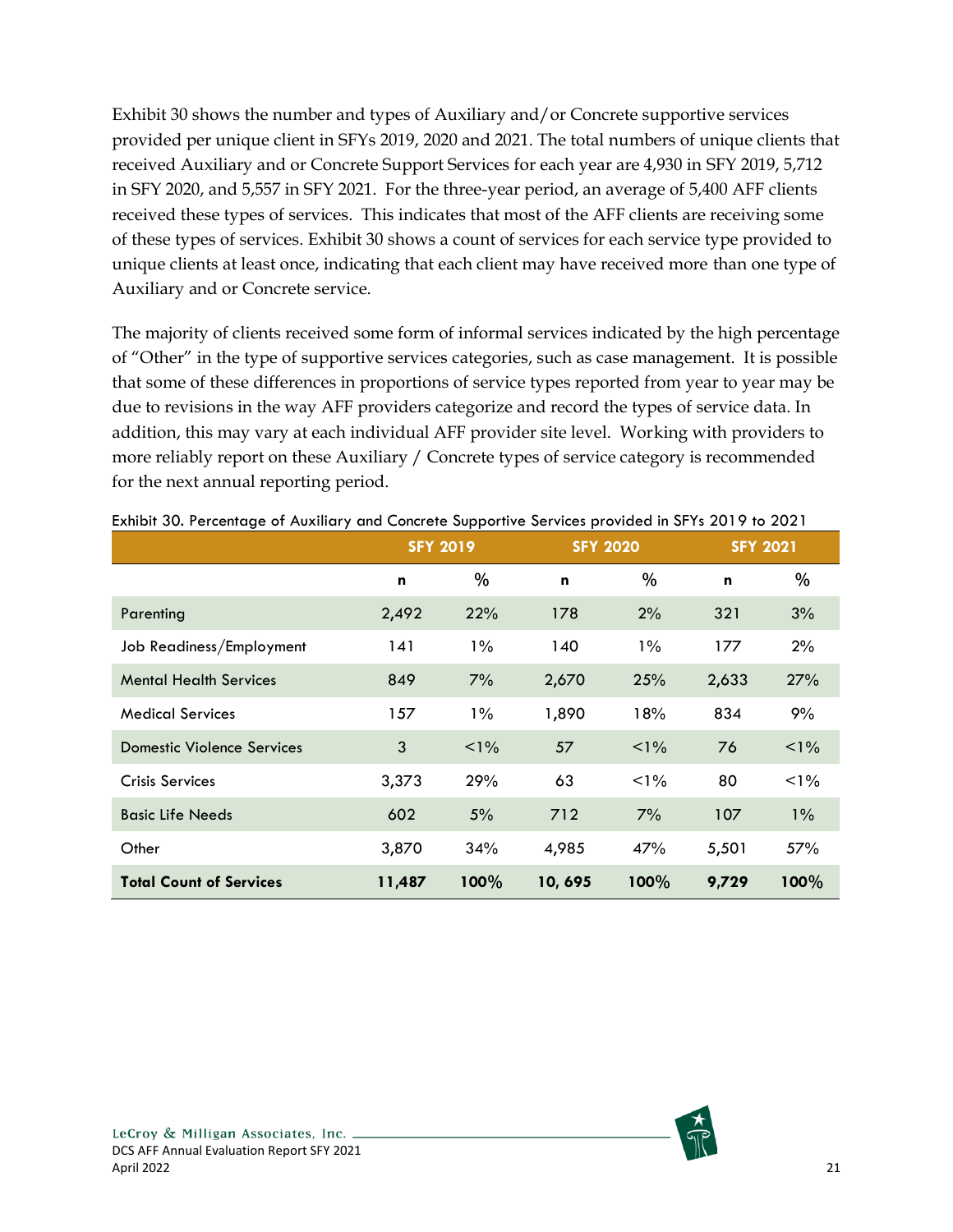Exhibit 30 shows the number and types of Auxiliary and/or Concrete supportive services provided per unique client in SFYs 2019, 2020 and 2021. The total numbers of unique clients that received Auxiliary and or Concrete Support Services for each year are 4,930 in SFY 2019, 5,712 in SFY 2020, and 5,557 in SFY 2021. For the three-year period, an average of 5,400 AFF clients received these types of services. This indicates that most of the AFF clients are receiving some of these types of services. Exhibit 30 shows a count of services for each service type provided to unique clients at least once, indicating that each client may have received more than one type of Auxiliary and or Concrete service.

The majority of clients received some form of informal services indicated by the high percentage of "Other" in the type of supportive services categories, such as case management. It is possible that some of these differences in proportions of service types reported from year to year may be due to revisions in the way AFF providers categorize and record the types of service data. In addition, this may vary at each individual AFF provider site level. Working with providers to more reliably report on these Auxiliary / Concrete types of service category is recommended for the next annual reporting period.

|                                   |        | . .<br><b>SFY 2019</b> |        | <b>SFY 2020</b> |       | <b>SFY 2021</b> |
|-----------------------------------|--------|------------------------|--------|-----------------|-------|-----------------|
|                                   | n      | %                      | n      | %               | n     | %               |
| Parenting                         | 2,492  | 22%                    | 178    | 2%              | 321   | 3%              |
| Job Readiness/Employment          | 141    | $1\%$                  | 140    | $1\%$           | 177   | 2%              |
| <b>Mental Health Services</b>     | 849    | 7%                     | 2,670  | 25%             | 2,633 | 27%             |
| <b>Medical Services</b>           | 157    | $1\%$                  | 1,890  | 18%             | 834   | 9%              |
| <b>Domestic Violence Services</b> | 3      | $1\%$                  | 57     | $1\%$           | 76    | $1\%$           |
| <b>Crisis Services</b>            | 3,373  | 29%                    | 63     | $1\%$           | 80    | $1\%$           |
| <b>Basic Life Needs</b>           | 602    | 5%                     | 712    | 7%              | 107   | $1\%$           |
| Other                             | 3,870  | 34%                    | 4,985  | 47%             | 5,501 | 57%             |
| <b>Total Count of Services</b>    | 11,487 | 100%                   | 10,695 | 100%            | 9,729 | 100%            |

<span id="page-27-0"></span>

|  | Exhibit 30. Percentage of Auxiliary and Concrete Supportive Services provided in SFYs 2019 to 2021 |  |  |  |  |
|--|----------------------------------------------------------------------------------------------------|--|--|--|--|
|--|----------------------------------------------------------------------------------------------------|--|--|--|--|

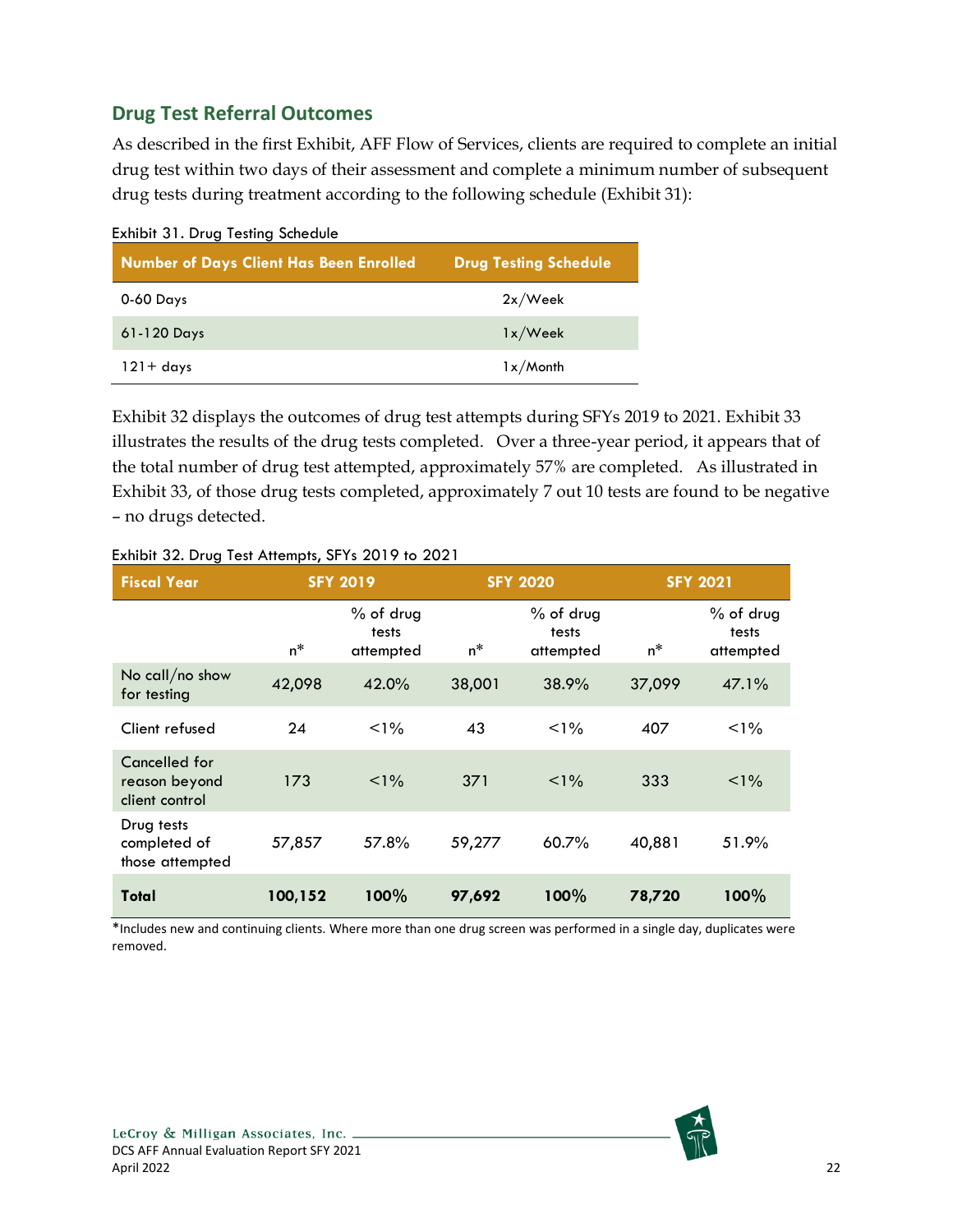### <span id="page-28-0"></span>**Drug Test Referral Outcomes**

As described in the first Exhibit, AFF Flow of Services, clients are required to complete an initial drug test within two days of their assessment and complete a minimum number of subsequent drug tests during treatment according to the following schedule (Exhibit 31):

<span id="page-28-1"></span>

| Exhibit 31. Drug Testing Schedule<br><b>Number of Days Client Has Been Enrolled</b> | <b>Drug Testing Schedule</b> |
|-------------------------------------------------------------------------------------|------------------------------|
| 0-60 Days                                                                           | 2x/Week                      |
| $61-120$ Days                                                                       | 1x/Week                      |
| $121 + days$                                                                        | $1x/M$ onth                  |

Exhibit 32 displays the outcomes of drug test attempts during SFYs 2019 to 2021. Exhibit 33 illustrates the results of the drug tests completed. Over a three-year period, it appears that of the total number of drug test attempted, approximately 57% are completed. As illustrated in Exhibit 33, of those drug tests completed, approximately 7 out 10 tests are found to be negative – no drugs detected.

| <b>Fiscal Year</b>                               | <b>SFY 2019</b> |                                 | <b>SFY 2020</b> |                                   | <b>SFY 2021</b> |                                 |
|--------------------------------------------------|-----------------|---------------------------------|-----------------|-----------------------------------|-----------------|---------------------------------|
|                                                  | $n^*$           | % of drug<br>tests<br>attempted | n*              | $%$ of drug<br>tests<br>attempted | $n^*$           | % of drug<br>tests<br>attempted |
| No call/no show<br>for testing                   | 42,098          | 42.0%                           | 38,001          | 38.9%                             | 37,099          | 47.1%                           |
| Client refused                                   | 24              | $< 1\%$                         | 43              | $< 1\%$                           | 407             | $1\%$                           |
| Cancelled for<br>reason beyond<br>client control | 173             | $< 1\%$                         | 371             | $< 1\%$                           | 333             | $< 1\%$                         |
| Drug tests<br>completed of<br>those attempted    | 57,857          | 57.8%                           | 59,277          | 60.7%                             | 40,881          | 51.9%                           |
| Total                                            | 100,152         | 100%                            | 97,692          | 100%                              | 78,720          | 100%                            |

#### <span id="page-28-2"></span>Exhibit 32. Drug Test Attempts, SFYs 2019 to 2021

\*Includes new and continuing clients. Where more than one drug screen was performed in a single day, duplicates were removed.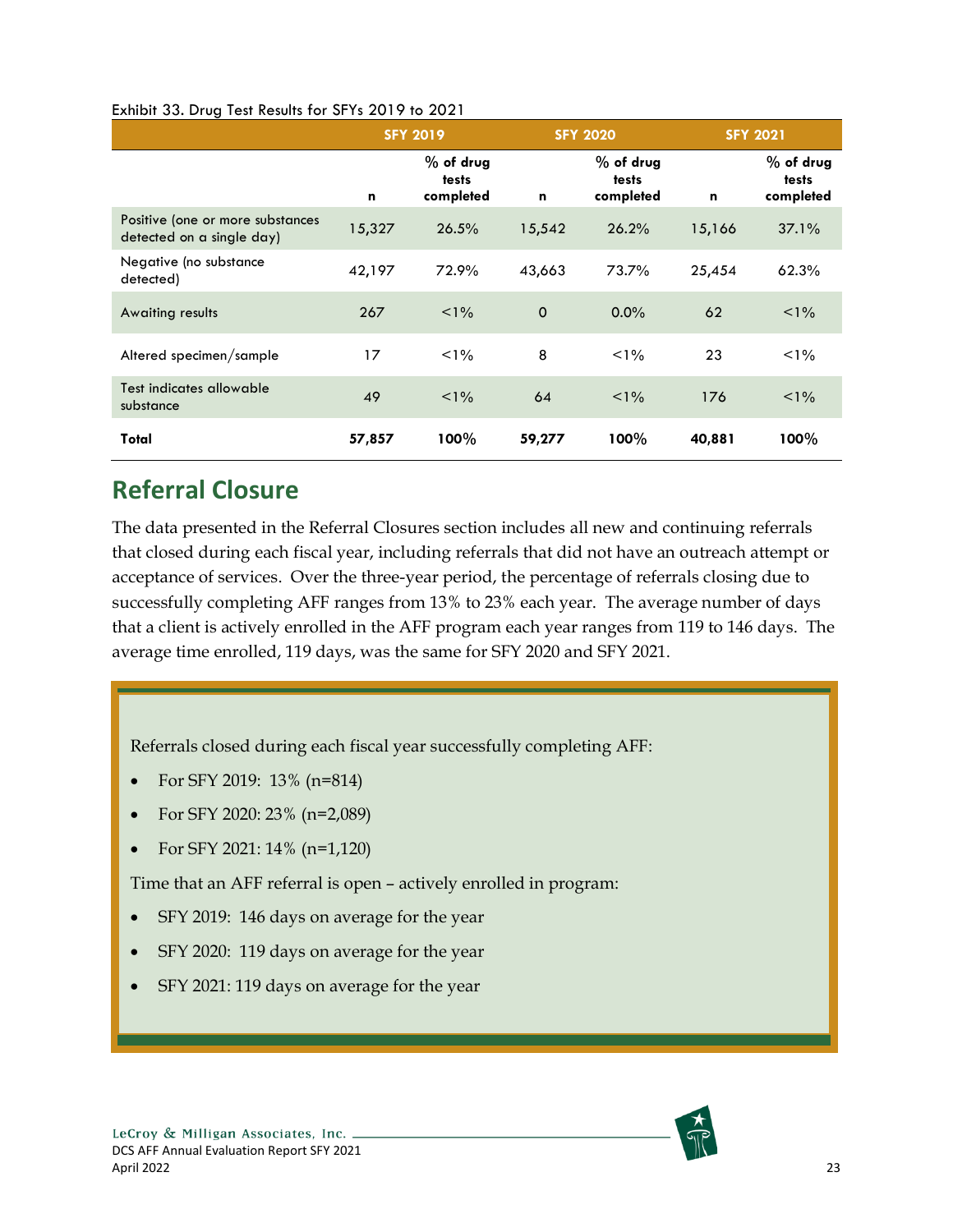#### <span id="page-29-1"></span>Exhibit 33. Drug Test Results for SFYs 2019 to 2021

|                                                               | <b>SFY 2019</b> |                                   | <b>SFY 2020</b> |                                   | <b>SFY 2021</b> |                                   |
|---------------------------------------------------------------|-----------------|-----------------------------------|-----------------|-----------------------------------|-----------------|-----------------------------------|
|                                                               | n               | $%$ of drug<br>tests<br>completed | n               | $%$ of drug<br>tests<br>completed | $\mathbf n$     | $%$ of drug<br>tests<br>completed |
| Positive (one or more substances<br>detected on a single day) | 15,327          | 26.5%                             | 15,542          | 26.2%                             | 15,166          | 37.1%                             |
| Negative (no substance<br>detected)                           | 42,197          | 72.9%                             | 43,663          | 73.7%                             | 25,454          | 62.3%                             |
| Awaiting results                                              | 267             | $< 1\%$                           | $\mathbf 0$     | $0.0\%$                           | 62              | $< 1\%$                           |
| Altered specimen/sample                                       | 17              | $< 1\%$                           | 8               | $< 1\%$                           | 23              | $1\%$                             |
| Test indicates allowable<br>substance                         | 49              | $< 1\%$                           | 64              | $1\%$                             | 176             | $< 1\%$                           |
| Total                                                         | 57,857          | 100%                              | 59,277          | $100\%$                           | 40,881          | 100%                              |

# <span id="page-29-0"></span>**Referral Closure**

The data presented in the Referral Closures section includes all new and continuing referrals that closed during each fiscal year, including referrals that did not have an outreach attempt or acceptance of services. Over the three-year period, the percentage of referrals closing due to successfully completing AFF ranges from 13% to 23% each year. The average number of days that a client is actively enrolled in the AFF program each year ranges from 119 to 146 days. The average time enrolled, 119 days, was the same for SFY 2020 and SFY 2021.

Referrals closed during each fiscal year successfully completing AFF:

- For SFY 2019: 13% (n=814)
- For SFY 2020: 23% (n=2,089)
- For SFY 2021: 14% (n=1,120)

Time that an AFF referral is open – actively enrolled in program:

- SFY 2019: 146 days on average for the year
- SFY 2020: 119 days on average for the year
- SFY 2021: 119 days on average for the year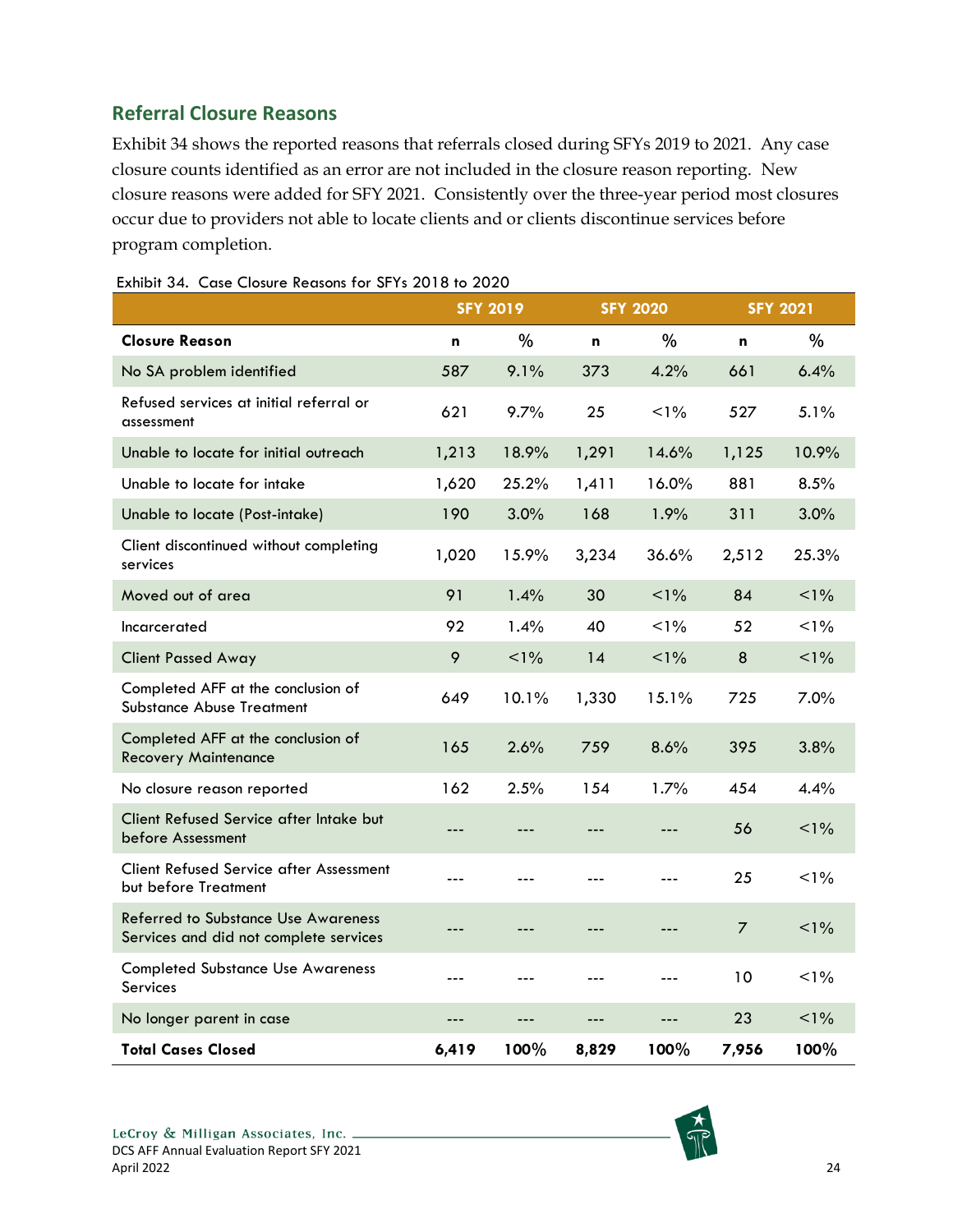## <span id="page-30-0"></span>**Referral Closure Reasons**

Exhibit 34 shows the reported reasons that referrals closed during SFYs 2019 to 2021. Any case closure counts identified as an error are not included in the closure reason reporting. New closure reasons were added for SFY 2021. Consistently over the three-year period most closures occur due to providers not able to locate clients and or clients discontinue services before program completion.

|                                                                                      |       | <b>SFY 2019</b> |       | <b>SFY 2020</b> |                | <b>SFY 2021</b> |
|--------------------------------------------------------------------------------------|-------|-----------------|-------|-----------------|----------------|-----------------|
| <b>Closure Reason</b>                                                                | n     | %               | n     | %               | n              | $\%$            |
| No SA problem identified                                                             | 587   | 9.1%            | 373   | 4.2%            | 661            | 6.4%            |
| Refused services at initial referral or<br>assessment                                | 621   | 9.7%            | 25    | $< 1\%$         | 527            | 5.1%            |
| Unable to locate for initial outreach                                                | 1,213 | 18.9%           | 1,291 | 14.6%           | 1,125          | 10.9%           |
| Unable to locate for intake                                                          | 1,620 | 25.2%           | 1,411 | 16.0%           | 881            | 8.5%            |
| Unable to locate (Post-intake)                                                       | 190   | 3.0%            | 168   | 1.9%            | 311            | 3.0%            |
| Client discontinued without completing<br>services                                   | 1,020 | 15.9%           | 3,234 | 36.6%           | 2,512          | 25.3%           |
| Moved out of area                                                                    | 91    | 1.4%            | 30    | $< 1\%$         | 84             | $< 1\%$         |
| Incarcerated                                                                         | 92    | 1.4%            | 40    | $< 1\%$         | 52             | $1\%$           |
| <b>Client Passed Away</b>                                                            | 9     | $1\%$           | 14    | $1\%$           | $\bf 8$        | $< 1\%$         |
| Completed AFF at the conclusion of<br><b>Substance Abuse Treatment</b>               | 649   | 10.1%           | 1,330 | 15.1%           | 725            | 7.0%            |
| Completed AFF at the conclusion of<br><b>Recovery Maintenance</b>                    | 165   | 2.6%            | 759   | 8.6%            | 395            | 3.8%            |
| No closure reason reported                                                           | 162   | 2.5%            | 154   | 1.7%            | 454            | 4.4%            |
| Client Refused Service after Intake but<br>before Assessment                         | ---   | ---             | ---   |                 | 56             | $< 1\%$         |
| <b>Client Refused Service after Assessment</b><br>but before Treatment               | ---   | ---             | ---   |                 | 25             | $1\%$           |
| <b>Referred to Substance Use Awareness</b><br>Services and did not complete services | ---   | ---             | ---   |                 | $\overline{7}$ | $1\%$           |
| <b>Completed Substance Use Awareness</b><br>Services                                 | $---$ | ---             | ---   | $---$           | 10             | $1\%$           |
| No longer parent in case                                                             | ---   | ---             | ---   | ---             | 23             | $< 1\%$         |
| <b>Total Cases Closed</b>                                                            | 6,419 | 100%            | 8,829 | 100%            | 7,956          | 100%            |

<span id="page-30-1"></span>Exhibit 34. Case Closure Reasons for SFYs 2018 to 2020

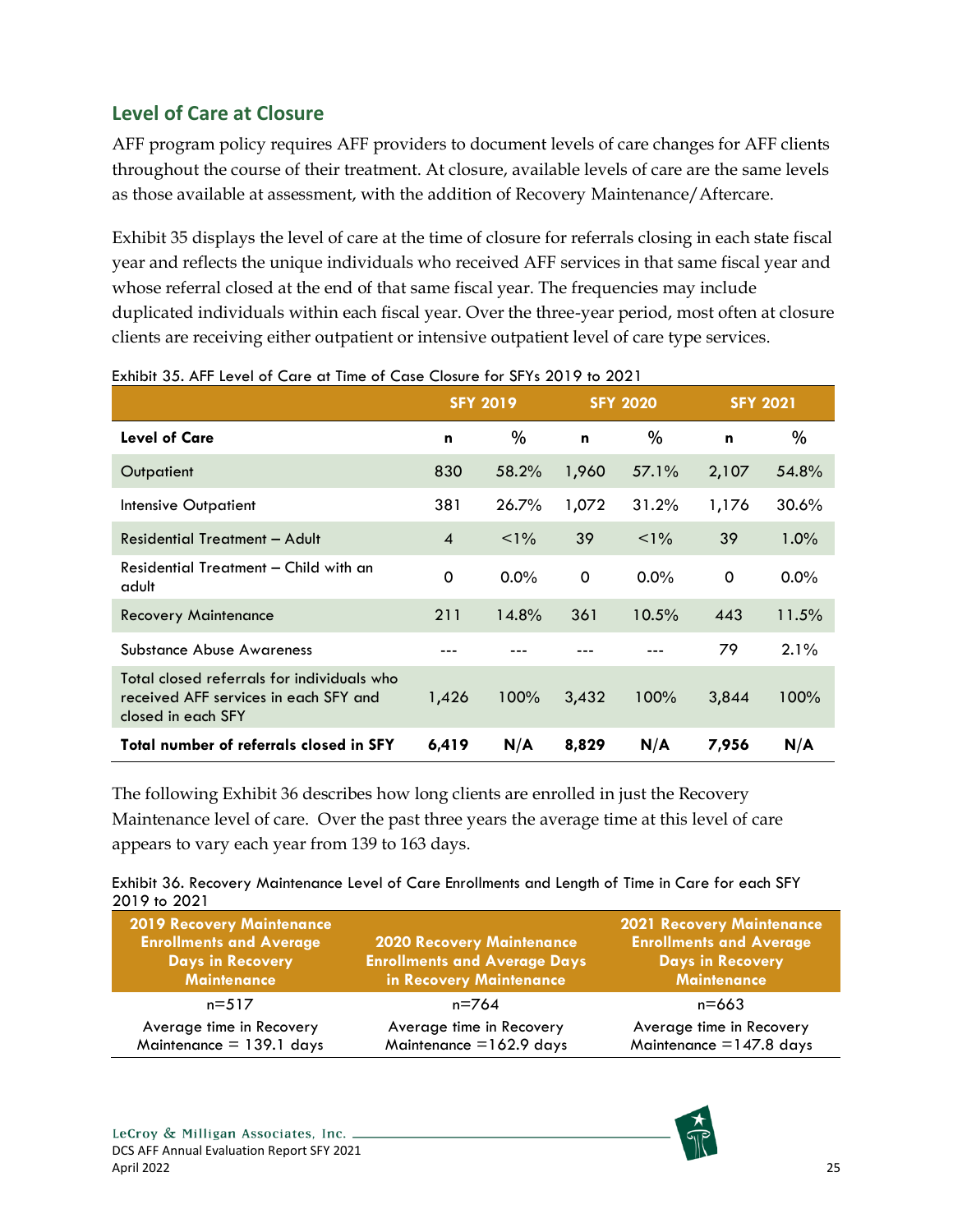## <span id="page-31-0"></span>**Level of Care at Closure**

AFF program policy requires AFF providers to document levels of care changes for AFF clients throughout the course of their treatment. At closure, available levels of care are the same levels as those available at assessment, with the addition of Recovery Maintenance/Aftercare.

Exhibit 35 displays the level of care at the time of closure for referrals closing in each state fiscal year and reflects the unique individuals who received AFF services in that same fiscal year and whose referral closed at the end of that same fiscal year. The frequencies may include duplicated individuals within each fiscal year. Over the three-year period, most often at closure clients are receiving either outpatient or intensive outpatient level of care type services.

|                                                                                                           |                | <b>SFY 2019</b> |             | <b>SFY 2020</b> | <b>SFY 2021</b> |         |
|-----------------------------------------------------------------------------------------------------------|----------------|-----------------|-------------|-----------------|-----------------|---------|
| <b>Level of Care</b>                                                                                      | n              | $\%$            | $\mathbf n$ | $\%$            | n               | $\%$    |
| Outpatient                                                                                                | 830            | 58.2%           | 1,960       | 57.1%           | 2,107           | 54.8%   |
| Intensive Outpatient                                                                                      | 381            | 26.7%           | 1,072       | 31.2%           | 1,176           | 30.6%   |
| Residential Treatment - Adult                                                                             | $\overline{4}$ | $< 1\%$         | 39          | $< 1\%$         | 39              | $1.0\%$ |
| Residential Treatment - Child with an<br>adult                                                            | $\Omega$       | $0.0\%$         | 0           | $0.0\%$         | 0               | $0.0\%$ |
| <b>Recovery Maintenance</b>                                                                               | 211            | 14.8%           | 361         | 10.5%           | 443             | 11.5%   |
| Substance Abuse Awareness                                                                                 |                |                 |             |                 | 79              | $2.1\%$ |
| Total closed referrals for individuals who<br>received AFF services in each SFY and<br>closed in each SFY | 1,426          | 100%            | 3,432       | 100%            | 3,844           | 100%    |
| Total number of referrals closed in SFY                                                                   | 6,419          | N/A             | 8,829       | N/A             | 7,956           | N/A     |

<span id="page-31-1"></span>Exhibit 35. AFF Level of Care at Time of Case Closure for SFYs 2019 to 2021

The following Exhibit 36 describes how long clients are enrolled in just the Recovery Maintenance level of care. Over the past three years the average time at this level of care appears to vary each year from 139 to 163 days.

<span id="page-31-2"></span>

| Exhibit 36. Recovery Maintenance Level of Care Enrollments and Length of Time in Care for each SFY |  |  |
|----------------------------------------------------------------------------------------------------|--|--|
| 2019 to 2021                                                                                       |  |  |

| <b>2019 Recovery Maintenance</b><br><b>Enrollments and Average</b><br><b>Days in Recovery</b><br><b>Maintenance</b> | <b>2020 Recovery Maintenance</b><br><b>Enrollments and Average Days</b><br>in Recovery Maintenance | <b>2021 Recovery Maintenance</b><br><b>Enrollments and Average</b><br><b>Days in Recovery</b><br><b>Maintenance</b> |
|---------------------------------------------------------------------------------------------------------------------|----------------------------------------------------------------------------------------------------|---------------------------------------------------------------------------------------------------------------------|
| $n = 517$                                                                                                           | n=764                                                                                              | n=663                                                                                                               |
| Average time in Recovery<br>Maintenance $= 139.1$ days                                                              | Average time in Recovery<br>Maintenance $=162.9$ days                                              | Average time in Recovery<br>Maintenance $=$ 147.8 days                                                              |

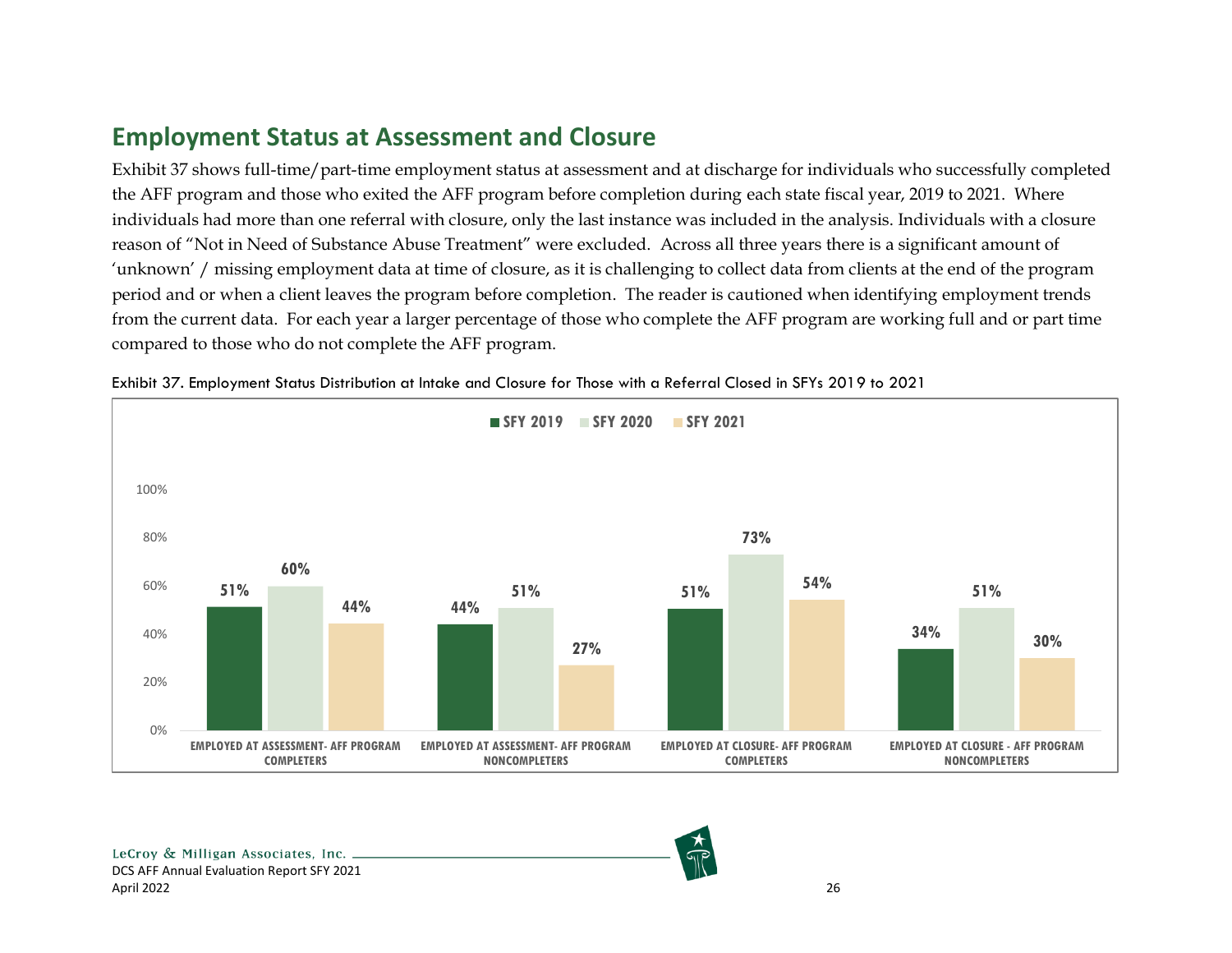# **Employment Status at Assessment and Closure**

Exhibit 37 shows full-time/part-time employment status at assessment and at discharge for individuals who successfully completed the AFF program and those who exited the AFF program before completion during each state fiscal year, 2019 to 2021. Where individuals had more than one referral with closure, only the last instance was included in the analysis. Individuals with a closure reason of "Not in Need of Substance Abuse Treatment" were excluded. Across all three years there is a significant amount of 'unknown' / missing employment data at time of closure, as it is challenging to collect data from clients at the end of the program period and or when a client leaves the program before completion. The reader is cautioned when identifying employment trends from the current data. For each year a larger percentage of those who complete the AFF program are working full and or part time compared to those who do not complete the AFF program.

<span id="page-32-0"></span>

Exhibit 37. Employment Status Distribution at Intake and Closure for Those with a Referral Closed in SFYs 2019 to 2021

<span id="page-32-1"></span>LeCroy & Milligan Associates, Inc. \_ DCS AFF Annual Evaluation Report SFY 2021 April 2022 26

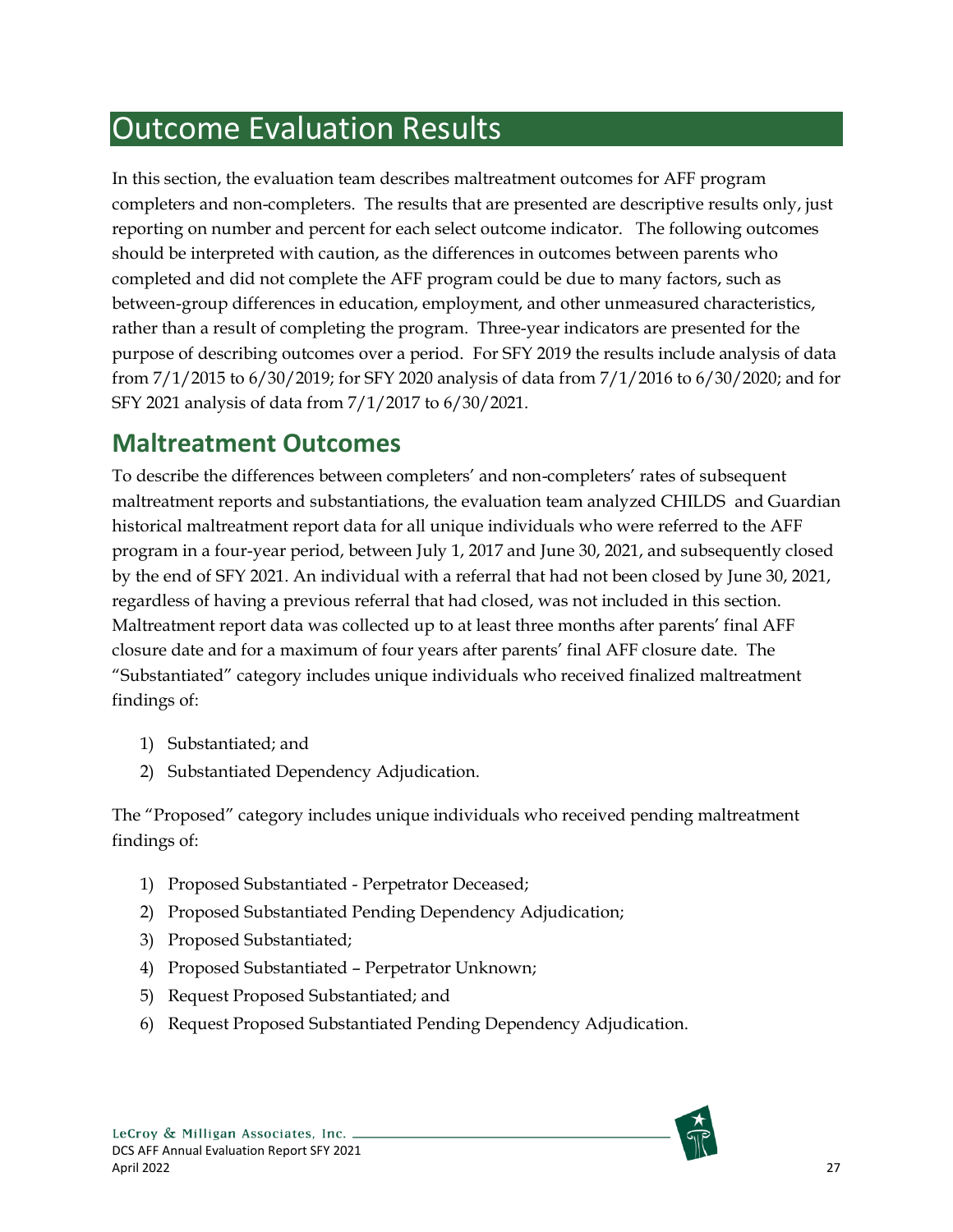# <span id="page-33-0"></span>Outcome Evaluation Results

In this section, the evaluation team describes maltreatment outcomes for AFF program completers and non-completers. The results that are presented are descriptive results only, just reporting on number and percent for each select outcome indicator. The following outcomes should be interpreted with caution, as the differences in outcomes between parents who completed and did not complete the AFF program could be due to many factors, such as between-group differences in education, employment, and other unmeasured characteristics, rather than a result of completing the program. Three-year indicators are presented for the purpose of describing outcomes over a period. For SFY 2019 the results include analysis of data from 7/1/2015 to 6/30/2019; for SFY 2020 analysis of data from 7/1/2016 to 6/30/2020; and for SFY 2021 analysis of data from 7/1/2017 to 6/30/2021.

# <span id="page-33-1"></span>**Maltreatment Outcomes**

To describe the differences between completers' and non-completers' rates of subsequent maltreatment reports and substantiations, the evaluation team analyzed CHILDS and Guardian historical maltreatment report data for all unique individuals who were referred to the AFF program in a four-year period, between July 1, 2017 and June 30, 2021, and subsequently closed by the end of SFY 2021. An individual with a referral that had not been closed by June 30, 2021, regardless of having a previous referral that had closed, was not included in this section. Maltreatment report data was collected up to at least three months after parents' final AFF closure date and for a maximum of four years after parents' final AFF closure date. The "Substantiated" category includes unique individuals who received finalized maltreatment findings of:

- 1) Substantiated; and
- 2) Substantiated Dependency Adjudication.

The "Proposed" category includes unique individuals who received pending maltreatment findings of:

- 1) Proposed Substantiated Perpetrator Deceased;
- 2) Proposed Substantiated Pending Dependency Adjudication;
- 3) Proposed Substantiated;
- 4) Proposed Substantiated Perpetrator Unknown;
- 5) Request Proposed Substantiated; and
- 6) Request Proposed Substantiated Pending Dependency Adjudication.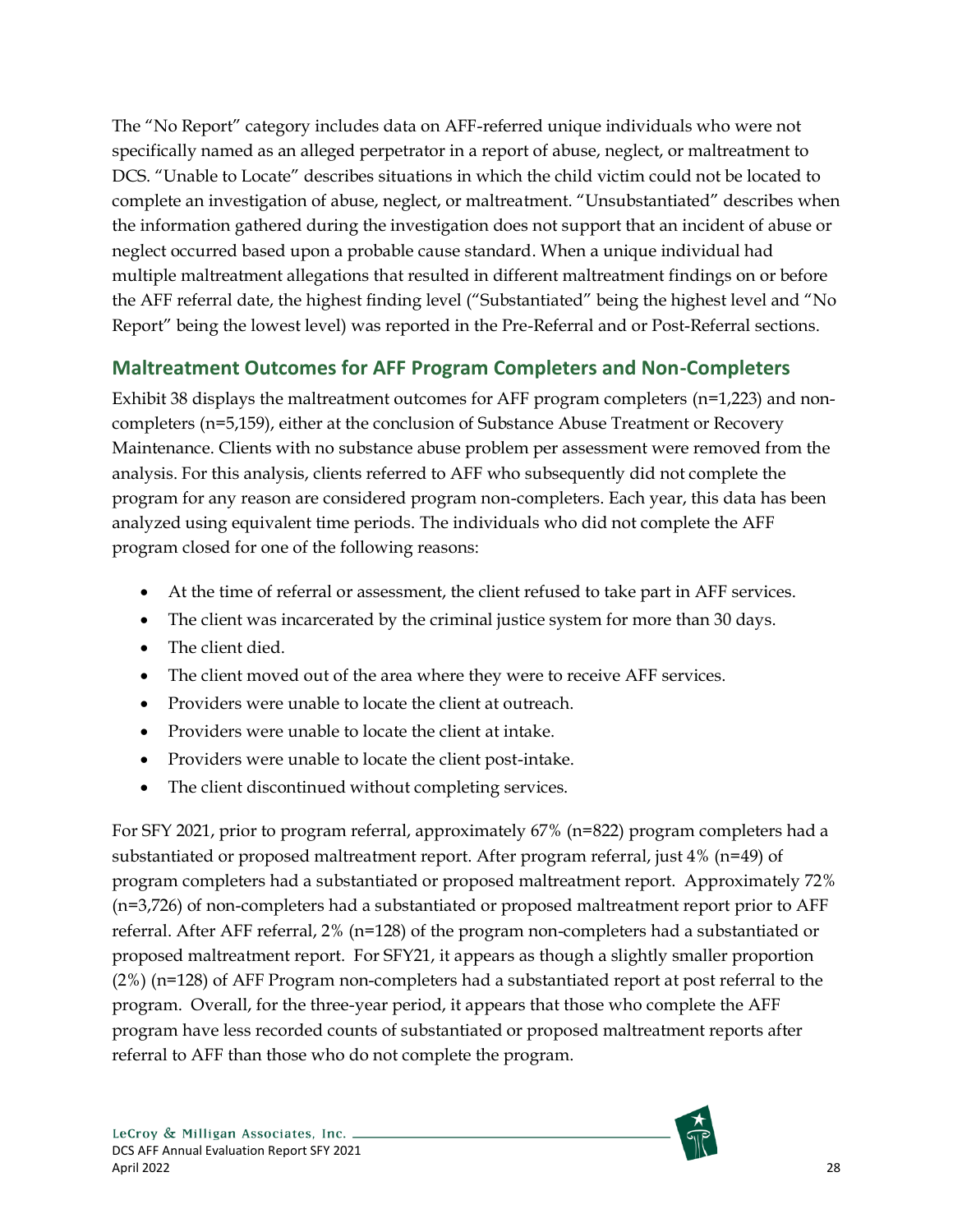The "No Report" category includes data on AFF-referred unique individuals who were not specifically named as an alleged perpetrator in a report of abuse, neglect, or maltreatment to DCS. "Unable to Locate" describes situations in which the child victim could not be located to complete an investigation of abuse, neglect, or maltreatment. "Unsubstantiated" describes when the information gathered during the investigation does not support that an incident of abuse or neglect occurred based upon a probable cause standard. When a unique individual had multiple maltreatment allegations that resulted in different maltreatment findings on or before the AFF referral date, the highest finding level ("Substantiated" being the highest level and "No Report" being the lowest level) was reported in the Pre-Referral and or Post-Referral sections.

### <span id="page-34-0"></span>**Maltreatment Outcomes for AFF Program Completers and Non-Completers**

Exhibit 38 displays the maltreatment outcomes for AFF program completers (n=1,223) and noncompleters (n=5,159), either at the conclusion of Substance Abuse Treatment or Recovery Maintenance. Clients with no substance abuse problem per assessment were removed from the analysis. For this analysis, clients referred to AFF who subsequently did not complete the program for any reason are considered program non-completers. Each year, this data has been analyzed using equivalent time periods. The individuals who did not complete the AFF program closed for one of the following reasons:

- At the time of referral or assessment, the client refused to take part in AFF services.
- The client was incarcerated by the criminal justice system for more than 30 days.
- The client died.
- The client moved out of the area where they were to receive AFF services.
- Providers were unable to locate the client at outreach.
- Providers were unable to locate the client at intake.
- Providers were unable to locate the client post-intake.
- The client discontinued without completing services.

For SFY 2021, prior to program referral, approximately 67% (n=822) program completers had a substantiated or proposed maltreatment report. After program referral, just 4% (n=49) of program completers had a substantiated or proposed maltreatment report. Approximately 72% (n=3,726) of non-completers had a substantiated or proposed maltreatment report prior to AFF referral. After AFF referral, 2% (n=128) of the program non-completers had a substantiated or proposed maltreatment report. For SFY21, it appears as though a slightly smaller proportion  $(2%)$  (n=128) of AFF Program non-completers had a substantiated report at post referral to the program. Overall, for the three-year period, it appears that those who complete the AFF program have less recorded counts of substantiated or proposed maltreatment reports after referral to AFF than those who do not complete the program.

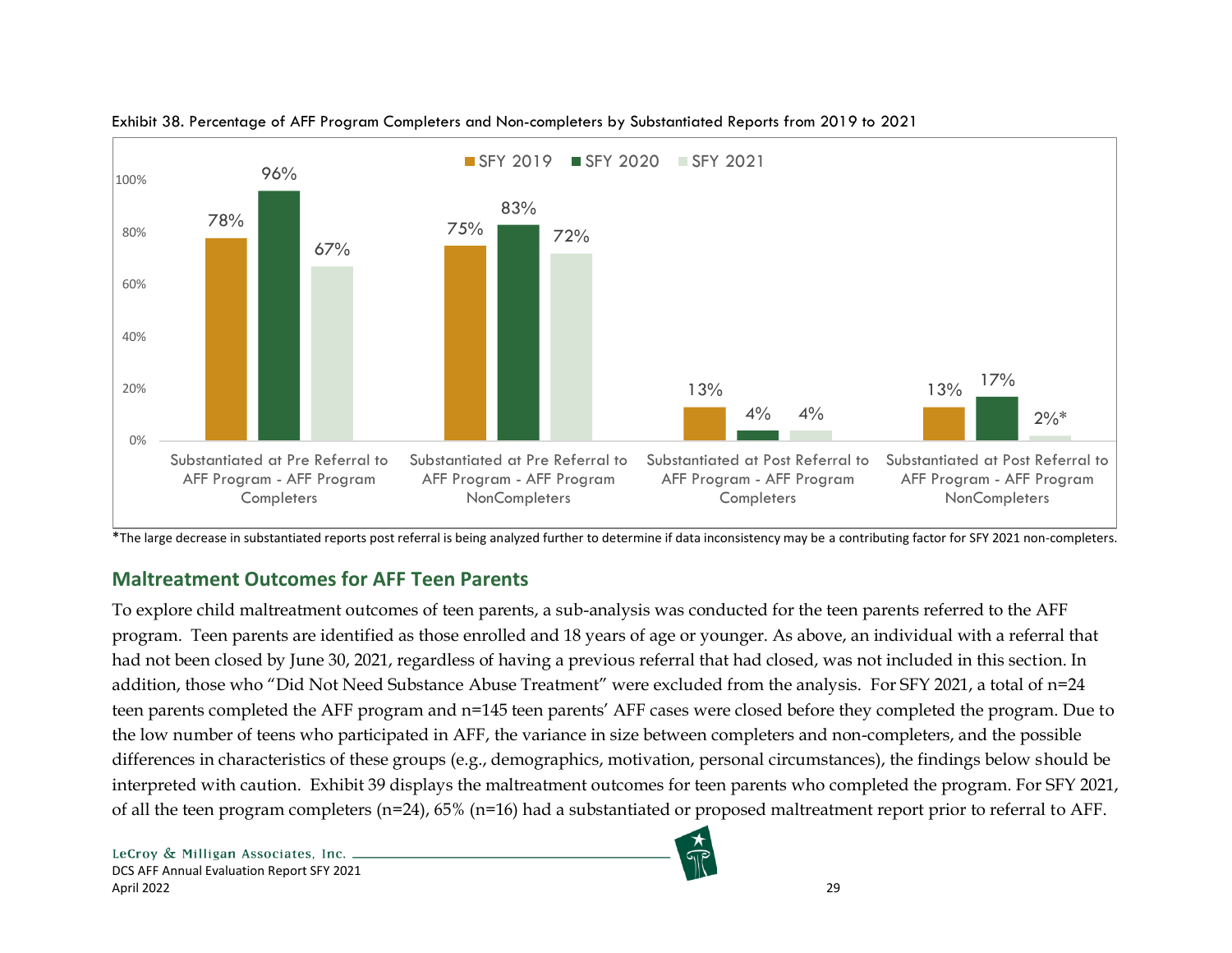



<span id="page-35-1"></span>\*The large decrease in substantiated reports post referral is being analyzed further to determine if data inconsistency may be a contributing factor for SFY 2021 non-completers.

## **Maltreatment Outcomes for AFF Teen Parents**

<span id="page-35-0"></span>To explore child maltreatment outcomes of teen parents, a sub-analysis was conducted for the teen parents referred to the AFF program. Teen parents are identified as those enrolled and 18 years of age or younger. As above, an individual with a referral that had not been closed by June 30, 2021, regardless of having a previous referral that had closed, was not included in this section. In addition, those who "Did Not Need Substance Abuse Treatment" were excluded from the analysis. For SFY 2021, a total of n=24 teen parents completed the AFF program and n=145 teen parents' AFF cases were closed before they completed the program. Due to the low number of teens who participated in AFF, the variance in size between completers and non-completers, and the possible differences in characteristics of these groups (e.g., demographics, motivation, personal circumstances), the findings below should be interpreted with caution. Exhibit 39 displays the maltreatment outcomes for teen parents who completed the program. For SFY 2021, of all the teen program completers (n=24), 65% (n=16) had a substantiated or proposed maltreatment report prior to referral to AFF.

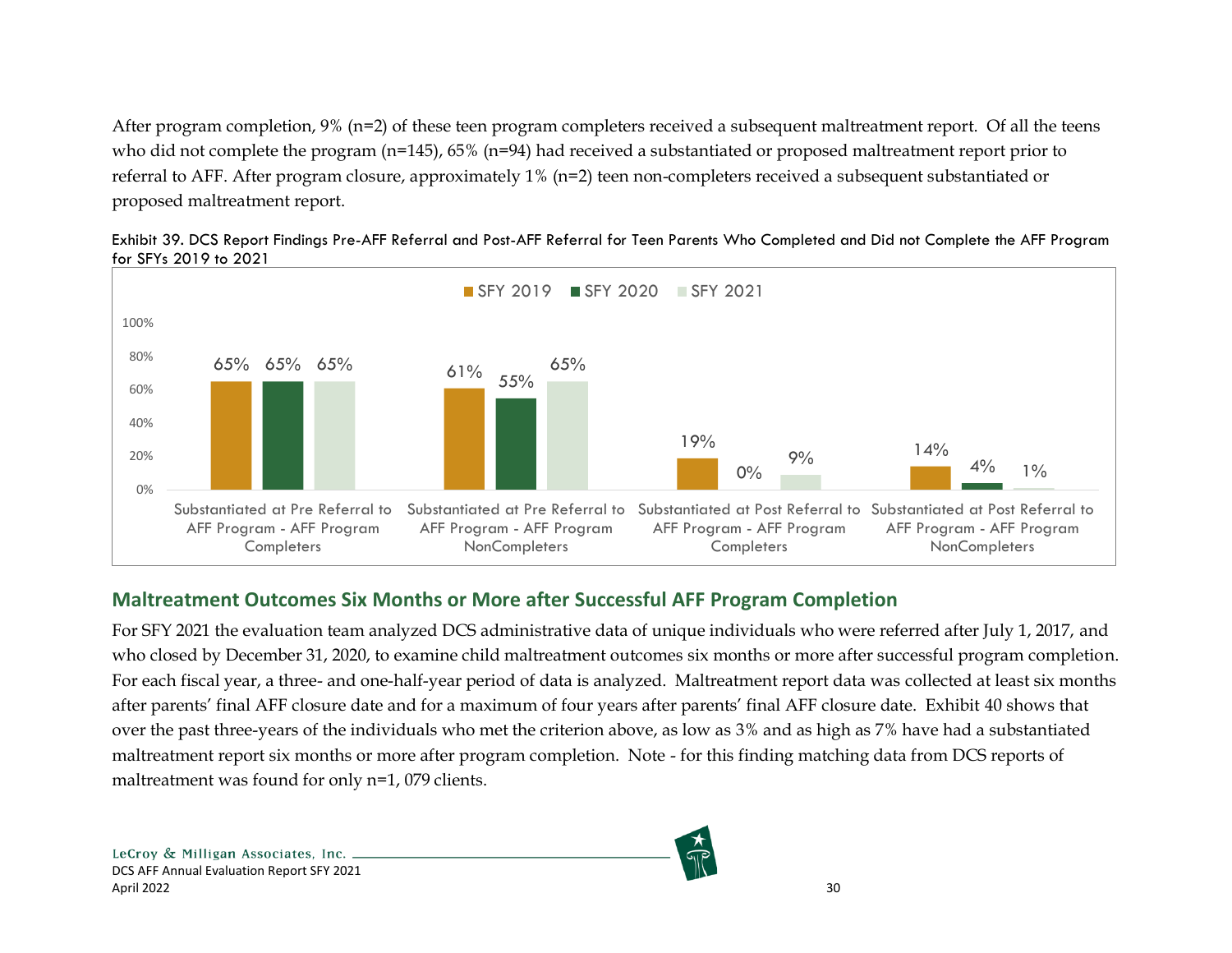After program completion,  $9\%$  (n=2) of these teen program completers received a subsequent maltreatment report. Of all the teens who did not complete the program (n=145), 65% (n=94) had received a substantiated or proposed maltreatment report prior to referral to AFF. After program closure, approximately 1% (n=2) teen non-completers received a subsequent substantiated or proposed maltreatment report.



Exhibit 39. DCS Report Findings Pre-AFF Referral and Post-AFF Referral for Teen Parents Who Completed and Did not Complete the AFF Program for SFYs 2019 to 2021

### <span id="page-36-1"></span>**Maltreatment Outcomes Six Months or More after Successful AFF Program Completion**

<span id="page-36-0"></span>For SFY 2021 the evaluation team analyzed DCS administrative data of unique individuals who were referred after July 1, 2017, and who closed by December 31, 2020, to examine child maltreatment outcomes six months or more after successful program completion. For each fiscal year, a three- and one-half-year period of data is analyzed. Maltreatment report data was collected at least six months after parents' final AFF closure date and for a maximum of four years after parents' final AFF closure date. Exhibit 40 shows that over the past three-years of the individuals who met the criterion above, as low as 3% and as high as 7% have had a substantiated maltreatment report six months or more after program completion. Note - for this finding matching data from DCS reports of maltreatment was found for only n=1, 079 clients.

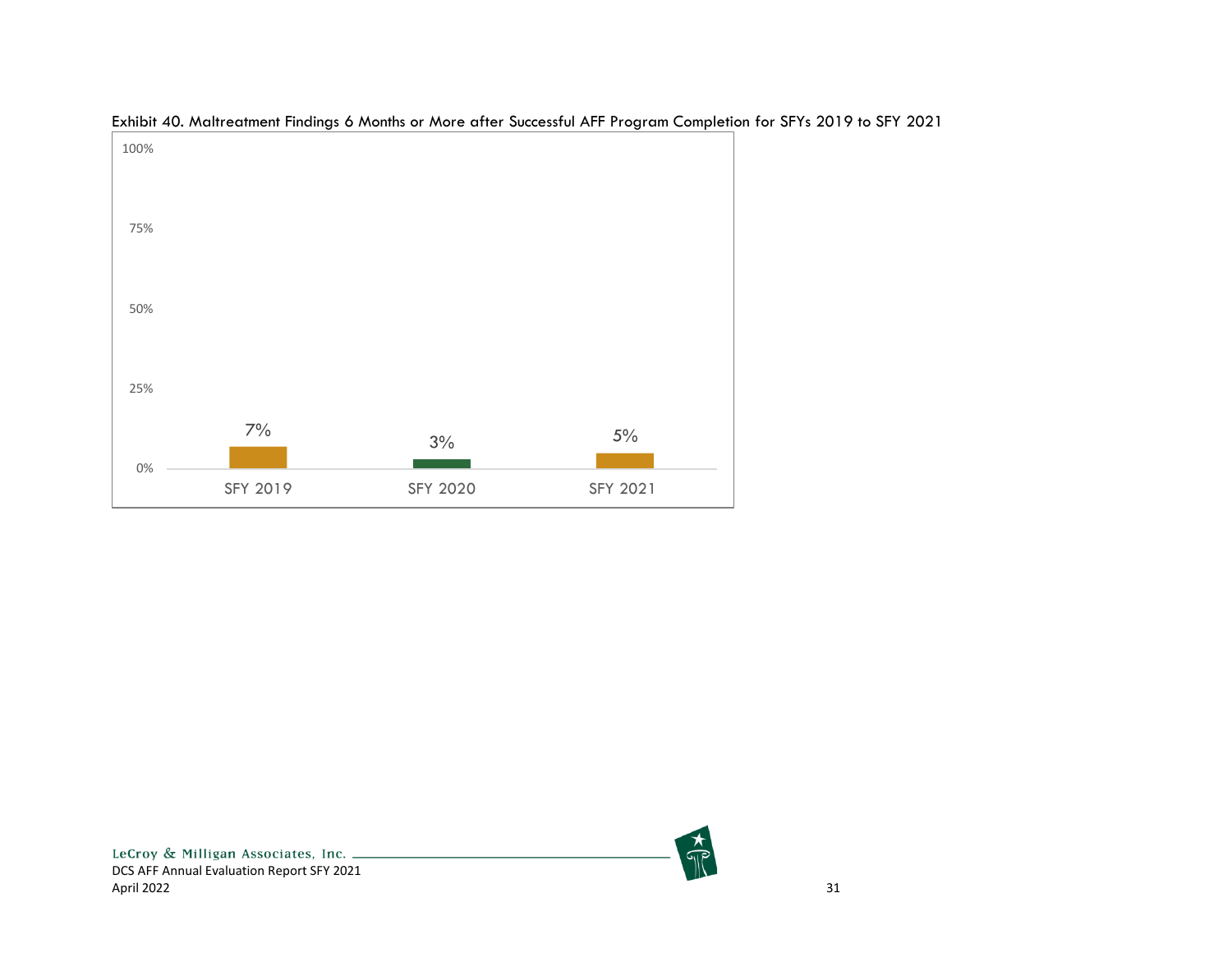<span id="page-37-0"></span>

Exhibit 40. Maltreatment Findings 6 Months or More after Successful AFF Program Completion for SFYs 2019 to SFY 2021

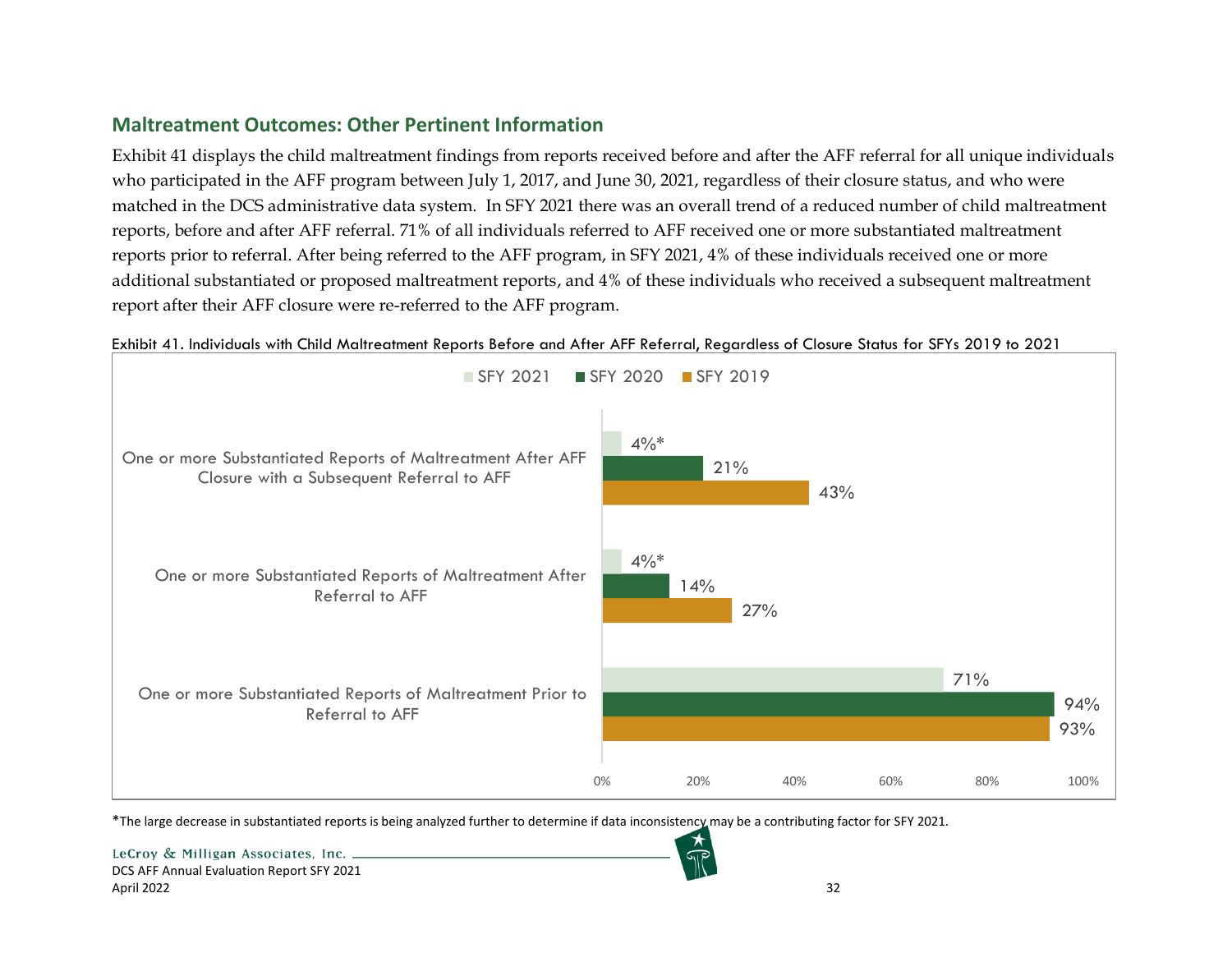### **Maltreatment Outcomes: Other Pertinent Information**

Exhibit 41 displays the child maltreatment findings from reports received before and after the AFF referral for all unique individuals who participated in the AFF program between July 1, 2017, and June 30, 2021, regardless of their closure status, and who were matched in the DCS administrative data system. In SFY 2021 there was an overall trend of a reduced number of child maltreatment reports, before and after AFF referral. 71% of all individuals referred to AFF received one or more substantiated maltreatment reports prior to referral. After being referred to the AFF program, in SFY 2021, 4% of these individuals received one or more additional substantiated or proposed maltreatment reports, and 4% of these individuals who received a subsequent maltreatment report after their AFF closure were re-referred to the AFF program.

<span id="page-38-0"></span>

Exhibit 41. Individuals with Child Maltreatment Reports Before and After AFF Referral, Regardless of Closure Status for SFYs 2019 to 2021

<span id="page-38-1"></span>\*The large decrease in substantiated reports is being analyzed further to determine if data inconsistency may be a contributing factor for SFY 2021.

LeCroy & Milligan Associates, Inc. \_ DCS AFF Annual Evaluation Report SFY 2021 April 2022 32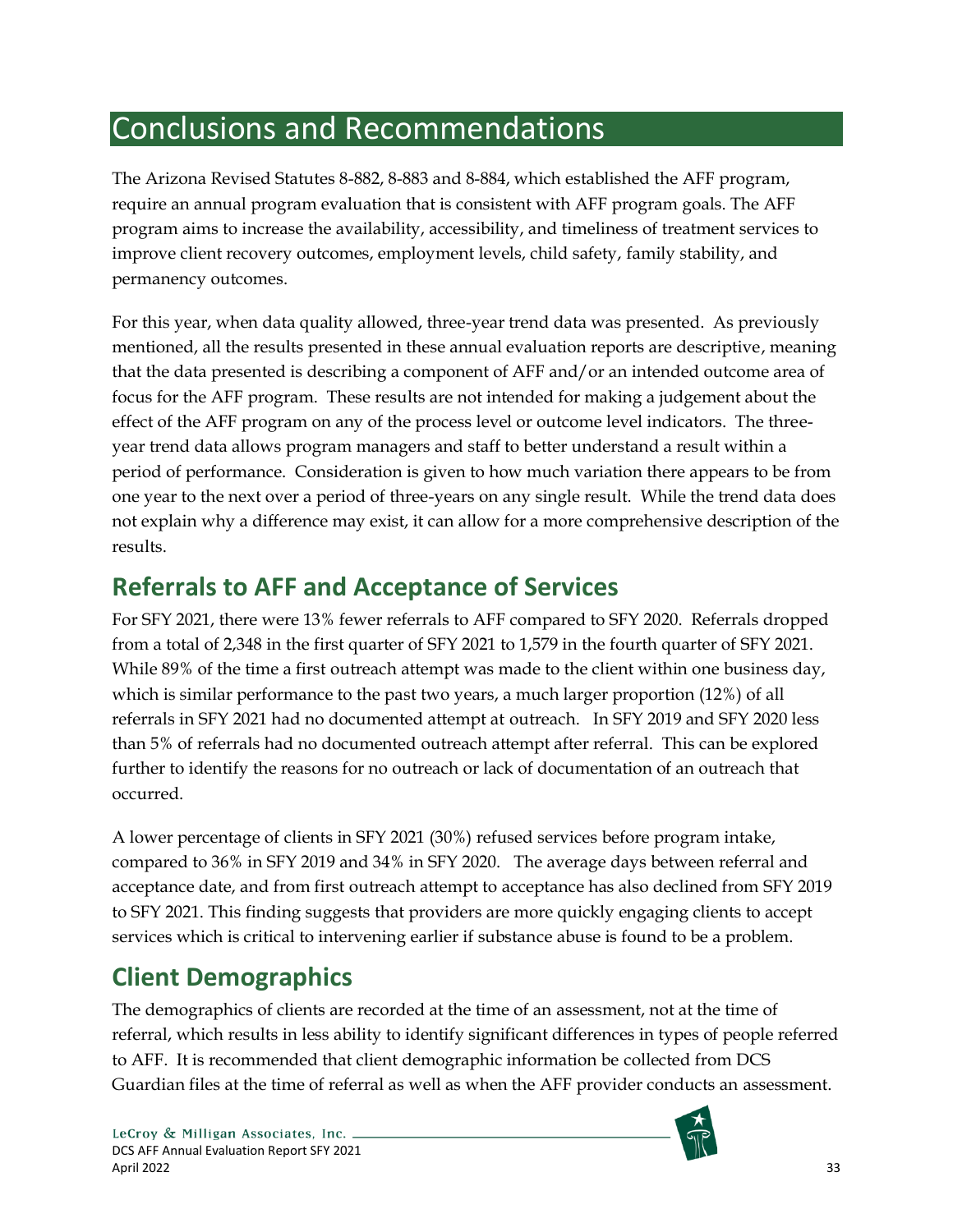# <span id="page-39-0"></span>Conclusions and Recommendations

The Arizona Revised Statutes 8-882, 8-883 and 8-884, which established the AFF program, require an annual program evaluation that is consistent with AFF program goals. The AFF program aims to increase the availability, accessibility, and timeliness of treatment services to improve client recovery outcomes, employment levels, child safety, family stability, and permanency outcomes.

For this year, when data quality allowed, three-year trend data was presented. As previously mentioned, all the results presented in these annual evaluation reports are descriptive, meaning that the data presented is describing a component of AFF and/or an intended outcome area of focus for the AFF program. These results are not intended for making a judgement about the effect of the AFF program on any of the process level or outcome level indicators. The threeyear trend data allows program managers and staff to better understand a result within a period of performance. Consideration is given to how much variation there appears to be from one year to the next over a period of three-years on any single result. While the trend data does not explain why a difference may exist, it can allow for a more comprehensive description of the results.

# <span id="page-39-1"></span>**Referrals to AFF and Acceptance of Services**

For SFY 2021, there were 13% fewer referrals to AFF compared to SFY 2020. Referrals dropped from a total of 2,348 in the first quarter of SFY 2021 to 1,579 in the fourth quarter of SFY 2021. While 89% of the time a first outreach attempt was made to the client within one business day, which is similar performance to the past two years, a much larger proportion (12%) of all referrals in SFY 2021 had no documented attempt at outreach. In SFY 2019 and SFY 2020 less than 5% of referrals had no documented outreach attempt after referral. This can be explored further to identify the reasons for no outreach or lack of documentation of an outreach that occurred.

A lower percentage of clients in SFY 2021 (30%) refused services before program intake, compared to 36% in SFY 2019 and 34% in SFY 2020. The average days between referral and acceptance date, and from first outreach attempt to acceptance has also declined from SFY 2019 to SFY 2021. This finding suggests that providers are more quickly engaging clients to accept services which is critical to intervening earlier if substance abuse is found to be a problem.

# <span id="page-39-2"></span>**Client Demographics**

The demographics of clients are recorded at the time of an assessment, not at the time of referral, which results in less ability to identify significant differences in types of people referred to AFF. It is recommended that client demographic information be collected from DCS Guardian files at the time of referral as well as when the AFF provider conducts an assessment.

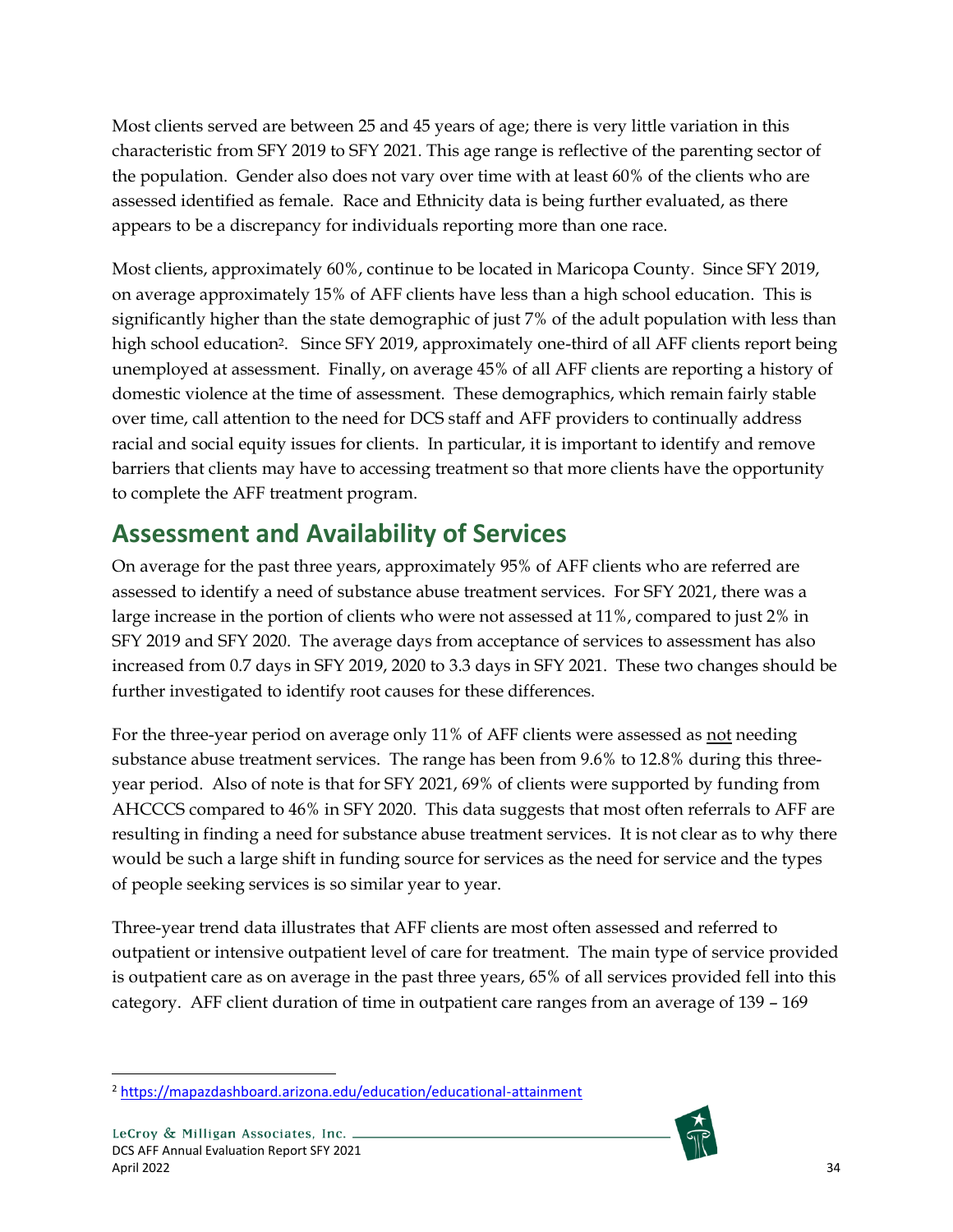Most clients served are between 25 and 45 years of age; there is very little variation in this characteristic from SFY 2019 to SFY 2021. This age range is reflective of the parenting sector of the population. Gender also does not vary over time with at least 60% of the clients who are assessed identified as female. Race and Ethnicity data is being further evaluated, as there appears to be a discrepancy for individuals reporting more than one race.

Most clients, approximately 60%, continue to be located in Maricopa County. Since SFY 2019, on average approximately 15% of AFF clients have less than a high school education. This is significantly higher than the state demographic of just 7% of the adult population with less than high school education<sup>2</sup>. Since SFY 2019, approximately one-third of all AFF clients report being unemployed at assessment. Finally, on average 45% of all AFF clients are reporting a history of domestic violence at the time of assessment. These demographics, which remain fairly stable over time, call attention to the need for DCS staff and AFF providers to continually address racial and social equity issues for clients. In particular, it is important to identify and remove barriers that clients may have to accessing treatment so that more clients have the opportunity to complete the AFF treatment program.

# <span id="page-40-0"></span>**Assessment and Availability of Services**

On average for the past three years, approximately 95% of AFF clients who are referred are assessed to identify a need of substance abuse treatment services. For SFY 2021, there was a large increase in the portion of clients who were not assessed at 11%, compared to just 2% in SFY 2019 and SFY 2020. The average days from acceptance of services to assessment has also increased from 0.7 days in SFY 2019, 2020 to 3.3 days in SFY 2021. These two changes should be further investigated to identify root causes for these differences.

For the three-year period on average only 11% of AFF clients were assessed as not needing substance abuse treatment services. The range has been from 9.6% to 12.8% during this threeyear period. Also of note is that for SFY 2021, 69% of clients were supported by funding from AHCCCS compared to 46% in SFY 2020. This data suggests that most often referrals to AFF are resulting in finding a need for substance abuse treatment services. It is not clear as to why there would be such a large shift in funding source for services as the need for service and the types of people seeking services is so similar year to year.

Three-year trend data illustrates that AFF clients are most often assessed and referred to outpatient or intensive outpatient level of care for treatment. The main type of service provided is outpatient care as on average in the past three years, 65% of all services provided fell into this category. AFF client duration of time in outpatient care ranges from an average of 139 – 169



<sup>2</sup> <https://mapazdashboard.arizona.edu/education/educational-attainment>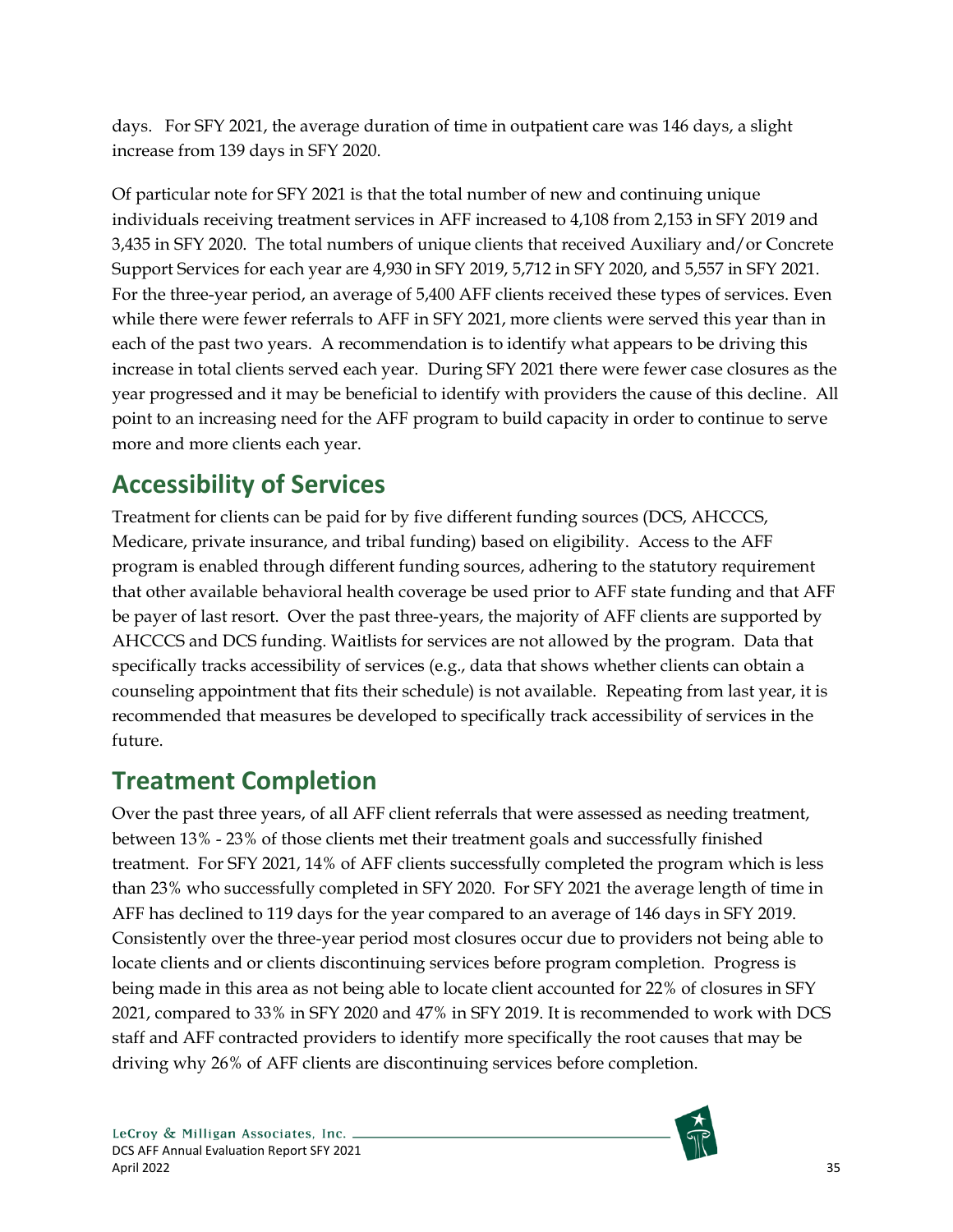days. For SFY 2021, the average duration of time in outpatient care was 146 days, a slight increase from 139 days in SFY 2020.

Of particular note for SFY 2021 is that the total number of new and continuing unique individuals receiving treatment services in AFF increased to 4,108 from 2,153 in SFY 2019 and 3,435 in SFY 2020. The total numbers of unique clients that received Auxiliary and/or Concrete Support Services for each year are 4,930 in SFY 2019, 5,712 in SFY 2020, and 5,557 in SFY 2021. For the three-year period, an average of 5,400 AFF clients received these types of services. Even while there were fewer referrals to AFF in SFY 2021, more clients were served this year than in each of the past two years. A recommendation is to identify what appears to be driving this increase in total clients served each year. During SFY 2021 there were fewer case closures as the year progressed and it may be beneficial to identify with providers the cause of this decline. All point to an increasing need for the AFF program to build capacity in order to continue to serve more and more clients each year.

# <span id="page-41-0"></span>**Accessibility of Services**

Treatment for clients can be paid for by five different funding sources (DCS, AHCCCS, Medicare, private insurance, and tribal funding) based on eligibility. Access to the AFF program is enabled through different funding sources, adhering to the statutory requirement that other available behavioral health coverage be used prior to AFF state funding and that AFF be payer of last resort. Over the past three-years, the majority of AFF clients are supported by AHCCCS and DCS funding. Waitlists for services are not allowed by the program. Data that specifically tracks accessibility of services (e.g., data that shows whether clients can obtain a counseling appointment that fits their schedule) is not available. Repeating from last year, it is recommended that measures be developed to specifically track accessibility of services in the future.

## <span id="page-41-1"></span>**Treatment Completion**

Over the past three years, of all AFF client referrals that were assessed as needing treatment, between 13% - 23% of those clients met their treatment goals and successfully finished treatment. For SFY 2021, 14% of AFF clients successfully completed the program which is less than 23% who successfully completed in SFY 2020. For SFY 2021 the average length of time in AFF has declined to 119 days for the year compared to an average of 146 days in SFY 2019. Consistently over the three-year period most closures occur due to providers not being able to locate clients and or clients discontinuing services before program completion. Progress is being made in this area as not being able to locate client accounted for 22% of closures in SFY 2021, compared to 33% in SFY 2020 and 47% in SFY 2019. It is recommended to work with DCS staff and AFF contracted providers to identify more specifically the root causes that may be driving why 26% of AFF clients are discontinuing services before completion.

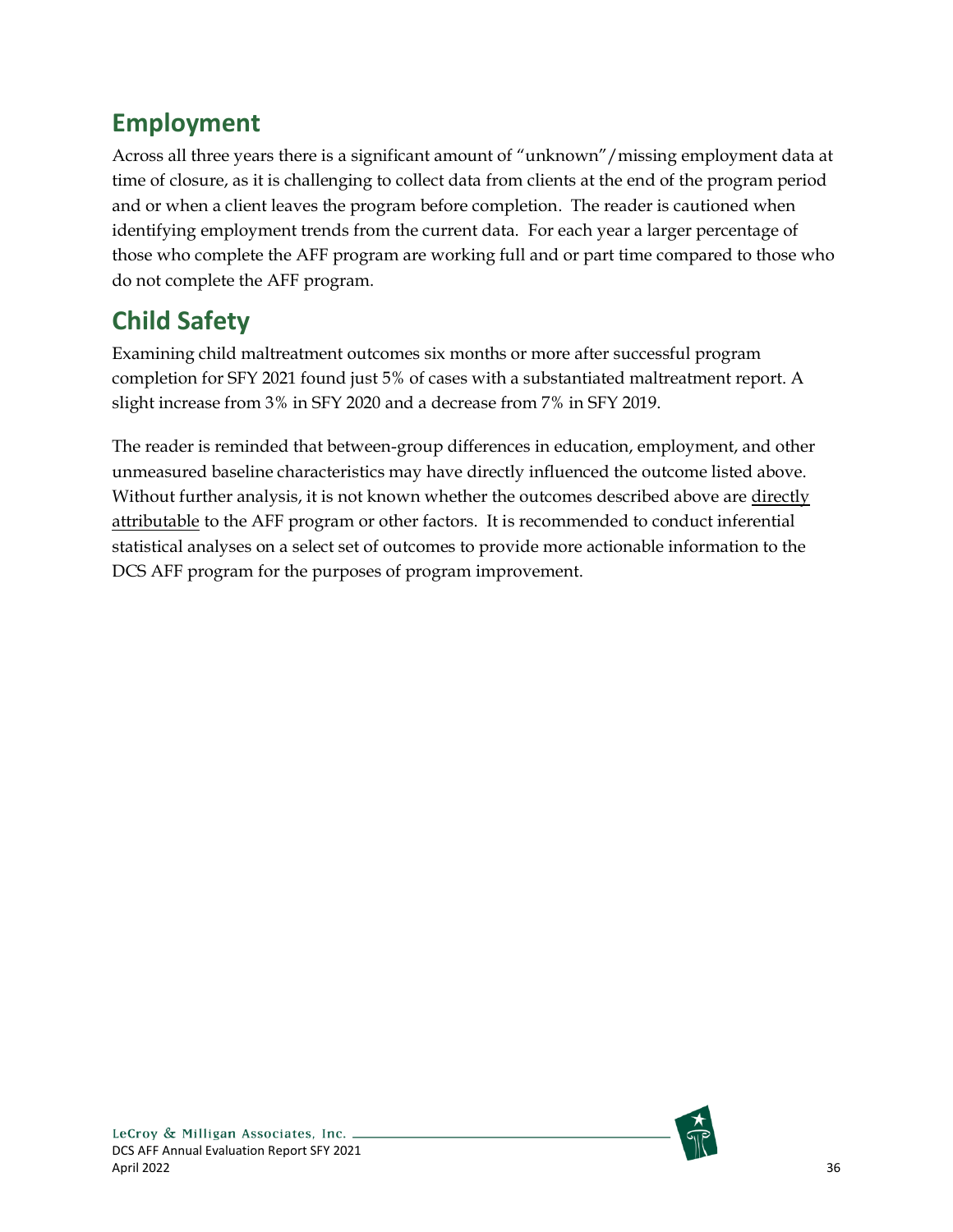# <span id="page-42-0"></span>**Employment**

Across all three years there is a significant amount of "unknown"/missing employment data at time of closure, as it is challenging to collect data from clients at the end of the program period and or when a client leaves the program before completion. The reader is cautioned when identifying employment trends from the current data. For each year a larger percentage of those who complete the AFF program are working full and or part time compared to those who do not complete the AFF program.

# <span id="page-42-1"></span>**Child Safety**

Examining child maltreatment outcomes six months or more after successful program completion for SFY 2021 found just 5% of cases with a substantiated maltreatment report. A slight increase from 3% in SFY 2020 and a decrease from 7% in SFY 2019.

The reader is reminded that between-group differences in education, employment, and other unmeasured baseline characteristics may have directly influenced the outcome listed above. Without further analysis, it is not known whether the outcomes described above are directly attributable to the AFF program or other factors. It is recommended to conduct inferential statistical analyses on a select set of outcomes to provide more actionable information to the DCS AFF program for the purposes of program improvement.

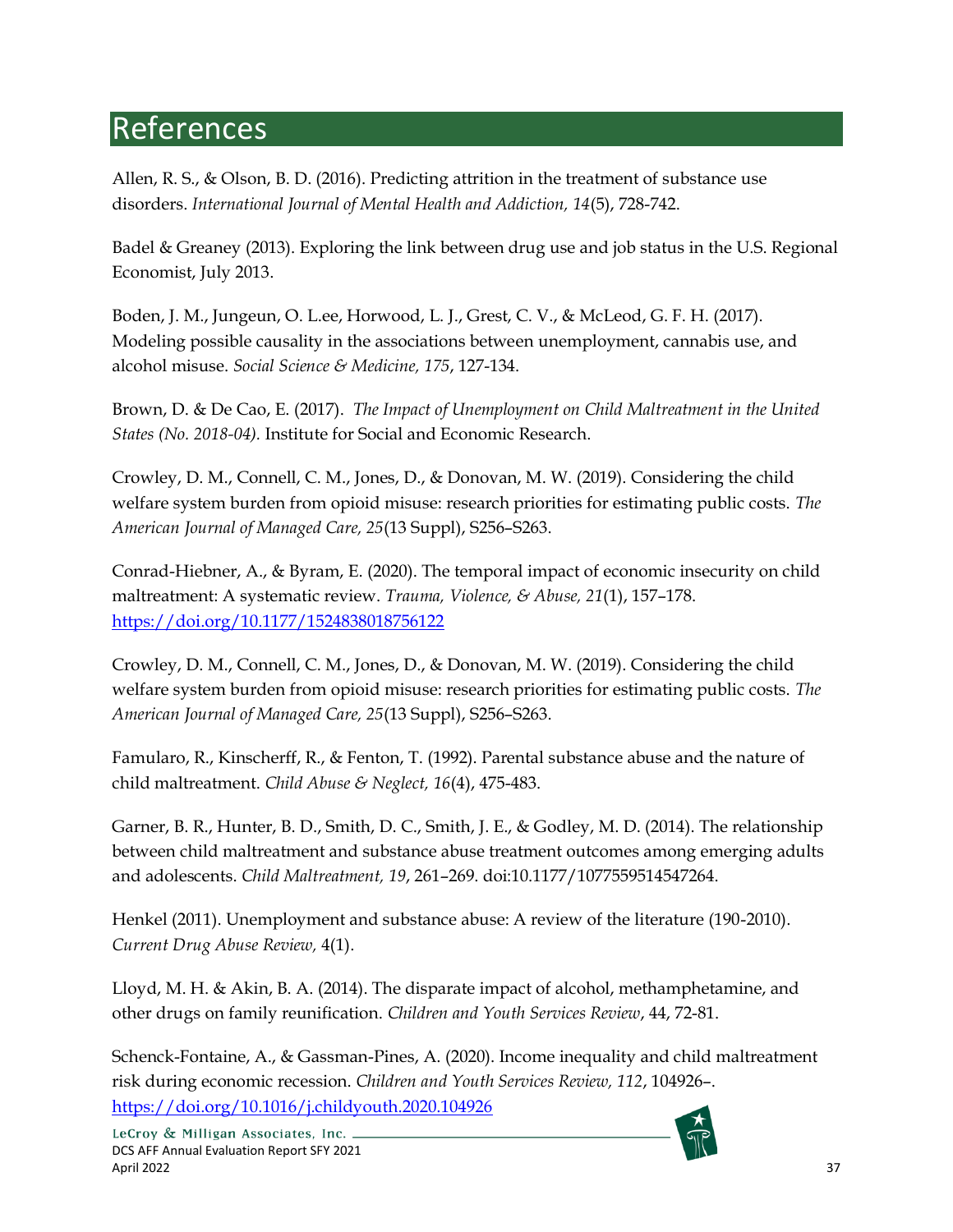# <span id="page-43-0"></span>References

Allen, R. S., & Olson, B. D. (2016). Predicting attrition in the treatment of substance use disorders. *International Journal of Mental Health and Addiction, 14*(5), 728-742.

Badel & Greaney (2013). Exploring the link between drug use and job status in the U.S. Regional Economist, July 2013.

Boden, J. M., Jungeun, O. L.ee, Horwood, L. J., Grest, C. V., & McLeod, G. F. H. (2017). Modeling possible causality in the associations between unemployment, cannabis use, and alcohol misuse. *Social Science & Medicine, 175*, 127-134.

Brown, D. & De Cao, E. (2017). *The Impact of Unemployment on Child Maltreatment in the United States (No. 2018-04).* Institute for Social and Economic Research.

Crowley, D. M., Connell, C. M., Jones, D., & Donovan, M. W. (2019). Considering the child welfare system burden from opioid misuse: research priorities for estimating public costs. *The American Journal of Managed Care, 25*(13 Suppl), S256–S263.

Conrad-Hiebner, A., & Byram, E. (2020). The temporal impact of economic insecurity on child maltreatment: A systematic review. *Trauma, Violence, & Abuse, 21*(1), 157–178. <https://doi.org/10.1177/1524838018756122>

Crowley, D. M., Connell, C. M., Jones, D., & Donovan, M. W. (2019). Considering the child welfare system burden from opioid misuse: research priorities for estimating public costs. *The American Journal of Managed Care, 25*(13 Suppl), S256–S263.

Famularo, R., Kinscherff, R., & Fenton, T. (1992). Parental substance abuse and the nature of child maltreatment. *Child Abuse & Neglect, 16*(4), 475-483.

Garner, B. R., Hunter, B. D., Smith, D. C., Smith, J. E., & Godley, M. D. (2014). The relationship between child maltreatment and substance abuse treatment outcomes among emerging adults and adolescents. *Child Maltreatment, 19*, 261–269. doi:10.1177/1077559514547264.

Henkel (2011). Unemployment and substance abuse: A review of the literature (190-2010). *Current Drug Abuse Review,* 4(1).

Lloyd, M. H. & Akin, B. A. (2014). The disparate impact of alcohol, methamphetamine, and other drugs on family reunification. *Children and Youth Services Review*, 44, 72-81.

Schenck-Fontaine, A., & Gassman-Pines, A. (2020). Income inequality and child maltreatment risk during economic recession. *Children and Youth Services Review, 112*, 104926–. <https://doi.org/10.1016/j.childyouth.2020.104926>

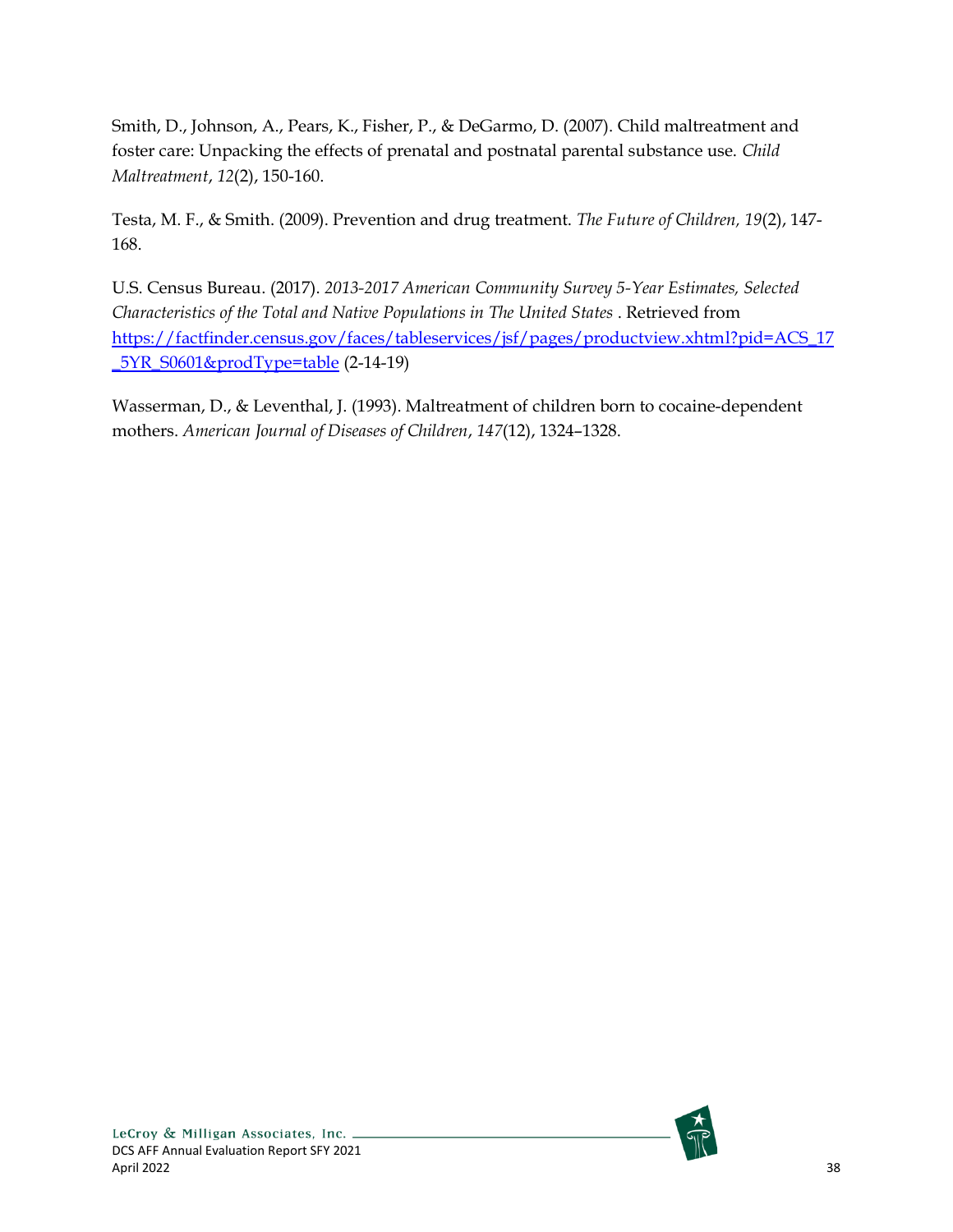Smith, D., Johnson, A., Pears, K., Fisher, P., & DeGarmo, D. (2007). Child maltreatment and foster care: Unpacking the effects of prenatal and postnatal parental substance use. *Child Maltreatment*, *12*(2), 150-160.

Testa, M. F., & Smith. (2009). Prevention and drug treatment. *The Future of Children, 19*(2), 147- 168.

U.S. Census Bureau. (2017). *2013-2017 American Community Survey 5-Year Estimates, Selected Characteristics of the Total and Native Populations in The United States* . Retrieved from [https://factfinder.census.gov/faces/tableservices/jsf/pages/productview.xhtml?pid=ACS\\_17](https://factfinder.census.gov/faces/tableservices/jsf/pages/productview.xhtml?pid=ACS_17_5YR_S0601&prodType=table) [\\_5YR\\_S0601&prodType=table](https://factfinder.census.gov/faces/tableservices/jsf/pages/productview.xhtml?pid=ACS_17_5YR_S0601&prodType=table) (2-14-19)

Wasserman, D., & Leventhal, J. (1993). Maltreatment of children born to cocaine-dependent mothers. *American Journal of Diseases of Children*, *147*(12), 1324–1328.

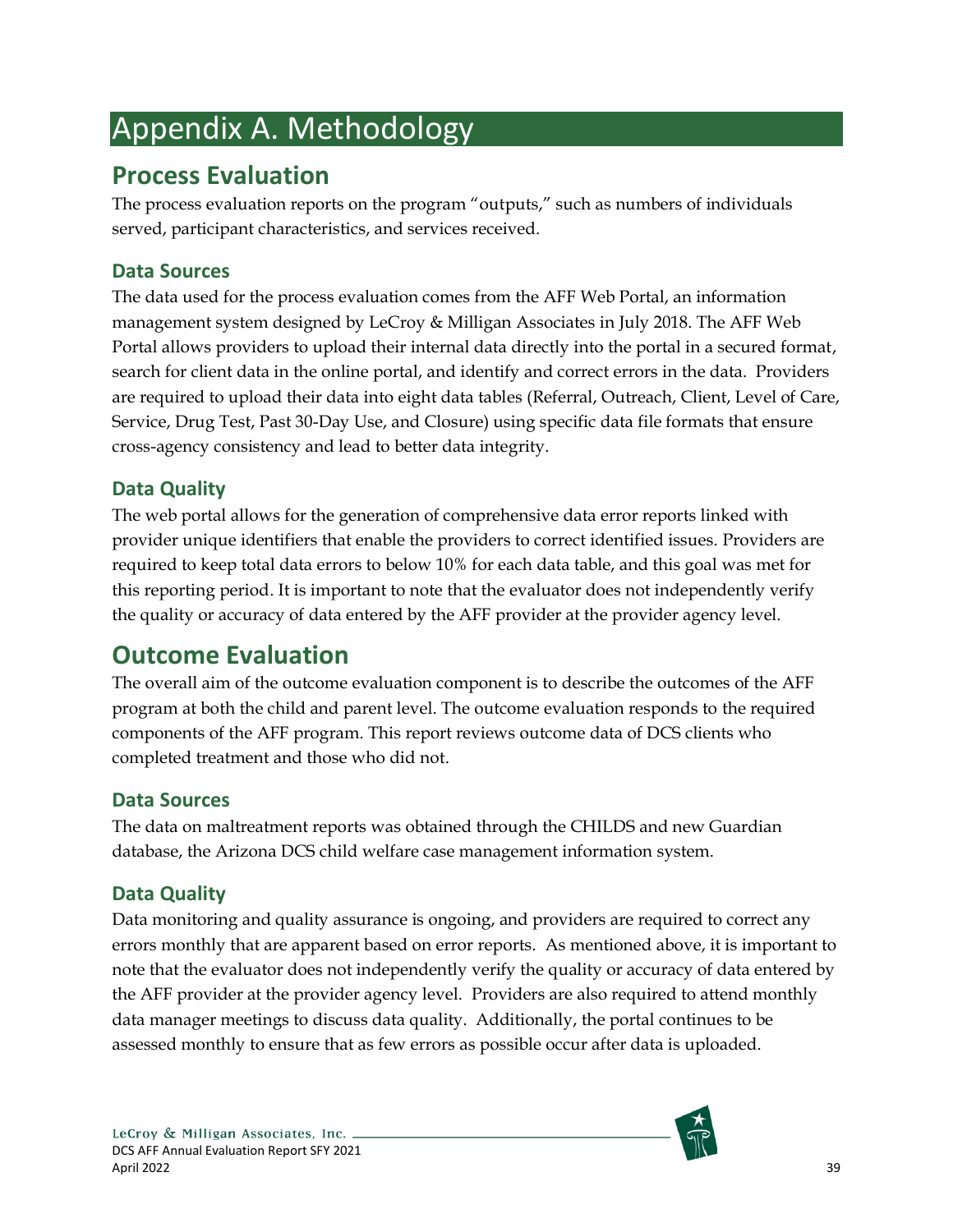# <span id="page-45-0"></span>Appendix A. Methodology

# <span id="page-45-1"></span>**Process Evaluation**

The process evaluation reports on the program "outputs," such as numbers of individuals served, participant characteristics, and services received.

## <span id="page-45-2"></span>**Data Sources**

The data used for the process evaluation comes from the AFF Web Portal, an information management system designed by LeCroy & Milligan Associates in July 2018. The AFF Web Portal allows providers to upload their internal data directly into the portal in a secured format, search for client data in the online portal, and identify and correct errors in the data. Providers are required to upload their data into eight data tables (Referral, Outreach, Client, Level of Care, Service, Drug Test, Past 30-Day Use, and Closure) using specific data file formats that ensure cross-agency consistency and lead to better data integrity.

## <span id="page-45-3"></span>**Data Quality**

The web portal allows for the generation of comprehensive data error reports linked with provider unique identifiers that enable the providers to correct identified issues. Providers are required to keep total data errors to below 10% for each data table, and this goal was met for this reporting period. It is important to note that the evaluator does not independently verify the quality or accuracy of data entered by the AFF provider at the provider agency level.

# <span id="page-45-4"></span>**Outcome Evaluation**

The overall aim of the outcome evaluation component is to describe the outcomes of the AFF program at both the child and parent level. The outcome evaluation responds to the required components of the AFF program. This report reviews outcome data of DCS clients who completed treatment and those who did not.

## <span id="page-45-5"></span>**Data Sources**

The data on maltreatment reports was obtained through the CHILDS and new Guardian database, the Arizona DCS child welfare case management information system.

## <span id="page-45-6"></span>**Data Quality**

Data monitoring and quality assurance is ongoing, and providers are required to correct any errors monthly that are apparent based on error reports. As mentioned above, it is important to note that the evaluator does not independently verify the quality or accuracy of data entered by the AFF provider at the provider agency level. Providers are also required to attend monthly data manager meetings to discuss data quality. Additionally, the portal continues to be assessed monthly to ensure that as few errors as possible occur after data is uploaded.